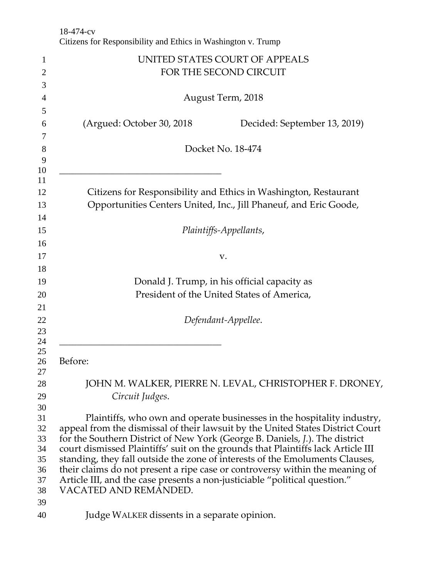|                                | 18-474-cv<br>Citizens for Responsibility and Ethics in Washington v. Trump                                                                                |
|--------------------------------|-----------------------------------------------------------------------------------------------------------------------------------------------------------|
|                                | UNITED STATES COURT OF APPEALS                                                                                                                            |
| $\mathbf{1}$<br>$\overline{c}$ | FOR THE SECOND CIRCUIT                                                                                                                                    |
| 3                              |                                                                                                                                                           |
| 4                              | August Term, 2018                                                                                                                                         |
| 5                              |                                                                                                                                                           |
| 6                              | (Argued: October 30, 2018)<br>Decided: September 13, 2019)                                                                                                |
| 7<br>8                         | Docket No. 18-474                                                                                                                                         |
| 9<br>10                        |                                                                                                                                                           |
| 11<br>12                       | Citizens for Responsibility and Ethics in Washington, Restaurant                                                                                          |
| 13<br>14                       | Opportunities Centers United, Inc., Jill Phaneuf, and Eric Goode,                                                                                         |
| 15                             | Plaintiffs-Appellants,                                                                                                                                    |
| 16<br>17                       | v.                                                                                                                                                        |
| 18                             |                                                                                                                                                           |
| 19                             | Donald J. Trump, in his official capacity as                                                                                                              |
| 20                             | President of the United States of America,                                                                                                                |
| 21                             |                                                                                                                                                           |
| 22<br>23                       | Defendant-Appellee.                                                                                                                                       |
| 24<br>25                       |                                                                                                                                                           |
| 26<br>27                       | Before:                                                                                                                                                   |
| 28                             | JOHN M. WALKER, PIERRE N. LEVAL, CHRISTOPHER F. DRONEY,                                                                                                   |
| 29                             | Circuit Judges.                                                                                                                                           |
| 30                             |                                                                                                                                                           |
| 31<br>32                       | Plaintiffs, who own and operate businesses in the hospitality industry,<br>appeal from the dismissal of their lawsuit by the United States District Court |
| 33                             | for the Southern District of New York (George B. Daniels, J.). The district                                                                               |
| 34                             | court dismissed Plaintiffs' suit on the grounds that Plaintiffs lack Article III                                                                          |
| 35                             | standing, they fall outside the zone of interests of the Emoluments Clauses,                                                                              |
| 36                             | their claims do not present a ripe case or controversy within the meaning of                                                                              |
| 37<br>38                       | Article III, and the case presents a non-justiciable "political question."<br>VACATED AND REMANDED.                                                       |
| 39                             |                                                                                                                                                           |
| 40                             | Judge WALKER dissents in a separate opinion.                                                                                                              |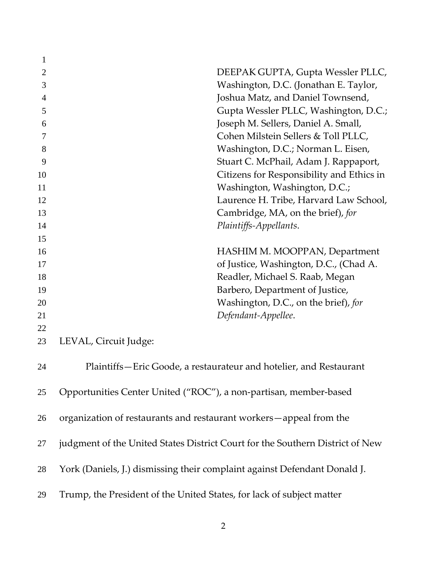| 1              |                                                                               |  |
|----------------|-------------------------------------------------------------------------------|--|
| $\overline{2}$ | DEEPAK GUPTA, Gupta Wessler PLLC,                                             |  |
| 3              | Washington, D.C. (Jonathan E. Taylor,                                         |  |
| 4              | Joshua Matz, and Daniel Townsend,                                             |  |
| 5              | Gupta Wessler PLLC, Washington, D.C.;                                         |  |
| 6              | Joseph M. Sellers, Daniel A. Small,                                           |  |
| 7              | Cohen Milstein Sellers & Toll PLLC,                                           |  |
| 8              | Washington, D.C.; Norman L. Eisen,                                            |  |
| 9              | Stuart C. McPhail, Adam J. Rappaport,                                         |  |
| 10             | Citizens for Responsibility and Ethics in                                     |  |
| 11             | Washington, Washington, D.C.;                                                 |  |
| 12             | Laurence H. Tribe, Harvard Law School,                                        |  |
| 13             | Cambridge, MA, on the brief), for                                             |  |
| 14             | Plaintiffs-Appellants.                                                        |  |
| 15             |                                                                               |  |
| 16             | HASHIM M. MOOPPAN, Department                                                 |  |
| 17             | of Justice, Washington, D.C., (Chad A.                                        |  |
| 18             | Readler, Michael S. Raab, Megan                                               |  |
| 19             | Barbero, Department of Justice,                                               |  |
| 20             | Washington, D.C., on the brief), for                                          |  |
| 21             | Defendant-Appellee.                                                           |  |
| 22             |                                                                               |  |
| 23             | LEVAL, Circuit Judge:                                                         |  |
| 24             | Plaintiffs-Eric Goode, a restaurateur and hotelier, and Restaurant            |  |
| 25             | Opportunities Center United ("ROC"), a non-partisan, member-based             |  |
| 26             | organization of restaurants and restaurant workers-appeal from the            |  |
| 27             | judgment of the United States District Court for the Southern District of New |  |
| 28             | York (Daniels, J.) dismissing their complaint against Defendant Donald J.     |  |
| 29             | Trump, the President of the United States, for lack of subject matter         |  |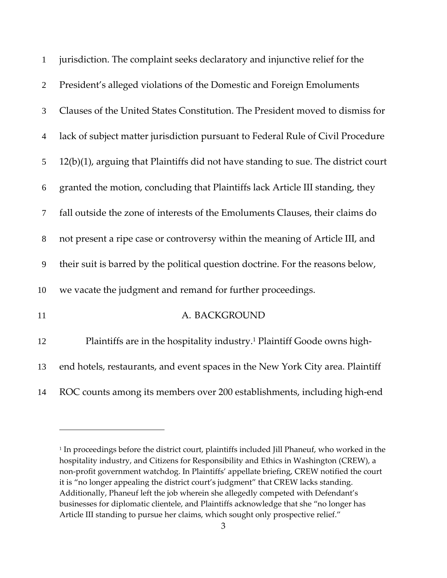| $\mathbf{1}$   | jurisdiction. The complaint seeks declaratory and injunctive relief for the         |
|----------------|-------------------------------------------------------------------------------------|
| $\overline{2}$ | President's alleged violations of the Domestic and Foreign Emoluments               |
| 3              | Clauses of the United States Constitution. The President moved to dismiss for       |
| $\overline{4}$ | lack of subject matter jurisdiction pursuant to Federal Rule of Civil Procedure     |
| 5              | 12(b)(1), arguing that Plaintiffs did not have standing to sue. The district court  |
| 6              | granted the motion, concluding that Plaintiffs lack Article III standing, they      |
| $\tau$         | fall outside the zone of interests of the Emoluments Clauses, their claims do       |
| $8\,$          | not present a ripe case or controversy within the meaning of Article III, and       |
| 9              | their suit is barred by the political question doctrine. For the reasons below,     |
| 10             | we vacate the judgment and remand for further proceedings.                          |
| 11             | A. BACKGROUND                                                                       |
| 12             | Plaintiffs are in the hospitality industry. <sup>1</sup> Plaintiff Goode owns high- |
| 13             | end hotels, restaurants, and event spaces in the New York City area. Plaintiff      |
| 14             | ROC counts among its members over 200 establishments, including high-end            |

<sup>&</sup>lt;sup>1</sup> In proceedings before the district court, plaintiffs included Jill Phaneuf, who worked in the hospitality industry, and Citizens for Responsibility and Ethics in Washington (CREW), a non‐profit government watchdog. In Plaintiffs' appellate briefing, CREW notified the court it is "no longer appealing the district court's judgment" that CREW lacks standing. Additionally, Phaneuf left the job wherein she allegedly competed with Defendant's businesses for diplomatic clientele, and Plaintiffs acknowledge that she "no longer has Article III standing to pursue her claims, which sought only prospective relief."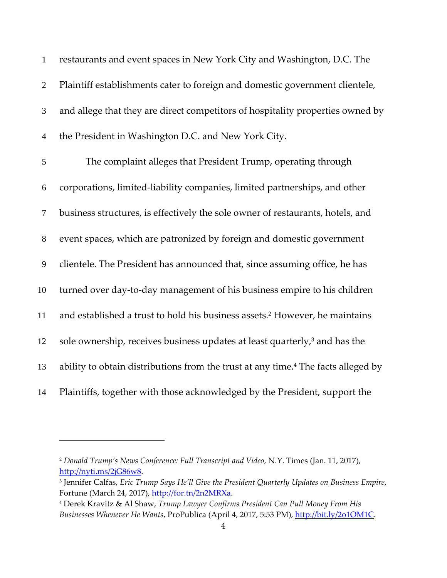| $\mathbf{1}$     | restaurants and event spaces in New York City and Washington, D.C. The                        |
|------------------|-----------------------------------------------------------------------------------------------|
| $\mathbf{2}$     | Plaintiff establishments cater to foreign and domestic government clientele,                  |
| 3                | and allege that they are direct competitors of hospitality properties owned by                |
| $\overline{4}$   | the President in Washington D.C. and New York City.                                           |
| $\mathfrak{S}$   | The complaint alleges that President Trump, operating through                                 |
| 6                | corporations, limited-liability companies, limited partnerships, and other                    |
| $\overline{7}$   | business structures, is effectively the sole owner of restaurants, hotels, and                |
| $8\,$            | event spaces, which are patronized by foreign and domestic government                         |
| $\boldsymbol{9}$ | clientele. The President has announced that, since assuming office, he has                    |
| 10               | turned over day-to-day management of his business empire to his children                      |
| 11               | and established a trust to hold his business assets. <sup>2</sup> However, he maintains       |
| 12               | sole ownership, receives business updates at least quarterly, <sup>3</sup> and has the        |
| 13               | ability to obtain distributions from the trust at any time. <sup>4</sup> The facts alleged by |
| 14               | Plaintiffs, together with those acknowledged by the President, support the                    |

 *Donald Trump's News Conference: Full Transcript and Video*, N.Y. Times (Jan. 11, 2017), http://nyti.ms/2jG86w8.

 Jennifer Calfas, *Eric Trump Says He'll Give the President Quarterly Updates on Business Empire*, Fortune (March 24, 2017), http://for.tn/2n2MRXa.

 Derek Kravitz & Al Shaw, *Trump Lawyer Confirms President Can Pull Money From His Businesses Whenever He Wants*, ProPublica (April 4, 2017, 5:53 PM), http://bit.ly/2o1OM1C.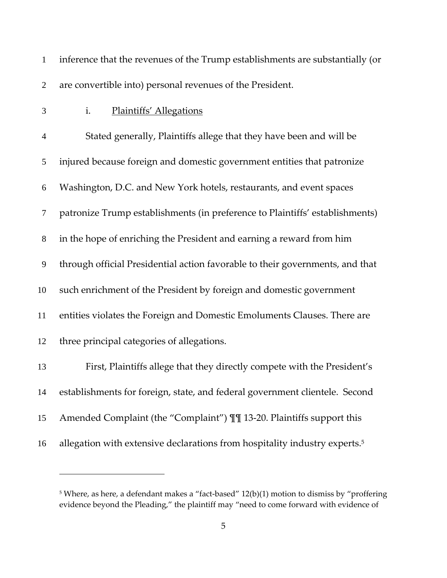| $\mathbf{1}$   | inference that the revenues of the Trump establishments are substantially (or          |
|----------------|----------------------------------------------------------------------------------------|
| $\overline{2}$ | are convertible into) personal revenues of the President.                              |
| 3              | <b>Plaintiffs' Allegations</b><br>i.                                                   |
| $\overline{4}$ | Stated generally, Plaintiffs allege that they have been and will be                    |
| 5              | injured because foreign and domestic government entities that patronize                |
| 6              | Washington, D.C. and New York hotels, restaurants, and event spaces                    |
| 7              | patronize Trump establishments (in preference to Plaintiffs' establishments)           |
| $8\,$          | in the hope of enriching the President and earning a reward from him                   |
| 9              | through official Presidential action favorable to their governments, and that          |
| 10             | such enrichment of the President by foreign and domestic government                    |
| 11             | entities violates the Foreign and Domestic Emoluments Clauses. There are               |
| 12             | three principal categories of allegations.                                             |
| 13             | First, Plaintiffs allege that they directly compete with the President's               |
| 14             | establishments for foreign, state, and federal government clientele. Second            |
| 15             | Amended Complaint (the "Complaint") III 13-20. Plaintiffs support this                 |
| 16             | allegation with extensive declarations from hospitality industry experts. <sup>5</sup> |

 Where, as here, a defendant makes a "fact-based" 12(b)(1) motion to dismiss by "proffering evidence beyond the Pleading," the plaintiff may "need to come forward with evidence of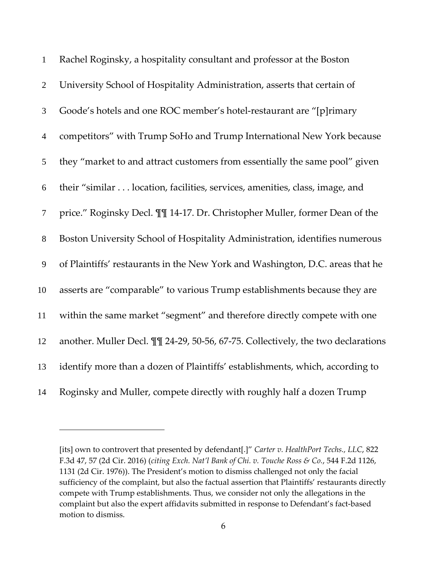| $\mathbf{1}$     | Rachel Roginsky, a hospitality consultant and professor at the Boston            |
|------------------|----------------------------------------------------------------------------------|
| $\overline{2}$   | University School of Hospitality Administration, asserts that certain of         |
| 3                | Goode's hotels and one ROC member's hotel-restaurant are "[p]rimary              |
| $\overline{4}$   | competitors" with Trump SoHo and Trump International New York because            |
| 5                | they "market to and attract customers from essentially the same pool" given      |
| $\boldsymbol{6}$ | their "similar location, facilities, services, amenities, class, image, and      |
| $\tau$           | price." Roginsky Decl. III 14-17. Dr. Christopher Muller, former Dean of the     |
| $8\,$            | Boston University School of Hospitality Administration, identifies numerous      |
| $\boldsymbol{9}$ | of Plaintiffs' restaurants in the New York and Washington, D.C. areas that he    |
| 10               | asserts are "comparable" to various Trump establishments because they are        |
| 11               | within the same market "segment" and therefore directly compete with one         |
| 12               | another. Muller Decl. II 24-29, 50-56, 67-75. Collectively, the two declarations |
| 13               | identify more than a dozen of Plaintiffs' establishments, which, according to    |
| 14               | Roginsky and Muller, compete directly with roughly half a dozen Trump            |

<sup>[</sup>its] own to controvert that presented by defendant[.]" *Carter v. HealthPort Techs., LLC*, 822 F.3d 47, 57 (2d Cir. 2016) (*citing Exch. Nat'l Bank of Chi. v. Touche Ross & Co.*, 544 F.2d 1126, (2d Cir. 1976)). The President's motion to dismiss challenged not only the facial sufficiency of the complaint, but also the factual assertion that Plaintiffs' restaurants directly compete with Trump establishments. Thus, we consider not only the allegations in the complaint but also the expert affidavits submitted in response to Defendant's fact-based motion to dismiss.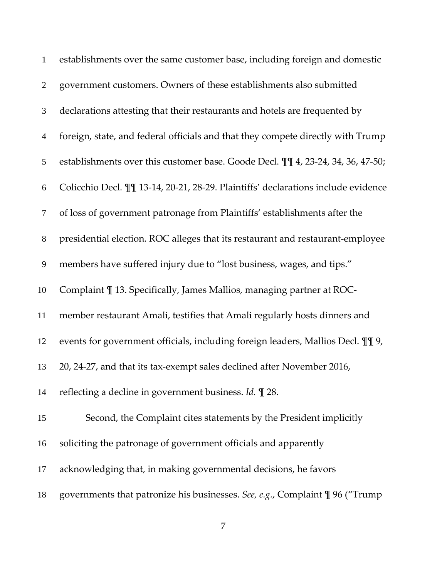| $\mathbf{1}$     | establishments over the same customer base, including foreign and domestic        |
|------------------|-----------------------------------------------------------------------------------|
| $\overline{2}$   | government customers. Owners of these establishments also submitted               |
| 3                | declarations attesting that their restaurants and hotels are frequented by        |
| $\overline{4}$   | foreign, state, and federal officials and that they compete directly with Trump   |
| 5                | establishments over this customer base. Goode Decl. II 4, 23-24, 34, 36, 47-50;   |
| 6                | Colicchio Decl. II 13-14, 20-21, 28-29. Plaintiffs' declarations include evidence |
| $\tau$           | of loss of government patronage from Plaintiffs' establishments after the         |
| $8\,$            | presidential election. ROC alleges that its restaurant and restaurant-employee    |
| $\boldsymbol{9}$ | members have suffered injury due to "lost business, wages, and tips."             |
| 10               | Complaint ¶ 13. Specifically, James Mallios, managing partner at ROC-             |
| 11               | member restaurant Amali, testifies that Amali regularly hosts dinners and         |
| 12               | events for government officials, including foreign leaders, Mallios Decl. II 9,   |
| 13               | 20, 24-27, and that its tax-exempt sales declined after November 2016,            |
| 14               | reflecting a decline in government business. Id. $\mathbb{I}$ 28.                 |
| 15               | Second, the Complaint cites statements by the President implicitly                |
| 16               | soliciting the patronage of government officials and apparently                   |
| 17               | acknowledging that, in making governmental decisions, he favors                   |
| 18               | governments that patronize his businesses. See, e.g., Complaint \[ 96 ("Trump     |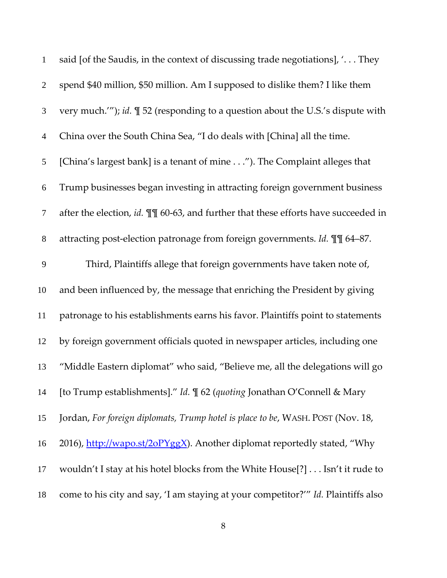| $\mathbf{1}$     | said [of the Saudis, in the context of discussing trade negotiations], ' They      |
|------------------|------------------------------------------------------------------------------------|
| $\overline{2}$   | spend \$40 million, \$50 million. Am I supposed to dislike them? I like them       |
| $\mathfrak{Z}$   | very much.""); id. $\P$ 52 (responding to a question about the U.S.'s dispute with |
| $\overline{4}$   | China over the South China Sea, "I do deals with [China] all the time.             |
| 5                | [China's largest bank] is a tenant of mine"). The Complaint alleges that           |
| $\boldsymbol{6}$ | Trump businesses began investing in attracting foreign government business         |
| $\tau$           | after the election, id. II 60-63, and further that these efforts have succeeded in |
| $8\,$            | attracting post-election patronage from foreign governments. Id. II 64-87.         |
| 9                | Third, Plaintiffs allege that foreign governments have taken note of,              |
| 10               | and been influenced by, the message that enriching the President by giving         |
| 11               | patronage to his establishments earns his favor. Plaintiffs point to statements    |
| 12               | by foreign government officials quoted in newspaper articles, including one        |
| 13               | "Middle Eastern diplomat" who said, "Believe me, all the delegations will go       |
| 14               | [to Trump establishments]." Id. ¶ 62 (quoting Jonathan O'Connell & Mary            |
| 15               | Jordan, For foreign diplomats, Trump hotel is place to be, WASH. POST (Nov. 18,    |
| 16               | 2016), http://wapo.st/2oPYggX). Another diplomat reportedly stated, "Why           |
| 17               | wouldn't I stay at his hotel blocks from the White House[?] Isn't it rude to       |
| 18               | come to his city and say, 'I am staying at your competitor?'" Id. Plaintiffs also  |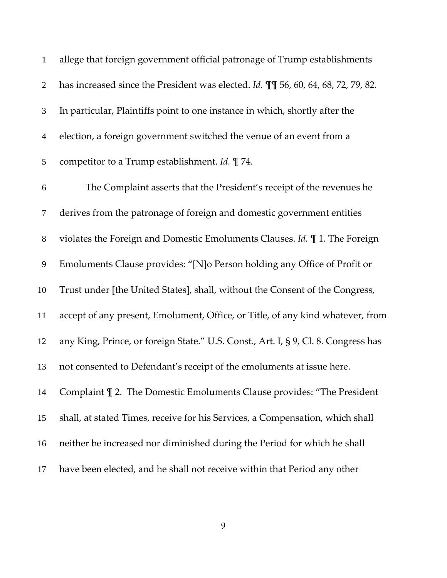| $\mathbf{1}$   | allege that foreign government official patronage of Trump establishments          |
|----------------|------------------------------------------------------------------------------------|
| $\overline{2}$ | has increased since the President was elected. Id. II 56, 60, 64, 68, 72, 79, 82.  |
| 3              | In particular, Plaintiffs point to one instance in which, shortly after the        |
| $\overline{4}$ | election, a foreign government switched the venue of an event from a               |
| 5              | competitor to a Trump establishment. Id. [ 74.                                     |
| 6              | The Complaint asserts that the President's receipt of the revenues he              |
| $\tau$         | derives from the patronage of foreign and domestic government entities             |
| $8\,$          | violates the Foreign and Domestic Emoluments Clauses. Id. $\P$ 1. The Foreign      |
| 9              | Emoluments Clause provides: "[N]o Person holding any Office of Profit or           |
| 10             | Trust under [the United States], shall, without the Consent of the Congress,       |
| 11             | accept of any present, Emolument, Office, or Title, of any kind whatever, from     |
| 12             | any King, Prince, or foreign State." U.S. Const., Art. I, § 9, Cl. 8. Congress has |
| 13             | not consented to Defendant's receipt of the emoluments at issue here.              |
| 14             | Complaint $\P$ 2. The Domestic Emoluments Clause provides: "The President          |
| 15             | shall, at stated Times, receive for his Services, a Compensation, which shall      |
| 16             | neither be increased nor diminished during the Period for which he shall           |
| 17             | have been elected, and he shall not receive within that Period any other           |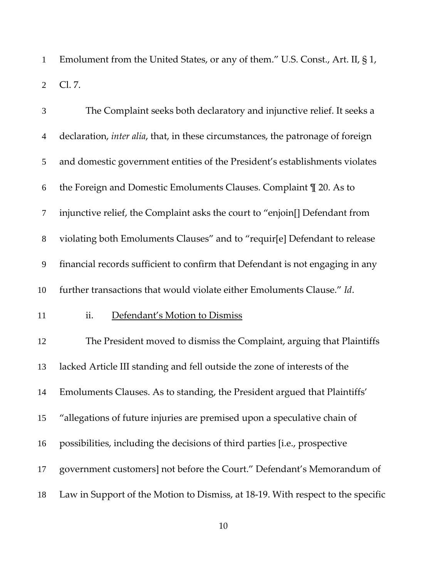Emolument from the United States, or any of them." U.S. Const., Art. II, § 1, Cl. 7.

| $\mathfrak{Z}$ | The Complaint seeks both declaratory and injunctive relief. It seeks a                  |
|----------------|-----------------------------------------------------------------------------------------|
| $\overline{4}$ | declaration, <i>inter alia</i> , that, in these circumstances, the patronage of foreign |
| 5              | and domestic government entities of the President's establishments violates             |
| 6              | the Foreign and Domestic Emoluments Clauses. Complaint 1 20. As to                      |
| $\tau$         | injunctive relief, the Complaint asks the court to "enjoin[] Defendant from             |
| $8\,$          | violating both Emoluments Clauses" and to "requir[e] Defendant to release               |
| 9              | financial records sufficient to confirm that Defendant is not engaging in any           |
| 10             | further transactions that would violate either Emoluments Clause." Id.                  |
| 11             | ii.<br>Defendant's Motion to Dismiss                                                    |
| 12             | The President moved to dismiss the Complaint, arguing that Plaintiffs                   |
| 13             | lacked Article III standing and fell outside the zone of interests of the               |
| 14             | Emoluments Clauses. As to standing, the President argued that Plaintiffs'               |
| 15             | "allegations of future injuries are premised upon a speculative chain of                |
| 16             | possibilities, including the decisions of third parties [i.e., prospective              |
| 17             | government customers] not before the Court." Defendant's Memorandum of                  |
| 18             | Law in Support of the Motion to Dismiss, at 18-19. With respect to the specific         |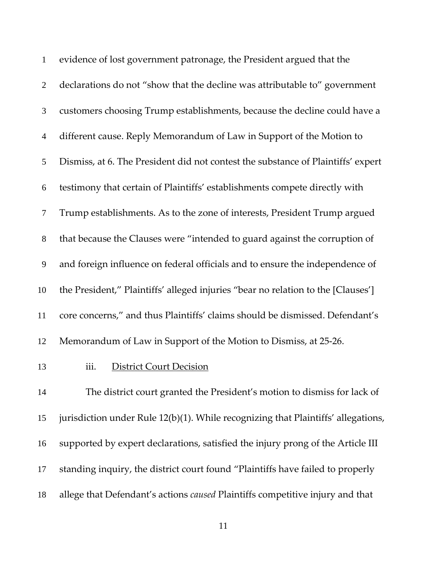| $\mathbf{1}$   | evidence of lost government patronage, the President argued that the              |
|----------------|-----------------------------------------------------------------------------------|
| $\overline{2}$ | declarations do not "show that the decline was attributable to" government        |
| 3              | customers choosing Trump establishments, because the decline could have a         |
| $\overline{4}$ | different cause. Reply Memorandum of Law in Support of the Motion to              |
| 5              | Dismiss, at 6. The President did not contest the substance of Plaintiffs' expert  |
| 6              | testimony that certain of Plaintiffs' establishments compete directly with        |
| $\tau$         | Trump establishments. As to the zone of interests, President Trump argued         |
| 8              | that because the Clauses were "intended to guard against the corruption of        |
| 9              | and foreign influence on federal officials and to ensure the independence of      |
| 10             | the President," Plaintiffs' alleged injuries "bear no relation to the [Clauses']  |
| 11             | core concerns," and thus Plaintiffs' claims should be dismissed. Defendant's      |
| 12             | Memorandum of Law in Support of the Motion to Dismiss, at 25-26.                  |
| 13             | iii.<br><b>District Court Decision</b>                                            |
| 14             | The district court granted the President's motion to dismiss for lack of          |
| 15             | jurisdiction under Rule 12(b)(1). While recognizing that Plaintiffs' allegations, |
| 16             | supported by expert declarations, satisfied the injury prong of the Article III   |
| 17             | standing inquiry, the district court found "Plaintiffs have failed to properly    |
| 18             | allege that Defendant's actions caused Plaintiffs competitive injury and that     |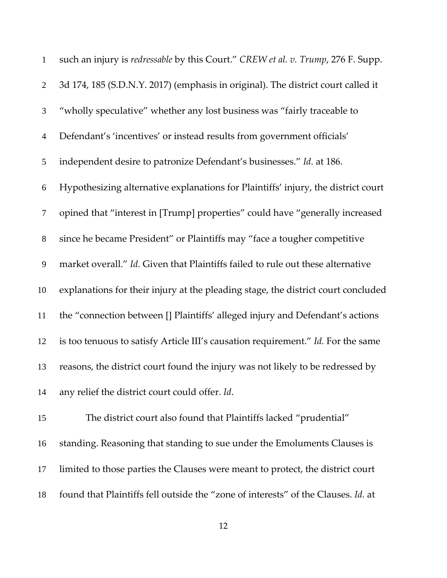| $\mathbf{1}$     | such an injury is redressable by this Court." CREW et al. v. Trump, 276 F. Supp.  |
|------------------|-----------------------------------------------------------------------------------|
| $\overline{2}$   | 3d 174, 185 (S.D.N.Y. 2017) (emphasis in original). The district court called it  |
| 3                | "wholly speculative" whether any lost business was "fairly traceable to           |
| $\overline{4}$   | Defendant's 'incentives' or instead results from government officials'            |
| 5                | independent desire to patronize Defendant's businesses." Id. at 186.              |
| 6                | Hypothesizing alternative explanations for Plaintiffs' injury, the district court |
| $\boldsymbol{7}$ | opined that "interest in [Trump] properties" could have "generally increased      |
| $8\,$            | since he became President" or Plaintiffs may "face a tougher competitive          |
| $\mathbf{9}$     | market overall." Id. Given that Plaintiffs failed to rule out these alternative   |
| 10               | explanations for their injury at the pleading stage, the district court concluded |
| 11               | the "connection between [] Plaintiffs' alleged injury and Defendant's actions     |
| 12               | is too tenuous to satisfy Article III's causation requirement." Id. For the same  |
| 13               | reasons, the district court found the injury was not likely to be redressed by    |
| 14               | any relief the district court could offer. Id.                                    |
| 15               | The district court also found that Plaintiffs lacked "prudential"                 |
| 16               | standing. Reasoning that standing to sue under the Emoluments Clauses is          |
| 17               | limited to those parties the Clauses were meant to protect, the district court    |

found that Plaintiffs fell outside the "zone of interests" of the Clauses. *Id.* at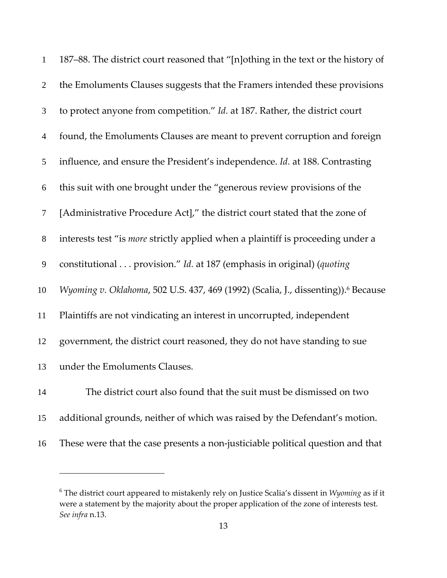| $\mathbf{1}$   | 187–88. The district court reasoned that "[n]othing in the text or the history of             |
|----------------|-----------------------------------------------------------------------------------------------|
| $\overline{2}$ | the Emoluments Clauses suggests that the Framers intended these provisions                    |
| 3              | to protect anyone from competition." Id. at 187. Rather, the district court                   |
| $\overline{4}$ | found, the Emoluments Clauses are meant to prevent corruption and foreign                     |
| 5              | influence, and ensure the President's independence. Id. at 188. Contrasting                   |
| 6              | this suit with one brought under the "generous review provisions of the                       |
| $\tau$         | [Administrative Procedure Act]," the district court stated that the zone of                   |
| $8\,$          | interests test "is <i>more</i> strictly applied when a plaintiff is proceeding under a        |
| 9              | constitutional provision." Id. at 187 (emphasis in original) (quoting                         |
| 10             | Wyoming v. Oklahoma, 502 U.S. 437, 469 (1992) (Scalia, J., dissenting)). <sup>6</sup> Because |
| 11             | Plaintiffs are not vindicating an interest in uncorrupted, independent                        |
| 12             | government, the district court reasoned, they do not have standing to sue                     |
| 13             | under the Emoluments Clauses.                                                                 |
| 14             | The district court also found that the suit must be dismissed on two                          |
| 15             | additional grounds, neither of which was raised by the Defendant's motion.                    |
| 16             | These were that the case presents a non-justiciable political question and that               |

<u>.</u>

 The district court appeared to mistakenly rely on Justice Scalia's dissent in *Wyoming* as if it were a statement by the majority about the proper application of the zone of interests test. *See infra* n.13.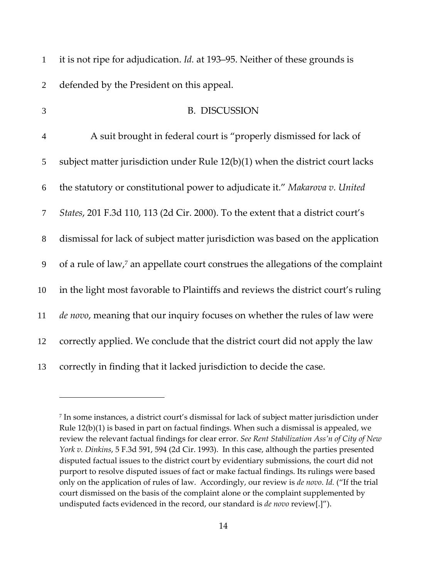| $\mathbf{1}$   | it is not ripe for adjudication. <i>Id.</i> at 193–95. Neither of these grounds is           |
|----------------|----------------------------------------------------------------------------------------------|
| $\overline{2}$ | defended by the President on this appeal.                                                    |
| 3              | <b>B. DISCUSSION</b>                                                                         |
| $\overline{4}$ | A suit brought in federal court is "properly dismissed for lack of                           |
| 5              | subject matter jurisdiction under Rule $12(b)(1)$ when the district court lacks              |
| 6              | the statutory or constitutional power to adjudicate it." Makarova v. United                  |
| $\tau$         | States, 201 F.3d 110, 113 (2d Cir. 2000). To the extent that a district court's              |
| $\, 8$         | dismissal for lack of subject matter jurisdiction was based on the application               |
| 9              | of a rule of law, <sup>7</sup> an appellate court construes the allegations of the complaint |
| 10             | in the light most favorable to Plaintiffs and reviews the district court's ruling            |
| 11             | de novo, meaning that our inquiry focuses on whether the rules of law were                   |
| 12             | correctly applied. We conclude that the district court did not apply the law                 |
| 13             | correctly in finding that it lacked jurisdiction to decide the case.                         |

<u>.</u>

 In some instances, a district court's dismissal for lack of subject matter jurisdiction under Rule 12(b)(1) is based in part on factual findings. When such a dismissal is appealed, we review the relevant factual findings for clear error. *See Rent Stabilization Ass'n of City of New York v. Dinkins*, 5 F.3d 591, 594 (2d Cir. 1993). In this case, although the parties presented disputed factual issues to the district court by evidentiary submissions, the court did not purport to resolve disputed issues of fact or make factual findings. Its rulings were based only on the application of rules of law. Accordingly, our review is *de novo*. *Id.* ("If the trial court dismissed on the basis of the complaint alone or the complaint supplemented by undisputed facts evidenced in the record, our standard is *de novo* review[.]").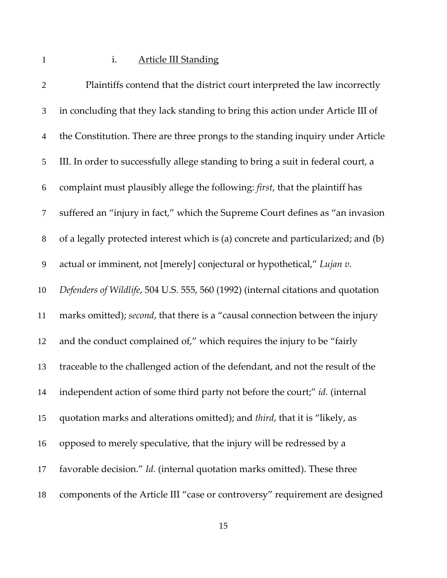## 1 i. Article III Standing

| $\mathfrak{2}$   | Plaintiffs contend that the district court interpreted the law incorrectly        |
|------------------|-----------------------------------------------------------------------------------|
| 3                | in concluding that they lack standing to bring this action under Article III of   |
| $\overline{4}$   | the Constitution. There are three prongs to the standing inquiry under Article    |
| $\mathfrak{S}$   | III. In order to successfully allege standing to bring a suit in federal court, a |
| $\boldsymbol{6}$ | complaint must plausibly allege the following: first, that the plaintiff has      |
| $\boldsymbol{7}$ | suffered an "injury in fact," which the Supreme Court defines as "an invasion     |
| $8\,$            | of a legally protected interest which is (a) concrete and particularized; and (b) |
| $\overline{9}$   | actual or imminent, not [merely] conjectural or hypothetical," Lujan v.           |
| 10               | Defenders of Wildlife, 504 U.S. 555, 560 (1992) (internal citations and quotation |
| 11               | marks omitted); second, that there is a "causal connection between the injury     |
| 12               | and the conduct complained of," which requires the injury to be "fairly           |
| 13               | traceable to the challenged action of the defendant, and not the result of the    |
| 14               | independent action of some third party not before the court;" id. (internal       |
| 15               | quotation marks and alterations omitted); and third, that it is "likely, as       |
| 16               | opposed to merely speculative, that the injury will be redressed by a             |
| 17               | favorable decision." Id. (internal quotation marks omitted). These three          |
| 18               | components of the Article III "case or controversy" requirement are designed      |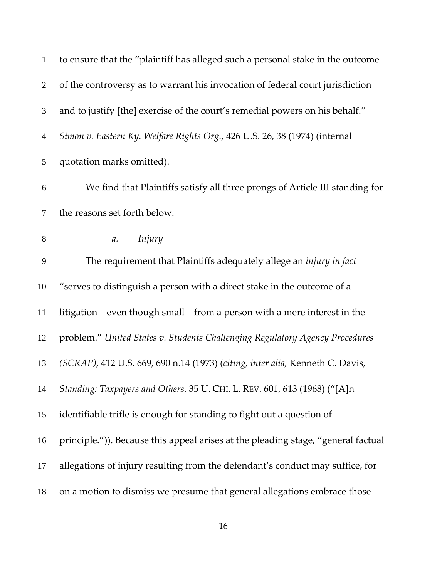| $\mathbf{1}$   | to ensure that the "plaintiff has alleged such a personal stake in the outcome    |
|----------------|-----------------------------------------------------------------------------------|
| $\overline{2}$ | of the controversy as to warrant his invocation of federal court jurisdiction     |
| 3              | and to justify [the] exercise of the court's remedial powers on his behalf."      |
| $\overline{4}$ | Simon v. Eastern Ky. Welfare Rights Org., 426 U.S. 26, 38 (1974) (internal        |
| 5              | quotation marks omitted).                                                         |
| 6              | We find that Plaintiffs satisfy all three prongs of Article III standing for      |
| $\tau$         | the reasons set forth below.                                                      |
| $8\,$          | Injury<br>a.                                                                      |
| 9              | The requirement that Plaintiffs adequately allege an <i>injury in fact</i>        |
| 10             | "serves to distinguish a person with a direct stake in the outcome of a           |
| 11             | litigation—even though small—from a person with a mere interest in the            |
| 12             | problem." United States v. Students Challenging Regulatory Agency Procedures      |
| 13             | (SCRAP), 412 U.S. 669, 690 n.14 (1973) (citing, inter alia, Kenneth C. Davis,     |
| 14             | Standing: Taxpayers and Others, 35 U. CHI. L. REV. 601, 613 (1968) ("[A]n         |
| 15             | identifiable trifle is enough for standing to fight out a question of             |
| 16             | principle.")). Because this appeal arises at the pleading stage, "general factual |
| 17             | allegations of injury resulting from the defendant's conduct may suffice, for     |
| 18             | on a motion to dismiss we presume that general allegations embrace those          |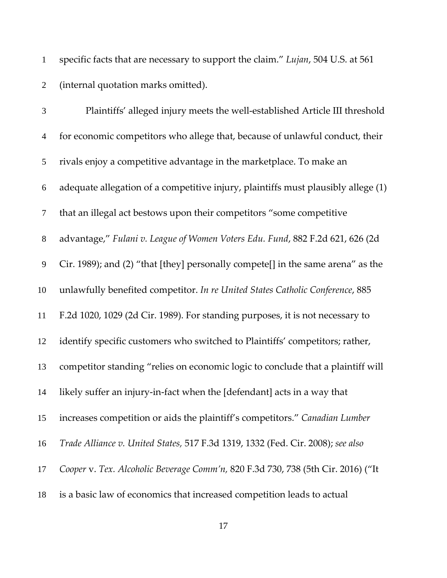specific facts that are necessary to support the claim." *Lujan*, 504 U.S. at 561 (internal quotation marks omitted).

| 3                | Plaintiffs' alleged injury meets the well-established Article III threshold       |
|------------------|-----------------------------------------------------------------------------------|
| $\overline{4}$   | for economic competitors who allege that, because of unlawful conduct, their      |
| 5                | rivals enjoy a competitive advantage in the marketplace. To make an               |
| $\boldsymbol{6}$ | adequate allegation of a competitive injury, plaintiffs must plausibly allege (1) |
| $\tau$           | that an illegal act bestows upon their competitors "some competitive              |
| $8\,$            | advantage," Fulani v. League of Women Voters Edu. Fund, 882 F.2d 621, 626 (2d     |
| $\overline{9}$   | Cir. 1989); and (2) "that [they] personally compete[] in the same arena" as the   |
| 10               | unlawfully benefited competitor. In re United States Catholic Conference, 885     |
| 11               | F.2d 1020, 1029 (2d Cir. 1989). For standing purposes, it is not necessary to     |
| 12               | identify specific customers who switched to Plaintiffs' competitors; rather,      |
| 13               | competitor standing "relies on economic logic to conclude that a plaintiff will   |
| 14               | likely suffer an injury-in-fact when the [defendant] acts in a way that           |
| 15               | increases competition or aids the plaintiff's competitors." Canadian Lumber       |
| 16               | Trade Alliance v. United States, 517 F.3d 1319, 1332 (Fed. Cir. 2008); see also   |
| 17               | Cooper v. Tex. Alcoholic Beverage Comm'n, 820 F.3d 730, 738 (5th Cir. 2016) ("It  |
| 18               | is a basic law of economics that increased competition leads to actual            |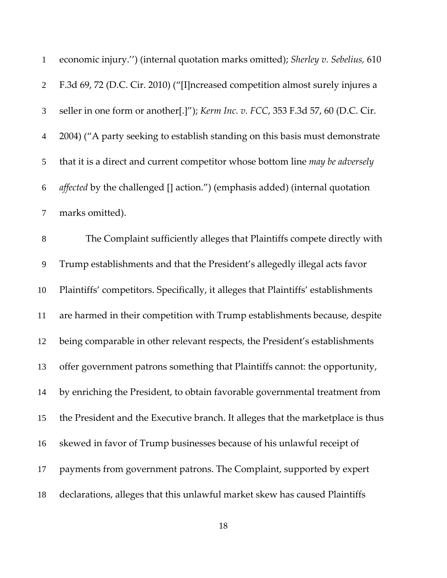| $\mathbf{1}$   | economic injury.") (internal quotation marks omitted); Sherley v. Sebelius, 610   |
|----------------|-----------------------------------------------------------------------------------|
| $\overline{2}$ | F.3d 69, 72 (D.C. Cir. 2010) ("[I]ncreased competition almost surely injures a    |
| $\mathfrak{Z}$ | seller in one form or another[.]"); Kerm Inc. v. FCC, 353 F.3d 57, 60 (D.C. Cir.  |
| $\overline{4}$ | 2004) ("A party seeking to establish standing on this basis must demonstrate      |
| 5              | that it is a direct and current competitor whose bottom line may be adversely     |
| 6              | affected by the challenged [] action.") (emphasis added) (internal quotation      |
| $\tau$         | marks omitted).                                                                   |
| $8\,$          | The Complaint sufficiently alleges that Plaintiffs compete directly with          |
| $\mathbf{9}$   | Trump establishments and that the President's allegedly illegal acts favor        |
| 10             | Plaintiffs' competitors. Specifically, it alleges that Plaintiffs' establishments |
| 11             | are harmed in their competition with Trump establishments because, despite        |
| 12             | being comparable in other relevant respects, the President's establishments       |
| 13             | offer government patrons something that Plaintiffs cannot: the opportunity,       |
| 14             | by enriching the President, to obtain favorable governmental treatment from       |
| 15             | the President and the Executive branch. It alleges that the marketplace is thus   |
| 16             | skewed in favor of Trump businesses because of his unlawful receipt of            |
| 17             | payments from government patrons. The Complaint, supported by expert              |
| 18             | declarations, alleges that this unlawful market skew has caused Plaintiffs        |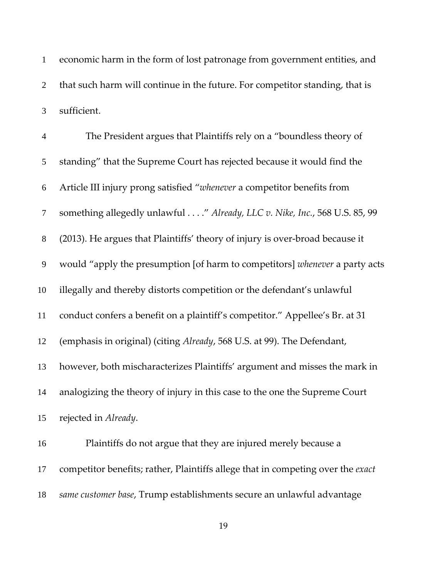economic harm in the form of lost patronage from government entities, and that such harm will continue in the future. For competitor standing, that is sufficient.

| $\overline{4}$ | The President argues that Plaintiffs rely on a "boundless theory of          |
|----------------|------------------------------------------------------------------------------|
| 5              | standing" that the Supreme Court has rejected because it would find the      |
| 6              | Article III injury prong satisfied "whenever a competitor benefits from      |
| $\tau$         | something allegedly unlawful" Already, LLC v. Nike, Inc., 568 U.S. 85, 99    |
| $8\,$          | (2013). He argues that Plaintiffs' theory of injury is over-broad because it |
| 9              | would "apply the presumption [of harm to competitors] whenever a party acts  |
| 10             | illegally and thereby distorts competition or the defendant's unlawful       |
| 11             | conduct confers a benefit on a plaintiff's competitor." Appellee's Br. at 31 |
| 12             | (emphasis in original) (citing Already, 568 U.S. at 99). The Defendant,      |
| 13             | however, both mischaracterizes Plaintiffs' argument and misses the mark in   |
| 14             | analogizing the theory of injury in this case to the one the Supreme Court   |
| 15             | rejected in Already.                                                         |
|                |                                                                              |

Plaintiffs do not argue that they are injured merely because a competitor benefits; rather, Plaintiffs allege that in competing over the *exact same customer base*, Trump establishments secure an unlawful advantage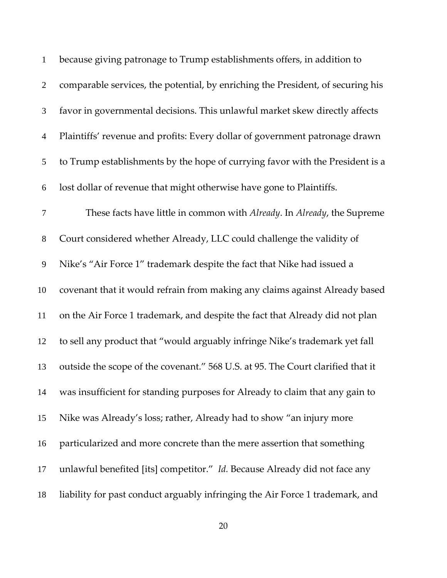| $\mathbf{1}$   | because giving patronage to Trump establishments offers, in addition to         |
|----------------|---------------------------------------------------------------------------------|
| $\mathbf{2}$   | comparable services, the potential, by enriching the President, of securing his |
| 3              | favor in governmental decisions. This unlawful market skew directly affects     |
| $\overline{4}$ | Plaintiffs' revenue and profits: Every dollar of government patronage drawn     |
| 5              | to Trump establishments by the hope of currying favor with the President is a   |
| 6              | lost dollar of revenue that might otherwise have gone to Plaintiffs.            |
| 7              | These facts have little in common with Already. In Already, the Supreme         |
| $8\,$          | Court considered whether Already, LLC could challenge the validity of           |
| 9              | Nike's "Air Force 1" trademark despite the fact that Nike had issued a          |
| 10             | covenant that it would refrain from making any claims against Already based     |
| 11             | on the Air Force 1 trademark, and despite the fact that Already did not plan    |
| 12             | to sell any product that "would arguably infringe Nike's trademark yet fall     |
| 13             | outside the scope of the covenant." 568 U.S. at 95. The Court clarified that it |
| 14             | was insufficient for standing purposes for Already to claim that any gain to    |
| 15             | Nike was Already's loss; rather, Already had to show "an injury more            |
| 16             | particularized and more concrete than the mere assertion that something         |
| 17             | unlawful benefited [its] competitor." Id. Because Already did not face any      |
| 18             | liability for past conduct arguably infringing the Air Force 1 trademark, and   |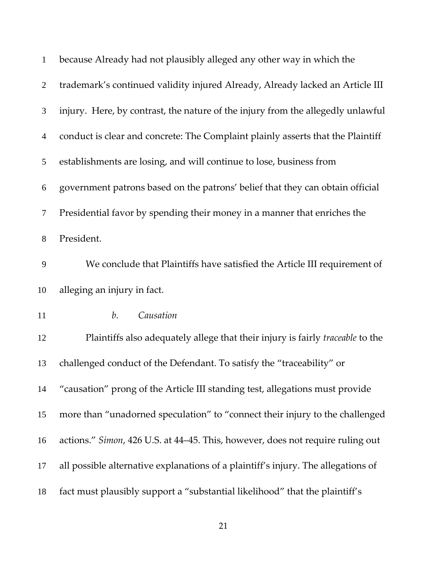| $\mathbf{1}$   | because Already had not plausibly alleged any other way in which the              |
|----------------|-----------------------------------------------------------------------------------|
| $\overline{2}$ | trademark's continued validity injured Already, Already lacked an Article III     |
| $\mathfrak{Z}$ | injury. Here, by contrast, the nature of the injury from the allegedly unlawful   |
| $\overline{4}$ | conduct is clear and concrete: The Complaint plainly asserts that the Plaintiff   |
| 5              | establishments are losing, and will continue to lose, business from               |
| 6              | government patrons based on the patrons' belief that they can obtain official     |
| $\tau$         | Presidential favor by spending their money in a manner that enriches the          |
| $8\,$          | President.                                                                        |
| 9              | We conclude that Plaintiffs have satisfied the Article III requirement of         |
| 10             | alleging an injury in fact.                                                       |
| 11             | Causation<br>b.                                                                   |
| 12             | Plaintiffs also adequately allege that their injury is fairly traceable to the    |
| 13             | challenged conduct of the Defendant. To satisfy the "traceability" or             |
| 14             | "causation" prong of the Article III standing test, allegations must provide      |
| 15             | more than "unadorned speculation" to "connect their injury to the challenged      |
| 16             | actions." Simon, 426 U.S. at 44–45. This, however, does not require ruling out    |
| 17             | all possible alternative explanations of a plaintiff's injury. The allegations of |
| 18             | fact must plausibly support a "substantial likelihood" that the plaintiff's       |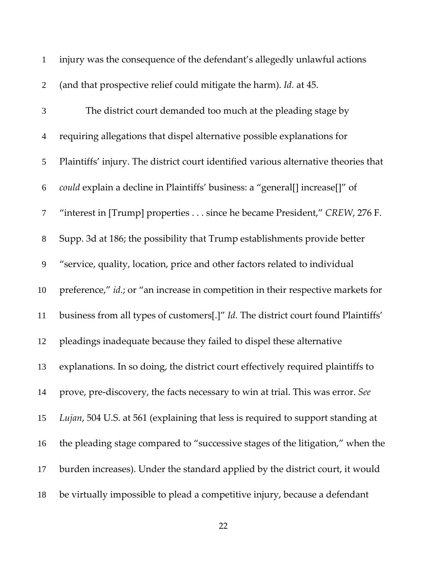| $\mathbf{1}$   | injury was the consequence of the defendant's allegedly unlawful actions            |
|----------------|-------------------------------------------------------------------------------------|
| $\overline{2}$ | (and that prospective relief could mitigate the harm). Id. at 45.                   |
| 3              | The district court demanded too much at the pleading stage by                       |
| $\overline{4}$ | requiring allegations that dispel alternative possible explanations for             |
| 5              | Plaintiffs' injury. The district court identified various alternative theories that |
| 6              | could explain a decline in Plaintiffs' business: a "general[] increase[]" of        |
| $\tau$         | "interest in [Trump] properties since he became President," CREW, 276 F.            |
| $8\,$          | Supp. 3d at 186; the possibility that Trump establishments provide better           |
| 9              | "service, quality, location, price and other factors related to individual          |
| 10             | preference," id.; or "an increase in competition in their respective markets for    |
| 11             | business from all types of customers[.]" Id. The district court found Plaintiffs'   |
| 12             | pleadings inadequate because they failed to dispel these alternative                |
| 13             | explanations. In so doing, the district court effectively required plaintiffs to    |
| 14             | prove, pre-discovery, the facts necessary to win at trial. This was error. See      |
| 15             | Lujan, 504 U.S. at 561 (explaining that less is required to support standing at     |
| 16             | the pleading stage compared to "successive stages of the litigation," when the      |
| 17             | burden increases). Under the standard applied by the district court, it would       |
| 18             | be virtually impossible to plead a competitive injury, because a defendant          |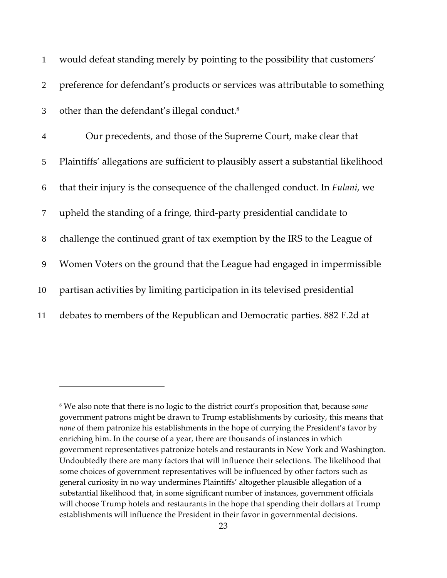| $\mathbf{1}$   | would defeat standing merely by pointing to the possibility that customers'         |
|----------------|-------------------------------------------------------------------------------------|
| 2              | preference for defendant's products or services was attributable to something       |
| 3              | other than the defendant's illegal conduct. <sup>8</sup>                            |
| $\overline{4}$ | Our precedents, and those of the Supreme Court, make clear that                     |
| 5              | Plaintiffs' allegations are sufficient to plausibly assert a substantial likelihood |
| 6              | that their injury is the consequence of the challenged conduct. In Fulani, we       |
| 7              | upheld the standing of a fringe, third-party presidential candidate to              |
| 8              | challenge the continued grant of tax exemption by the IRS to the League of          |
| 9              | Women Voters on the ground that the League had engaged in impermissible             |
| 10             | partisan activities by limiting participation in its televised presidential         |
| 11             | debates to members of the Republican and Democratic parties. 882 F.2d at            |

<sup>8</sup> We also note that there is no logic to the district court's proposition that, because *some* government patrons might be drawn to Trump establishments by curiosity, this means that *none* of them patronize his establishments in the hope of currying the President's favor by enriching him. In the course of a year, there are thousands of instances in which government representatives patronize hotels and restaurants in New York and Washington. Undoubtedly there are many factors that will influence their selections. The likelihood that some choices of government representatives will be influenced by other factors such as general curiosity in no way undermines Plaintiffs' altogether plausible allegation of a substantial likelihood that, in some significant number of instances, government officials will choose Trump hotels and restaurants in the hope that spending their dollars at Trump establishments will influence the President in their favor in governmental decisions.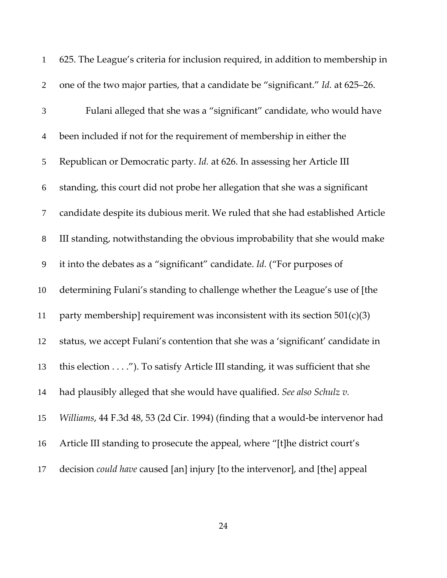| $\mathbf{1}$     | 625. The League's criteria for inclusion required, in addition to membership in     |
|------------------|-------------------------------------------------------------------------------------|
| $\overline{2}$   | one of the two major parties, that a candidate be "significant." Id. at 625–26.     |
| $\mathfrak{Z}$   | Fulani alleged that she was a "significant" candidate, who would have               |
| $\overline{4}$   | been included if not for the requirement of membership in either the                |
| 5                | Republican or Democratic party. Id. at 626. In assessing her Article III            |
| 6                | standing, this court did not probe her allegation that she was a significant        |
| $\tau$           | candidate despite its dubious merit. We ruled that she had established Article      |
| $8\,$            | III standing, notwithstanding the obvious improbability that she would make         |
| $\boldsymbol{9}$ | it into the debates as a "significant" candidate. Id. ("For purposes of             |
| 10               | determining Fulani's standing to challenge whether the League's use of [the         |
| 11               | party membership] requirement was inconsistent with its section $501(c)(3)$         |
| 12               | status, we accept Fulani's contention that she was a 'significant' candidate in     |
| 13               | this election"). To satisfy Article III standing, it was sufficient that she        |
| 14               | had plausibly alleged that she would have qualified. See also Schulz v.             |
| 15               | Williams, 44 F.3d 48, 53 (2d Cir. 1994) (finding that a would-be intervenor had     |
| 16               | Article III standing to prosecute the appeal, where "[t]he district court's         |
| 17               | decision <i>could have</i> caused [an] injury [to the intervenor], and [the] appeal |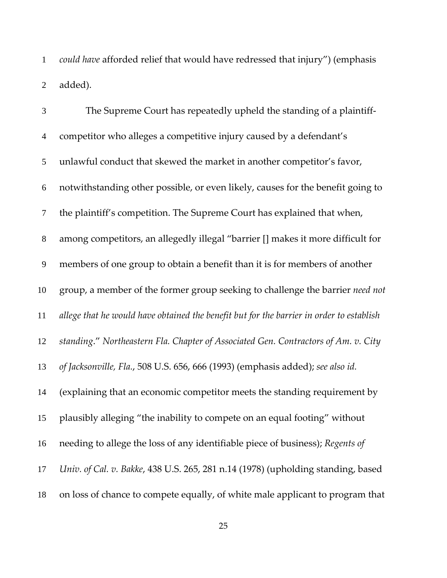*could have* afforded relief that would have redressed that injury") (emphasis added).

| $\mathfrak{Z}$   | The Supreme Court has repeatedly upheld the standing of a plaintiff-                     |
|------------------|------------------------------------------------------------------------------------------|
| $\overline{4}$   | competitor who alleges a competitive injury caused by a defendant's                      |
| 5                | unlawful conduct that skewed the market in another competitor's favor,                   |
| 6                | notwithstanding other possible, or even likely, causes for the benefit going to          |
| $\tau$           | the plaintiff's competition. The Supreme Court has explained that when,                  |
| $8\,$            | among competitors, an allegedly illegal "barrier [] makes it more difficult for          |
| $\boldsymbol{9}$ | members of one group to obtain a benefit than it is for members of another               |
| 10               | group, a member of the former group seeking to challenge the barrier need not            |
| 11               | allege that he would have obtained the benefit but for the barrier in order to establish |
| 12               | standing." Northeastern Fla. Chapter of Associated Gen. Contractors of Am. v. City       |
| 13               | of Jacksonville, Fla., 508 U.S. 656, 666 (1993) (emphasis added); see also id.           |
| 14               | (explaining that an economic competitor meets the standing requirement by                |
| 15               | plausibly alleging "the inability to compete on an equal footing" without                |
| 16               | needing to allege the loss of any identifiable piece of business); Regents of            |
| 17               | Univ. of Cal. v. Bakke, 438 U.S. 265, 281 n.14 (1978) (upholding standing, based         |
| 18               | on loss of chance to compete equally, of white male applicant to program that            |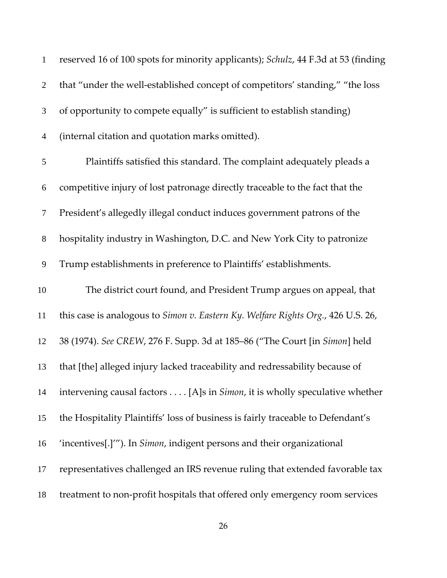| $\mathbf{1}$   | reserved 16 of 100 spots for minority applicants); Schulz, 44 F.3d at 53 (finding  |
|----------------|------------------------------------------------------------------------------------|
| $\overline{2}$ | that "under the well-established concept of competitors' standing," "the loss      |
| 3              | of opportunity to compete equally" is sufficient to establish standing)            |
| $\overline{4}$ | (internal citation and quotation marks omitted).                                   |
| 5              | Plaintiffs satisfied this standard. The complaint adequately pleads a              |
| 6              | competitive injury of lost patronage directly traceable to the fact that the       |
| $\tau$         | President's allegedly illegal conduct induces government patrons of the            |
| 8              | hospitality industry in Washington, D.C. and New York City to patronize            |
| 9              | Trump establishments in preference to Plaintiffs' establishments.                  |
| 10             | The district court found, and President Trump argues on appeal, that               |
| 11             | this case is analogous to Simon v. Eastern Ky. Welfare Rights Org., 426 U.S. 26,   |
| 12             | 38 (1974). See CREW, 276 F. Supp. 3d at 185-86 ("The Court [in Simon] held         |
| 13             | that [the] alleged injury lacked traceability and redressability because of        |
| 14             | intervening causal factors [A]s in <i>Simon</i> , it is wholly speculative whether |
| 15             | the Hospitality Plaintiffs' loss of business is fairly traceable to Defendant's    |
| 16             | 'incentives[.]'"). In Simon, indigent persons and their organizational             |
| 17             | representatives challenged an IRS revenue ruling that extended favorable tax       |
| 18             | treatment to non-profit hospitals that offered only emergency room services        |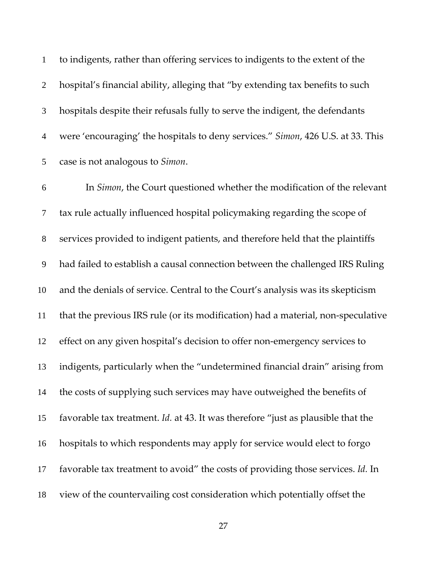to indigents, rather than offering services to indigents to the extent of the hospital's financial ability, alleging that "by extending tax benefits to such hospitals despite their refusals fully to serve the indigent, the defendants were 'encouraging' the hospitals to deny services." *Simon*, 426 U.S. at 33. This case is not analogous to *Simon*.

In *Simon*, the Court questioned whether the modification of the relevant tax rule actually influenced hospital policymaking regarding the scope of services provided to indigent patients, and therefore held that the plaintiffs had failed to establish a causal connection between the challenged IRS Ruling and the denials of service. Central to the Court's analysis was its skepticism that the previous IRS rule (or its modification) had a material, non‐speculative 12 effect on any given hospital's decision to offer non-emergency services to indigents, particularly when the "undetermined financial drain" arising from the costs of supplying such services may have outweighed the benefits of favorable tax treatment. *Id.* at 43. It was therefore "just as plausible that the hospitals to which respondents may apply for service would elect to forgo favorable tax treatment to avoid" the costs of providing those services. *Id.* In view of the countervailing cost consideration which potentially offset the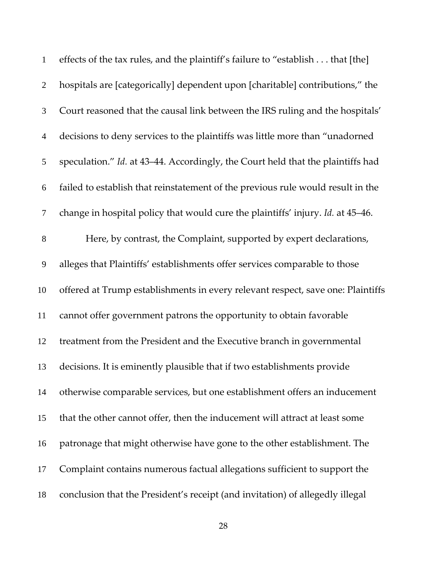| $\mathbf{1}$   | effects of the tax rules, and the plaintiff's failure to "establish that [the]  |
|----------------|---------------------------------------------------------------------------------|
| $\overline{2}$ | hospitals are [categorically] dependent upon [charitable] contributions," the   |
| 3              | Court reasoned that the causal link between the IRS ruling and the hospitals'   |
| $\overline{4}$ | decisions to deny services to the plaintiffs was little more than "unadorned    |
| 5              | speculation." Id. at 43-44. Accordingly, the Court held that the plaintiffs had |
| 6              | failed to establish that reinstatement of the previous rule would result in the |
| $\tau$         | change in hospital policy that would cure the plaintiffs' injury. Id. at 45-46. |
| $8\,$          | Here, by contrast, the Complaint, supported by expert declarations,             |
| 9              | alleges that Plaintiffs' establishments offer services comparable to those      |
| 10             | offered at Trump establishments in every relevant respect, save one: Plaintiffs |
| 11             | cannot offer government patrons the opportunity to obtain favorable             |
| 12             | treatment from the President and the Executive branch in governmental           |
| 13             | decisions. It is eminently plausible that if two establishments provide         |
| 14             | otherwise comparable services, but one establishment offers an inducement       |
| 15             | that the other cannot offer, then the inducement will attract at least some     |
| 16             | patronage that might otherwise have gone to the other establishment. The        |
| 17             | Complaint contains numerous factual allegations sufficient to support the       |
| 18             | conclusion that the President's receipt (and invitation) of allegedly illegal   |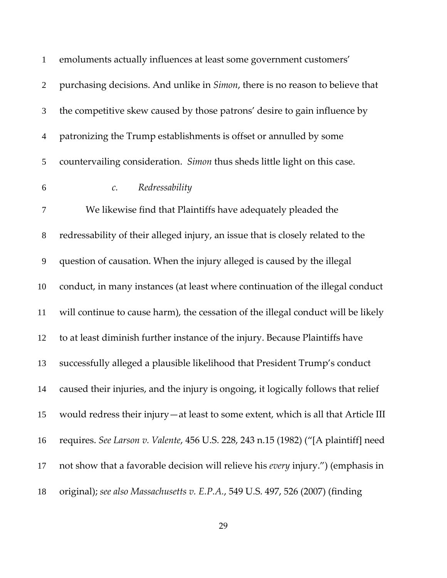| $\mathbf{1}$   | emoluments actually influences at least some government customers'                    |
|----------------|---------------------------------------------------------------------------------------|
| $\overline{2}$ | purchasing decisions. And unlike in <i>Simon</i> , there is no reason to believe that |
| 3              | the competitive skew caused by those patrons' desire to gain influence by             |
| $\overline{4}$ | patronizing the Trump establishments is offset or annulled by some                    |
| 5              | countervailing consideration. Simon thus sheds little light on this case.             |
| 6              | Redressability<br>$\mathcal{C}.$                                                      |
| 7              | We likewise find that Plaintiffs have adequately pleaded the                          |
| $8\,$          | redressability of their alleged injury, an issue that is closely related to the       |
| $\mathbf{9}$   | question of causation. When the injury alleged is caused by the illegal               |
| 10             | conduct, in many instances (at least where continuation of the illegal conduct        |
| 11             | will continue to cause harm), the cessation of the illegal conduct will be likely     |
| 12             | to at least diminish further instance of the injury. Because Plaintiffs have          |
| 13             | successfully alleged a plausible likelihood that President Trump's conduct            |
| 14             | caused their injuries, and the injury is ongoing, it logically follows that relief    |
| 15             | would redress their injury—at least to some extent, which is all that Article III     |
| 16             | requires. See Larson v. Valente, 456 U.S. 228, 243 n.15 (1982) ("[A plaintiff] need   |
| 17             | not show that a favorable decision will relieve his every injury.") (emphasis in      |
| 18             | original); see also Massachusetts v. E.P.A., 549 U.S. 497, 526 (2007) (finding        |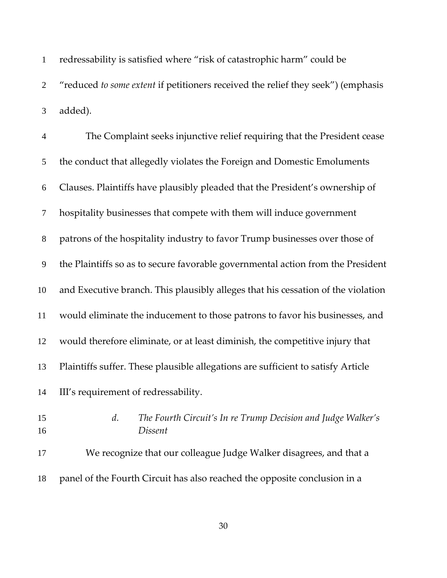| $\mathbf{1}$ | redressability is satisfied where "risk of catastrophic harm" could be             |
|--------------|------------------------------------------------------------------------------------|
|              | 2 "reduced to some extent if petitioners received the relief they seek") (emphasis |
|              | 3 added).                                                                          |

| $\overline{4}$ | The Complaint seeks injunctive relief requiring that the President cease         |
|----------------|----------------------------------------------------------------------------------|
| 5              | the conduct that allegedly violates the Foreign and Domestic Emoluments          |
| 6              | Clauses. Plaintiffs have plausibly pleaded that the President's ownership of     |
| $\tau$         | hospitality businesses that compete with them will induce government             |
| $8\,$          | patrons of the hospitality industry to favor Trump businesses over those of      |
| 9              | the Plaintiffs so as to secure favorable governmental action from the President  |
| 10             | and Executive branch. This plausibly alleges that his cessation of the violation |
| 11             | would eliminate the inducement to those patrons to favor his businesses, and     |
| 12             | would therefore eliminate, or at least diminish, the competitive injury that     |
| 13             | Plaintiffs suffer. These plausible allegations are sufficient to satisfy Article |
| 14             | III's requirement of redressability.                                             |
| 15             | The Fourth Circuit's In re Trump Decision and Judge Walker's<br>d.               |

- *Dissent*
- 
- We recognize that our colleague Judge Walker disagrees, and that a panel of the Fourth Circuit has also reached the opposite conclusion in a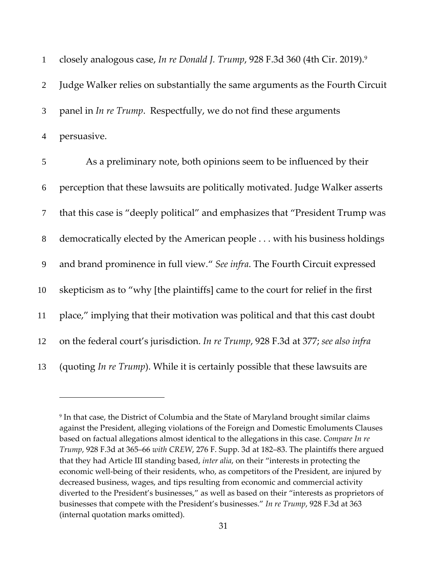| $\mathbf{1}$   | closely analogous case, In re Donald J. Trump, 928 F.3d 360 (4th Cir. 2019).9     |
|----------------|-----------------------------------------------------------------------------------|
| $\overline{2}$ | Judge Walker relies on substantially the same arguments as the Fourth Circuit     |
| 3              | panel in In re Trump. Respectfully, we do not find these arguments                |
| $\overline{4}$ | persuasive.                                                                       |
| 5              | As a preliminary note, both opinions seem to be influenced by their               |
| 6              | perception that these lawsuits are politically motivated. Judge Walker asserts    |
| $\tau$         | that this case is "deeply political" and emphasizes that "President Trump was     |
| $8\,$          | democratically elected by the American people with his business holdings          |
| 9              | and brand prominence in full view." See infra. The Fourth Circuit expressed       |
| 10             | skepticism as to "why [the plaintiffs] came to the court for relief in the first  |
| 11             | place," implying that their motivation was political and that this cast doubt     |
| 12             | on the federal court's jurisdiction. In re Trump, 928 F.3d at 377; see also infra |
| 13             | (quoting In re Trump). While it is certainly possible that these lawsuits are     |

<u>.</u>

<sup>9</sup> In that case, the District of Columbia and the State of Maryland brought similar claims against the President, alleging violations of the Foreign and Domestic Emoluments Clauses based on factual allegations almost identical to the allegations in this case. *Compare In re Trump*, 928 F.3d at 365–66 *with CREW*, 276 F. Supp. 3d at 182–83. The plaintiffs there argued that they had Article III standing based, *inter alia*, on their "interests in protecting the economic well‐being of their residents, who, as competitors of the President, are injured by decreased business, wages, and tips resulting from economic and commercial activity diverted to the President's businesses," as well as based on their "interests as proprietors of businesses that compete with the President's businesses." *In re Trump*, 928 F.3d at 363 (internal quotation marks omitted).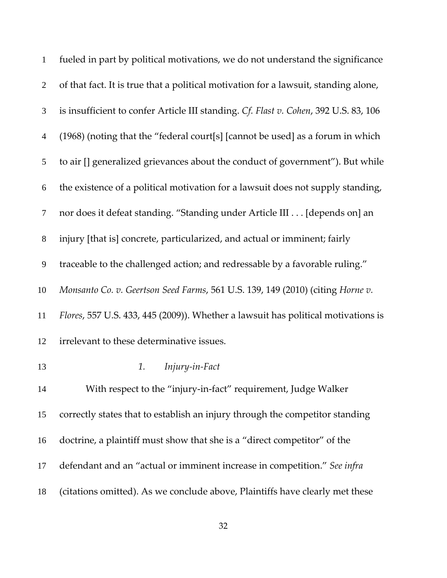| $\mathbf{1}$     | fueled in part by political motivations, we do not understand the significance       |
|------------------|--------------------------------------------------------------------------------------|
| $\overline{2}$   | of that fact. It is true that a political motivation for a lawsuit, standing alone,  |
| $\mathfrak{Z}$   | is insufficient to confer Article III standing. Cf. Flast v. Cohen, 392 U.S. 83, 106 |
| $\overline{4}$   | (1968) (noting that the "federal court[s] [cannot be used] as a forum in which       |
| 5                | to air [] generalized grievances about the conduct of government"). But while        |
| 6                | the existence of a political motivation for a lawsuit does not supply standing,      |
| $\tau$           | nor does it defeat standing. "Standing under Article III [depends on] an             |
| $8\,$            | injury [that is] concrete, particularized, and actual or imminent; fairly            |
| $\boldsymbol{9}$ | traceable to the challenged action; and redressable by a favorable ruling."          |
| 10               | Monsanto Co. v. Geertson Seed Farms, 561 U.S. 139, 149 (2010) (citing Horne v.       |
| 11               | Flores, 557 U.S. 433, 445 (2009)). Whether a lawsuit has political motivations is    |
| 12               | irrelevant to these determinative issues.                                            |
| 13               | Injury-in-Fact<br>1.                                                                 |
| 14               | With respect to the "injury-in-fact" requirement, Judge Walker                       |
| 15               | correctly states that to establish an injury through the competitor standing         |
| 16               | doctrine, a plaintiff must show that she is a "direct competitor" of the             |
| 17               | defendant and an "actual or imminent increase in competition." See infra             |
| 18               | (citations omitted). As we conclude above, Plaintiffs have clearly met these         |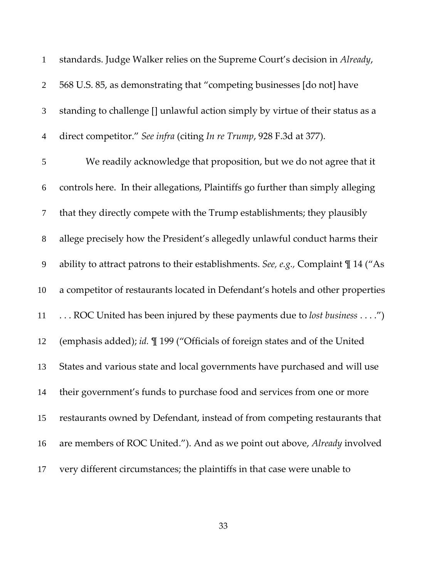| $\mathbf{1}$   | standards. Judge Walker relies on the Supreme Court's decision in Already,             |
|----------------|----------------------------------------------------------------------------------------|
| $\overline{2}$ | 568 U.S. 85, as demonstrating that "competing businesses [do not] have                 |
| 3              | standing to challenge [] unlawful action simply by virtue of their status as a         |
| $\overline{4}$ | direct competitor." See infra (citing In re Trump, 928 F.3d at 377).                   |
| 5              | We readily acknowledge that proposition, but we do not agree that it                   |
| 6              | controls here. In their allegations, Plaintiffs go further than simply alleging        |
| $\tau$         | that they directly compete with the Trump establishments; they plausibly               |
| $8\,$          | allege precisely how the President's allegedly unlawful conduct harms their            |
| 9              | ability to attract patrons to their establishments. See, e.g., Complaint $\P$ 14 ("As  |
| 10             | a competitor of restaurants located in Defendant's hotels and other properties         |
| 11             | ROC United has been injured by these payments due to lost business ")                  |
| 12             | (emphasis added); id. $\mathbb{I}$ 199 ("Officials of foreign states and of the United |
| 13             | States and various state and local governments have purchased and will use             |
| 14             | their government's funds to purchase food and services from one or more                |
| 15             | restaurants owned by Defendant, instead of from competing restaurants that             |
| 16             | are members of ROC United."). And as we point out above, Already involved              |
| 17             | very different circumstances; the plaintiffs in that case were unable to               |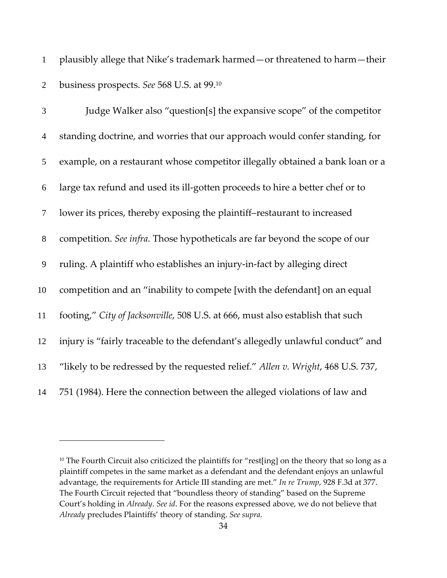plausibly allege that Nike's trademark harmed—or threatened to harm—their business prospects. *See* 568 U.S. at 99.10

| 3              | Judge Walker also "question[s] the expansive scope" of the competitor            |
|----------------|----------------------------------------------------------------------------------|
| $\overline{4}$ | standing doctrine, and worries that our approach would confer standing, for      |
| 5              | example, on a restaurant whose competitor illegally obtained a bank loan or a    |
| 6              | large tax refund and used its ill-gotten proceeds to hire a better chef or to    |
| 7              | lower its prices, thereby exposing the plaintiff-restaurant to increased         |
| $8\,$          | competition. See infra. Those hypotheticals are far beyond the scope of our      |
| 9              | ruling. A plaintiff who establishes an injury-in-fact by alleging direct         |
| 10             | competition and an "inability to compete [with the defendant] on an equal        |
| 11             | footing," City of Jacksonville, 508 U.S. at 666, must also establish that such   |
| 12             | injury is "fairly traceable to the defendant's allegedly unlawful conduct" and   |
| 13             | "likely to be redressed by the requested relief." Allen v. Wright, 468 U.S. 737, |
| 14             | 751 (1984). Here the connection between the alleged violations of law and        |

<sup>&</sup>lt;sup>10</sup> The Fourth Circuit also criticized the plaintiffs for "rest[ing] on the theory that so long as a plaintiff competes in the same market as a defendant and the defendant enjoys an unlawful advantage, the requirements for Article III standing are met." *In re Trump*, 928 F.3d at 377. The Fourth Circuit rejected that "boundless theory of standing" based on the Supreme Court's holding in *Already*. *See id*. For the reasons expressed above, we do not believe that *Already* precludes Plaintiffs' theory of standing. *See supra*.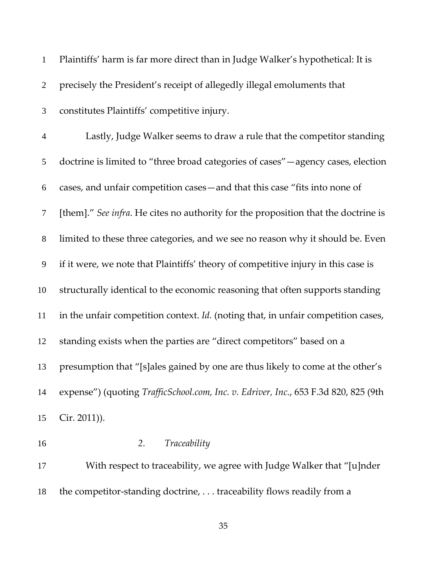| $\mathbf{1}$             | Plaintiffs' harm is far more direct than in Judge Walker's hypothetical: It is      |
|--------------------------|-------------------------------------------------------------------------------------|
| $\overline{2}$           | precisely the President's receipt of allegedly illegal emoluments that              |
| 3                        | constitutes Plaintiffs' competitive injury.                                         |
| $\overline{\mathcal{A}}$ | Lastly, Judge Walker seems to draw a rule that the competitor standing              |
| 5                        | doctrine is limited to "three broad categories of cases" - agency cases, election   |
| 6                        | cases, and unfair competition cases – and that this case "fits into none of         |
| $\tau$                   | [them]." See infra. He cites no authority for the proposition that the doctrine is  |
| $8\,$                    | limited to these three categories, and we see no reason why it should be. Even      |
| $\mathbf{9}$             | if it were, we note that Plaintiffs' theory of competitive injury in this case is   |
| 10                       | structurally identical to the economic reasoning that often supports standing       |
| 11                       | in the unfair competition context. Id. (noting that, in unfair competition cases,   |
| 12                       | standing exists when the parties are "direct competitors" based on a                |
| 13                       | presumption that "[s]ales gained by one are thus likely to come at the other's      |
| 14                       | expense") (quoting TrafficSchool.com, Inc. v. Edriver, Inc., 653 F.3d 820, 825 (9th |
| 15                       | Cir. 2011)).                                                                        |
| 16                       | Traceability<br>2.                                                                  |
| 17                       | With respect to traceability, we agree with Judge Walker that "[u]nder              |

18 the competitor-standing doctrine, ... traceability flows readily from a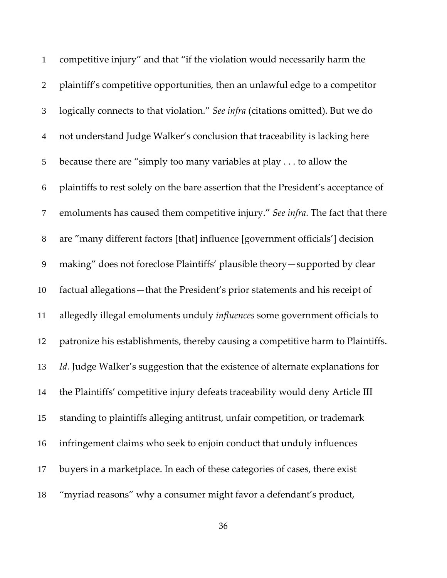| $\mathbf{1}$   | competitive injury" and that "if the violation would necessarily harm the          |
|----------------|------------------------------------------------------------------------------------|
| $\overline{2}$ | plaintiff's competitive opportunities, then an unlawful edge to a competitor       |
| $\mathfrak{Z}$ | logically connects to that violation." See infra (citations omitted). But we do    |
| $\overline{4}$ | not understand Judge Walker's conclusion that traceability is lacking here         |
| 5              | because there are "simply too many variables at play to allow the                  |
| 6              | plaintiffs to rest solely on the bare assertion that the President's acceptance of |
| $\tau$         | emoluments has caused them competitive injury." See infra. The fact that there     |
| $8\,$          | are "many different factors [that] influence [government officials'] decision      |
| 9              | making" does not foreclose Plaintiffs' plausible theory-supported by clear         |
| 10             | factual allegations-that the President's prior statements and his receipt of       |
| 11             | allegedly illegal emoluments unduly influences some government officials to        |
| 12             | patronize his establishments, thereby causing a competitive harm to Plaintiffs.    |
| 13             | Id. Judge Walker's suggestion that the existence of alternate explanations for     |
| 14             | the Plaintiffs' competitive injury defeats traceability would deny Article III     |
| 15             | standing to plaintiffs alleging antitrust, unfair competition, or trademark        |
| 16             | infringement claims who seek to enjoin conduct that unduly influences              |
| 17             | buyers in a marketplace. In each of these categories of cases, there exist         |
| 18             | "myriad reasons" why a consumer might favor a defendant's product,                 |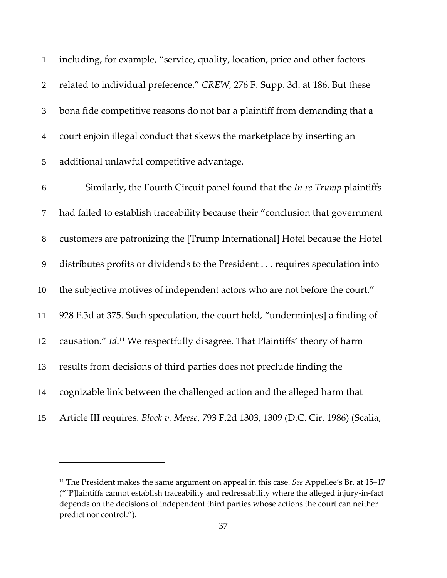| $\mathbf{1}$   | including, for example, "service, quality, location, price and other factors            |
|----------------|-----------------------------------------------------------------------------------------|
| $\sqrt{2}$     | related to individual preference." CREW, 276 F. Supp. 3d. at 186. But these             |
| 3              | bona fide competitive reasons do not bar a plaintiff from demanding that a              |
| $\overline{4}$ | court enjoin illegal conduct that skews the marketplace by inserting an                 |
| 5              | additional unlawful competitive advantage.                                              |
| 6              | Similarly, the Fourth Circuit panel found that the In re Trump plaintiffs               |
| 7              | had failed to establish traceability because their "conclusion that government          |
| $8\,$          | customers are patronizing the [Trump International] Hotel because the Hotel             |
| $\overline{9}$ | distributes profits or dividends to the President requires speculation into             |
| 10             | the subjective motives of independent actors who are not before the court."             |
| 11             | 928 F.3d at 375. Such speculation, the court held, "undermin[es] a finding of           |
| 12             | causation." Id. <sup>11</sup> We respectfully disagree. That Plaintiffs' theory of harm |
| 13             | results from decisions of third parties does not preclude finding the                   |
| 14             | cognizable link between the challenged action and the alleged harm that                 |
| 15             | Article III requires. Block v. Meese, 793 F.2d 1303, 1309 (D.C. Cir. 1986) (Scalia,     |

 The President makes the same argument on appeal in this case. *See* Appellee's Br. at 15–17 ("[P]laintiffs cannot establish traceability and redressability where the alleged injury‐in‐fact depends on the decisions of independent third parties whose actions the court can neither predict nor control.").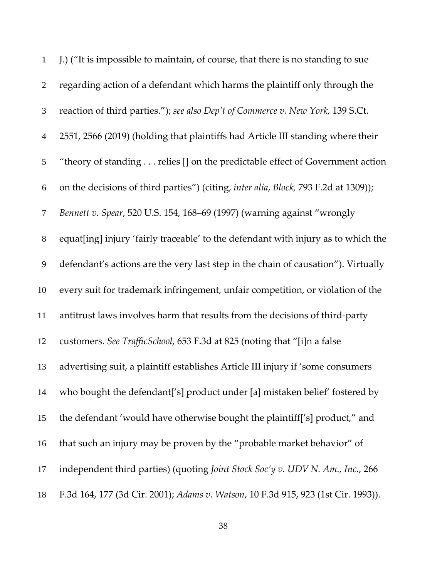| $\mathbf{1}$     | J.) ("It is impossible to maintain, of course, that there is no standing to sue     |
|------------------|-------------------------------------------------------------------------------------|
| $\overline{2}$   | regarding action of a defendant which harms the plaintiff only through the          |
| $\mathfrak{Z}$   | reaction of third parties."); see also Dep't of Commerce v. New York, 139 S.Ct.     |
| $\overline{4}$   | 2551, 2566 (2019) (holding that plaintiffs had Article III standing where their     |
| $\mathfrak{S}$   | "theory of standing relies [] on the predictable effect of Government action        |
| $\boldsymbol{6}$ | on the decisions of third parties") (citing, inter alia, Block, 793 F.2d at 1309)); |
| $\tau$           | Bennett v. Spear, 520 U.S. 154, 168-69 (1997) (warning against "wrongly             |
| $8\,$            | equat[ing] injury 'fairly traceable' to the defendant with injury as to which the   |
| $\mathbf{9}$     | defendant's actions are the very last step in the chain of causation"). Virtually   |
| 10               | every suit for trademark infringement, unfair competition, or violation of the      |
| 11               | antitrust laws involves harm that results from the decisions of third-party         |
| 12               | customers. See TrafficSchool, 653 F.3d at 825 (noting that "[i]n a false            |
| 13               | advertising suit, a plaintiff establishes Article III injury if 'some consumers     |
| 14               | who bought the defendant['s] product under [a] mistaken belief' fostered by         |
| 15               | the defendant 'would have otherwise bought the plaintiff['s] product," and          |
| 16               | that such an injury may be proven by the "probable market behavior" of              |
| 17               | independent third parties) (quoting Joint Stock Soc'y v. UDV N. Am., Inc., 266      |
| 18               | F.3d 164, 177 (3d Cir. 2001); Adams v. Watson, 10 F.3d 915, 923 (1st Cir. 1993)).   |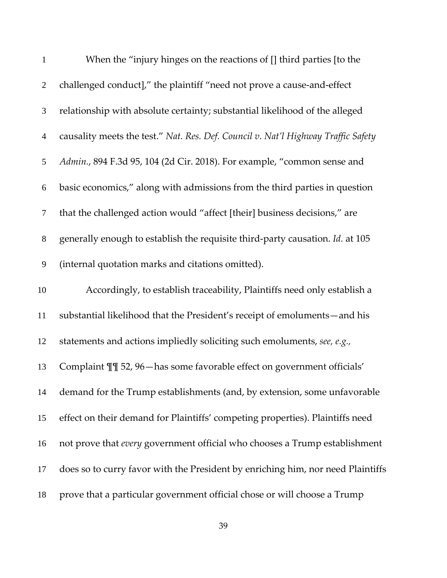| $\mathbf{1}$   | When the "injury hinges on the reactions of [] third parties [to the              |
|----------------|-----------------------------------------------------------------------------------|
| $\overline{2}$ | challenged conduct]," the plaintiff "need not prove a cause-and-effect            |
| $\mathfrak{Z}$ | relationship with absolute certainty; substantial likelihood of the alleged       |
| $\overline{4}$ | causality meets the test." Nat. Res. Def. Council v. Nat'l Highway Traffic Safety |
| 5              | Admin., 894 F.3d 95, 104 (2d Cir. 2018). For example, "common sense and           |
| 6              | basic economics," along with admissions from the third parties in question        |
| $\tau$         | that the challenged action would "affect [their] business decisions," are         |
| $8\,$          | generally enough to establish the requisite third-party causation. Id. at 105     |
| 9              | (internal quotation marks and citations omitted).                                 |
| 10             | Accordingly, to establish traceability, Plaintiffs need only establish a          |
| 11             | substantial likelihood that the President's receipt of emoluments-and his         |
| 12             | statements and actions impliedly soliciting such emoluments, see, e.g.,           |
| 13             | Complaint II 52, 96-has some favorable effect on government officials'            |
| 14             | demand for the Trump establishments (and, by extension, some unfavorable          |
| 15             | effect on their demand for Plaintiffs' competing properties). Plaintiffs need     |
| 16             | not prove that every government official who chooses a Trump establishment        |
| 17             | does so to curry favor with the President by enriching him, nor need Plaintiffs   |
| 18             | prove that a particular government official chose or will choose a Trump          |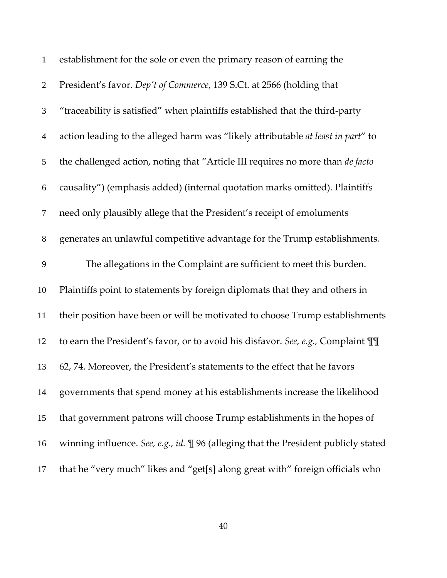| $\mathbf{1}$     | establishment for the sole or even the primary reason of earning the                   |
|------------------|----------------------------------------------------------------------------------------|
| $\overline{2}$   | President's favor. Dep't of Commerce, 139 S.Ct. at 2566 (holding that                  |
| $\mathfrak{Z}$   | "traceability is satisfied" when plaintiffs established that the third-party           |
| $\overline{4}$   | action leading to the alleged harm was "likely attributable at least in part" to       |
| 5                | the challenged action, noting that "Article III requires no more than de facto         |
| $\boldsymbol{6}$ | causality") (emphasis added) (internal quotation marks omitted). Plaintiffs            |
| $\overline{7}$   | need only plausibly allege that the President's receipt of emoluments                  |
| $8\,$            | generates an unlawful competitive advantage for the Trump establishments.              |
| 9                | The allegations in the Complaint are sufficient to meet this burden.                   |
| 10               | Plaintiffs point to statements by foreign diplomats that they and others in            |
| 11               | their position have been or will be motivated to choose Trump establishments           |
| 12               | to earn the President's favor, or to avoid his disfavor. See, e.g., Complaint III      |
| 13               | 62, 74. Moreover, the President's statements to the effect that he favors              |
| 14               | governments that spend money at his establishments increase the likelihood             |
| 15               | that government patrons will choose Trump establishments in the hopes of               |
| 16               | winning influence. See, e.g., id. $\P$ 96 (alleging that the President publicly stated |
| 17               | that he "very much" likes and "get[s] along great with" foreign officials who          |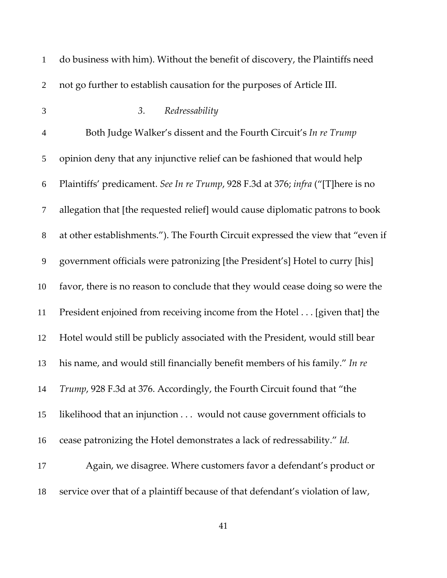| $\mathbf{1}$   | do business with him). Without the benefit of discovery, the Plaintiffs need     |
|----------------|----------------------------------------------------------------------------------|
| $\overline{2}$ | not go further to establish causation for the purposes of Article III.           |
| 3              | Redressability<br>3.                                                             |
| $\overline{4}$ | Both Judge Walker's dissent and the Fourth Circuit's In re Trump                 |
| 5              | opinion deny that any injunctive relief can be fashioned that would help         |
| 6              | Plaintiffs' predicament. See In re Trump, 928 F.3d at 376; infra ("[T]here is no |
| $\tau$         | allegation that [the requested relief] would cause diplomatic patrons to book    |
| $8\,$          | at other establishments."). The Fourth Circuit expressed the view that "even if  |
| 9              | government officials were patronizing [the President's] Hotel to curry [his]     |
| 10             | favor, there is no reason to conclude that they would cease doing so were the    |
| 11             | President enjoined from receiving income from the Hotel [given that] the         |
| 12             | Hotel would still be publicly associated with the President, would still bear    |
| 13             | his name, and would still financially benefit members of his family." In re      |
| 14             | Trump, 928 F.3d at 376. Accordingly, the Fourth Circuit found that "the          |
| 15             | likelihood that an injunction would not cause government officials to            |
| 16             | cease patronizing the Hotel demonstrates a lack of redressability." Id.          |
| 17             | Again, we disagree. Where customers favor a defendant's product or               |
| 18             | service over that of a plaintiff because of that defendant's violation of law,   |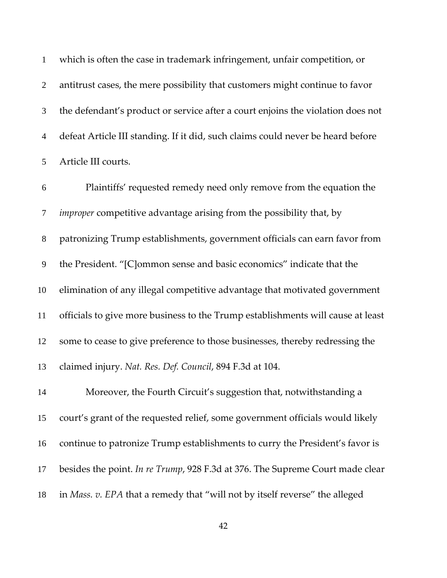which is often the case in trademark infringement, unfair competition, or antitrust cases, the mere possibility that customers might continue to favor the defendant's product or service after a court enjoins the violation does not defeat Article III standing. If it did, such claims could never be heard before Article III courts.

Plaintiffs' requested remedy need only remove from the equation the *improper* competitive advantage arising from the possibility that, by patronizing Trump establishments, government officials can earn favor from the President. "[C]ommon sense and basic economics" indicate that the elimination of any illegal competitive advantage that motivated government officials to give more business to the Trump establishments will cause at least some to cease to give preference to those businesses, thereby redressing the claimed injury. *Nat. Res. Def. Council*, 894 F.3d at 104. Moreover, the Fourth Circuit's suggestion that, notwithstanding a court's grant of the requested relief, some government officials would likely continue to patronize Trump establishments to curry the President's favor is besides the point. *In re Trump*, 928 F.3d at 376. The Supreme Court made clear

in *Mass. v. EPA* that a remedy that "will not by itself reverse" the alleged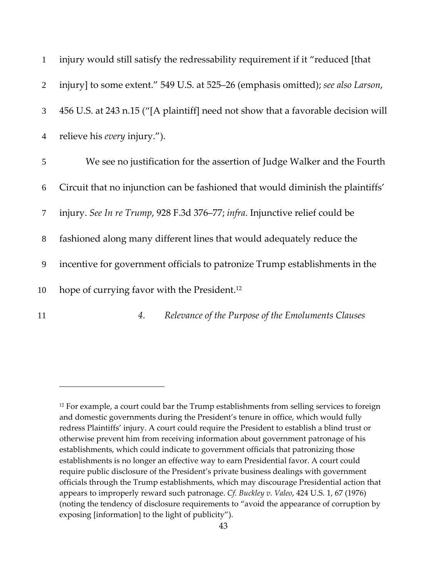| $\mathbf{1}$   | injury would still satisfy the redressability requirement if it "reduced [that]   |
|----------------|-----------------------------------------------------------------------------------|
| $\overline{2}$ | injury] to some extent." 549 U.S. at 525–26 (emphasis omitted); see also Larson,  |
| $\mathfrak{Z}$ | 456 U.S. at 243 n.15 ("[A plaintiff] need not show that a favorable decision will |
| $\overline{4}$ | relieve his <i>every</i> injury.").                                               |
| 5              | We see no justification for the assertion of Judge Walker and the Fourth          |
| 6              | Circuit that no injunction can be fashioned that would diminish the plaintiffs'   |
| $\tau$         | injury. See In re Trump, 928 F.3d 376–77; infra. Injunctive relief could be       |
| $8\,$          | fashioned along many different lines that would adequately reduce the             |
| 9              | incentive for government officials to patronize Trump establishments in the       |
| 10             | hope of currying favor with the President. <sup>12</sup>                          |
| 11             | Relevance of the Purpose of the Emoluments Clauses<br>4.                          |

<sup>&</sup>lt;sup>12</sup> For example, a court could bar the Trump establishments from selling services to foreign and domestic governments during the President's tenure in office, which would fully redress Plaintiffs' injury. A court could require the President to establish a blind trust or otherwise prevent him from receiving information about government patronage of his establishments, which could indicate to government officials that patronizing those establishments is no longer an effective way to earn Presidential favor. A court could require public disclosure of the President's private business dealings with government officials through the Trump establishments, which may discourage Presidential action that appears to improperly reward such patronage. *Cf. Buckley v. Valeo*, 424 U.S. 1, 67 (1976) (noting the tendency of disclosure requirements to "avoid the appearance of corruption by exposing [information] to the light of publicity").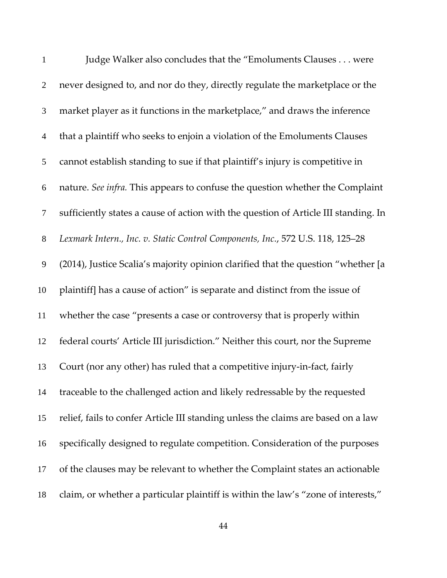| $\mathbf{1}$     | Judge Walker also concludes that the "Emoluments Clauses were                       |
|------------------|-------------------------------------------------------------------------------------|
| $\overline{2}$   | never designed to, and nor do they, directly regulate the marketplace or the        |
| 3                | market player as it functions in the marketplace," and draws the inference          |
| $\overline{4}$   | that a plaintiff who seeks to enjoin a violation of the Emoluments Clauses          |
| $\mathfrak{S}$   | cannot establish standing to sue if that plaintiff's injury is competitive in       |
| 6                | nature. See infra. This appears to confuse the question whether the Complaint       |
| $\tau$           | sufficiently states a cause of action with the question of Article III standing. In |
| $8\,$            | Lexmark Intern., Inc. v. Static Control Components, Inc., 572 U.S. 118, 125-28      |
| $\boldsymbol{9}$ | (2014), Justice Scalia's majority opinion clarified that the question "whether [a   |
| 10               | plaintiff] has a cause of action" is separate and distinct from the issue of        |
| 11               | whether the case "presents a case or controversy that is properly within            |
| 12               | federal courts' Article III jurisdiction." Neither this court, nor the Supreme      |
| 13               | Court (nor any other) has ruled that a competitive injury-in-fact, fairly           |
| 14               | traceable to the challenged action and likely redressable by the requested          |
| 15               | relief, fails to confer Article III standing unless the claims are based on a law   |
| 16               | specifically designed to regulate competition. Consideration of the purposes        |
| 17               | of the clauses may be relevant to whether the Complaint states an actionable        |
| 18               | claim, or whether a particular plaintiff is within the law's "zone of interests,"   |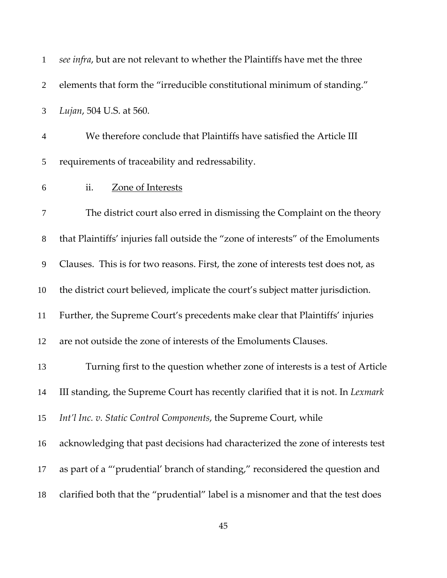| $\mathbf{1}$   | see infra, but are not relevant to whether the Plaintiffs have met the three      |
|----------------|-----------------------------------------------------------------------------------|
| $\overline{2}$ | elements that form the "irreducible constitutional minimum of standing."          |
| 3              | Lujan, 504 U.S. at 560.                                                           |
| $\overline{4}$ | We therefore conclude that Plaintiffs have satisfied the Article III              |
| 5              | requirements of traceability and redressability.                                  |
| 6              | ii.<br>Zone of Interests                                                          |
| 7              | The district court also erred in dismissing the Complaint on the theory           |
| $8\,$          | that Plaintiffs' injuries fall outside the "zone of interests" of the Emoluments  |
| $\overline{9}$ | Clauses. This is for two reasons. First, the zone of interests test does not, as  |
| 10             | the district court believed, implicate the court's subject matter jurisdiction.   |
| 11             | Further, the Supreme Court's precedents make clear that Plaintiffs' injuries      |
| 12             | are not outside the zone of interests of the Emoluments Clauses.                  |
| 13             | Turning first to the question whether zone of interests is a test of Article      |
| 14             | III standing, the Supreme Court has recently clarified that it is not. In Lexmark |
| 15             | Int'l Inc. v. Static Control Components, the Supreme Court, while                 |
| 16             | acknowledging that past decisions had characterized the zone of interests test    |
| 17             | as part of a "'prudential' branch of standing," reconsidered the question and     |
| 18             | clarified both that the "prudential" label is a misnomer and that the test does   |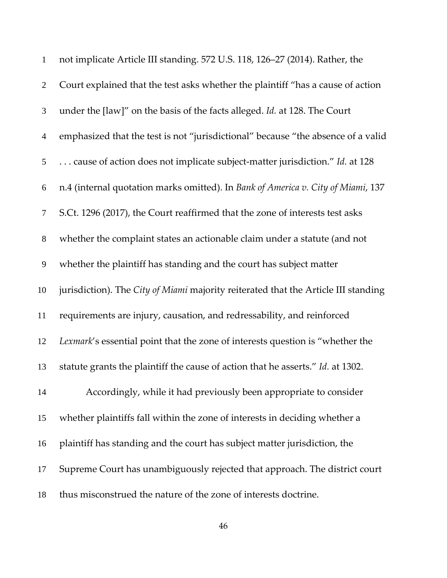| $\mathbf{1}$     | not implicate Article III standing. 572 U.S. 118, 126-27 (2014). Rather, the       |
|------------------|------------------------------------------------------------------------------------|
| $\overline{2}$   | Court explained that the test asks whether the plaintiff "has a cause of action    |
| $\mathfrak{Z}$   | under the [law]" on the basis of the facts alleged. Id. at 128. The Court          |
| $\overline{4}$   | emphasized that the test is not "jurisdictional" because "the absence of a valid   |
| 5                | cause of action does not implicate subject-matter jurisdiction." Id. at 128        |
| 6                | n.4 (internal quotation marks omitted). In Bank of America v. City of Miami, 137   |
| $\tau$           | S.Ct. 1296 (2017), the Court reaffirmed that the zone of interests test asks       |
| $8\,$            | whether the complaint states an actionable claim under a statute (and not          |
| $\boldsymbol{9}$ | whether the plaintiff has standing and the court has subject matter                |
| 10               | jurisdiction). The City of Miami majority reiterated that the Article III standing |
| 11               | requirements are injury, causation, and redressability, and reinforced             |
| 12               | Lexmark's essential point that the zone of interests question is "whether the      |
| 13               | statute grants the plaintiff the cause of action that he asserts." Id. at 1302.    |
| 14               | Accordingly, while it had previously been appropriate to consider                  |
| 15               | whether plaintiffs fall within the zone of interests in deciding whether a         |
| 16               | plaintiff has standing and the court has subject matter jurisdiction, the          |
| 17               | Supreme Court has unambiguously rejected that approach. The district court         |
| 18               | thus misconstrued the nature of the zone of interests doctrine.                    |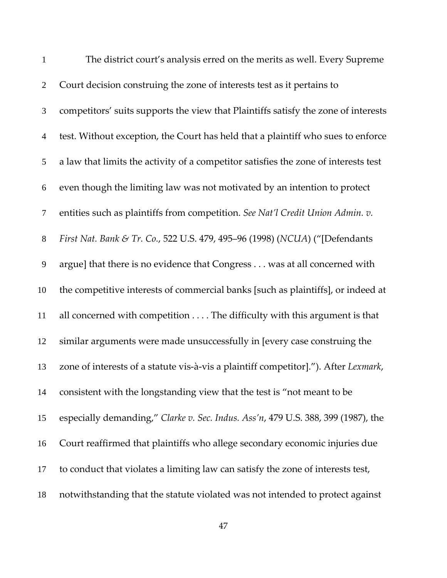| $\mathbf{1}$   | The district court's analysis erred on the merits as well. Every Supreme            |
|----------------|-------------------------------------------------------------------------------------|
| $\overline{2}$ | Court decision construing the zone of interests test as it pertains to              |
| 3              | competitors' suits supports the view that Plaintiffs satisfy the zone of interests  |
| $\overline{4}$ | test. Without exception, the Court has held that a plaintiff who sues to enforce    |
| 5              | a law that limits the activity of a competitor satisfies the zone of interests test |
| 6              | even though the limiting law was not motivated by an intention to protect           |
| $\tau$         | entities such as plaintiffs from competition. See Nat'l Credit Union Admin. v.      |
| $8\,$          | First Nat. Bank & Tr. Co., 522 U.S. 479, 495-96 (1998) (NCUA) ("[Defendants         |
| 9              | argue] that there is no evidence that Congress was at all concerned with            |
| 10             | the competitive interests of commercial banks [such as plaintiffs], or indeed at    |
| 11             | all concerned with competition The difficulty with this argument is that            |
| 12             | similar arguments were made unsuccessfully in [every case construing the            |
| 13             | zone of interests of a statute vis-à-vis a plaintiff competitor]."). After Lexmark, |
| 14             | consistent with the longstanding view that the test is "not meant to be             |
| 15             | especially demanding," Clarke v. Sec. Indus. Ass'n, 479 U.S. 388, 399 (1987), the   |
| 16             | Court reaffirmed that plaintiffs who allege secondary economic injuries due         |
| 17             | to conduct that violates a limiting law can satisfy the zone of interests test,     |
| 18             | notwithstanding that the statute violated was not intended to protect against       |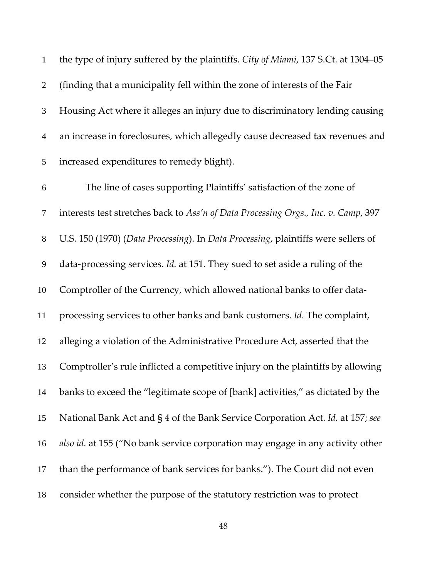the type of injury suffered by the plaintiffs. *City of Miami*, 137 S.Ct. at 1304–05 (finding that a municipality fell within the zone of interests of the Fair Housing Act where it alleges an injury due to discriminatory lending causing an increase in foreclosures, which allegedly cause decreased tax revenues and increased expenditures to remedy blight). The line of cases supporting Plaintiffs' satisfaction of the zone of interests test stretches back to *Ass'n of Data Processing Orgs., Inc. v. Camp*, 397 U.S. 150 (1970) (*Data Processing*). In *Data Processing*, plaintiffs were sellers of data‐processing services. *Id.* at 151. They sued to set aside a ruling of the 10 Comptroller of the Currency, which allowed national banks to offer data-processing services to other banks and bank customers. *Id.* The complaint, alleging a violation of the Administrative Procedure Act, asserted that the Comptroller's rule inflicted a competitive injury on the plaintiffs by allowing banks to exceed the "legitimate scope of [bank] activities," as dictated by the National Bank Act and § 4 of the Bank Service Corporation Act. *Id.* at 157; *see also id.* at 155 ("No bank service corporation may engage in any activity other than the performance of bank services for banks."). The Court did not even consider whether the purpose of the statutory restriction was to protect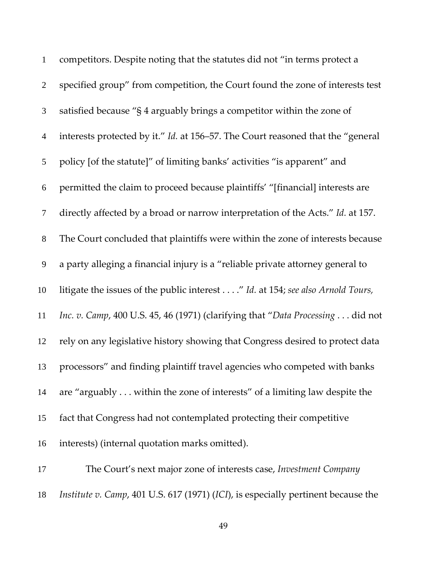| $\mathbf{1}$   | competitors. Despite noting that the statutes did not "in terms protect a       |
|----------------|---------------------------------------------------------------------------------|
| $\overline{2}$ | specified group" from competition, the Court found the zone of interests test   |
| 3              | satisfied because "§ 4 arguably brings a competitor within the zone of          |
| $\overline{4}$ | interests protected by it." Id. at 156–57. The Court reasoned that the "general |
| 5              | policy [of the statute]" of limiting banks' activities "is apparent" and        |
| 6              | permitted the claim to proceed because plaintiffs' "[financial] interests are   |
| $\tau$         | directly affected by a broad or narrow interpretation of the Acts." Id. at 157. |
| $8\,$          | The Court concluded that plaintiffs were within the zone of interests because   |
| 9              | a party alleging a financial injury is a "reliable private attorney general to  |
| 10             | litigate the issues of the public interest" Id. at 154; see also Arnold Tours,  |
| 11             | Inc. v. Camp, 400 U.S. 45, 46 (1971) (clarifying that "Data Processing did not  |
| 12             | rely on any legislative history showing that Congress desired to protect data   |
| 13             | processors" and finding plaintiff travel agencies who competed with banks       |
| 14             | are "arguably within the zone of interests" of a limiting law despite the       |
| 15             | fact that Congress had not contemplated protecting their competitive            |
| 16             | interests) (internal quotation marks omitted).                                  |
|                |                                                                                 |

The Court's next major zone of interests case, *Investment Company Institute v. Camp*, 401 U.S. 617 (1971) (*ICI*), is especially pertinent because the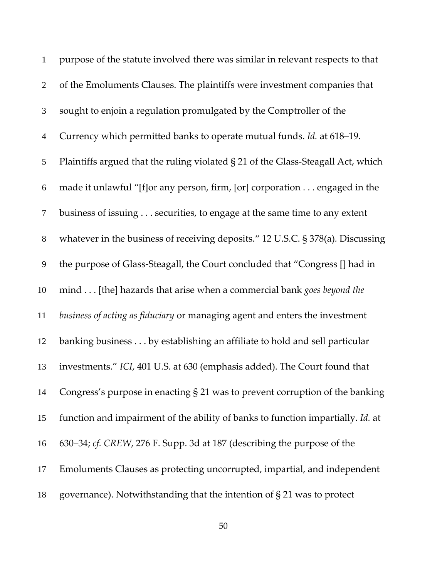| $\mathbf{1}$   | purpose of the statute involved there was similar in relevant respects to that   |
|----------------|----------------------------------------------------------------------------------|
| $\overline{2}$ | of the Emoluments Clauses. The plaintiffs were investment companies that         |
| $\mathfrak{Z}$ | sought to enjoin a regulation promulgated by the Comptroller of the              |
| $\overline{4}$ | Currency which permitted banks to operate mutual funds. Id. at 618–19.           |
| 5              | Plaintiffs argued that the ruling violated § 21 of the Glass-Steagall Act, which |
| 6              | made it unlawful "[f]or any person, firm, [or] corporation engaged in the        |
| $\tau$         | business of issuing securities, to engage at the same time to any extent         |
| $8\,$          | whatever in the business of receiving deposits." 12 U.S.C. § 378(a). Discussing  |
| 9              | the purpose of Glass-Steagall, the Court concluded that "Congress [] had in      |
| 10             | mind [the] hazards that arise when a commercial bank goes beyond the             |
| 11             | business of acting as fiduciary or managing agent and enters the investment      |
| 12             | banking business by establishing an affiliate to hold and sell particular        |
| 13             | investments." ICI, 401 U.S. at 630 (emphasis added). The Court found that        |
| 14             | Congress's purpose in enacting $\S 21$ was to prevent corruption of the banking  |
| 15             | function and impairment of the ability of banks to function impartially. Id. at  |
| 16             | 630–34; cf. CREW, 276 F. Supp. 3d at 187 (describing the purpose of the          |
| 17             | Emoluments Clauses as protecting uncorrupted, impartial, and independent         |
| 18             | governance). Notwithstanding that the intention of $\S 21$ was to protect        |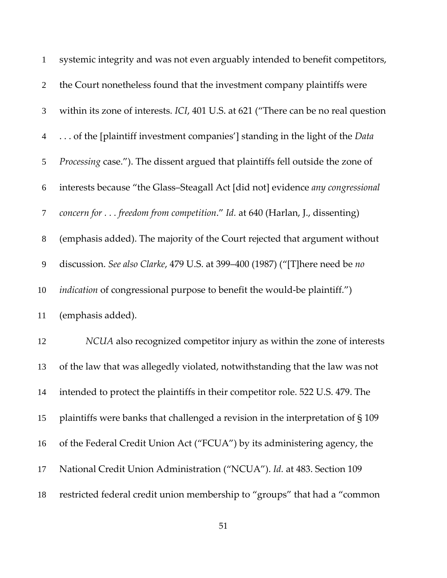| $\mathbf{1}$   | systemic integrity and was not even arguably intended to benefit competitors,      |
|----------------|------------------------------------------------------------------------------------|
| $\overline{2}$ | the Court nonetheless found that the investment company plaintiffs were            |
| $\mathfrak{Z}$ | within its zone of interests. ICI, 401 U.S. at 621 ("There can be no real question |
| $\overline{4}$ | of the [plaintiff investment companies'] standing in the light of the <i>Data</i>  |
| 5              | Processing case."). The dissent argued that plaintiffs fell outside the zone of    |
| 6              | interests because "the Glass-Steagall Act [did not] evidence any congressional     |
| $\tau$         | concern for freedom from competition." Id. at 640 (Harlan, J., dissenting)         |
| $8\,$          | (emphasis added). The majority of the Court rejected that argument without         |
| 9              | discussion. See also Clarke, 479 U.S. at 399-400 (1987) ("[T]here need be no       |
| 10             | <i>indication</i> of congressional purpose to benefit the would-be plaintiff.")    |
| 11             | (emphasis added).                                                                  |
| 12             | NCUA also recognized competitor injury as within the zone of interests             |
| 13             | of the law that was allegedly violated, notwithstanding that the law was not       |
| 14             | intended to protect the plaintiffs in their competitor role. 522 U.S. 479. The     |
| 15             | plaintiffs were banks that challenged a revision in the interpretation of $\S 109$ |
| 16             | of the Federal Credit Union Act ("FCUA") by its administering agency, the          |
| 17             | National Credit Union Administration ("NCUA"). Id. at 483. Section 109             |
| 18             | restricted federal credit union membership to "groups" that had a "common          |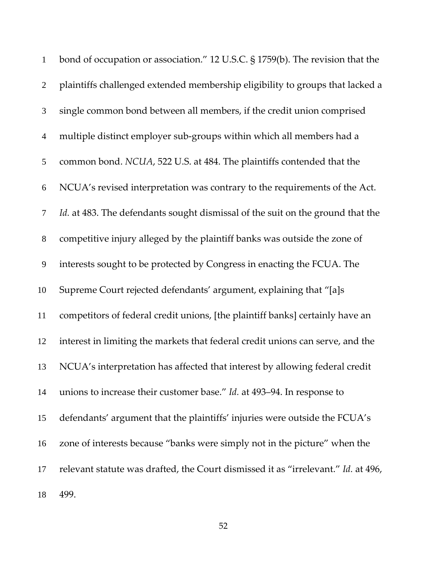| $\mathbf{1}$   | bond of occupation or association." 12 U.S.C. § 1759(b). The revision that the    |
|----------------|-----------------------------------------------------------------------------------|
| $\overline{2}$ | plaintiffs challenged extended membership eligibility to groups that lacked a     |
| $\mathfrak{Z}$ | single common bond between all members, if the credit union comprised             |
| $\overline{4}$ | multiple distinct employer sub-groups within which all members had a              |
| $\mathfrak{S}$ | common bond. NCUA, 522 U.S. at 484. The plaintiffs contended that the             |
| 6              | NCUA's revised interpretation was contrary to the requirements of the Act.        |
| $\tau$         | Id. at 483. The defendants sought dismissal of the suit on the ground that the    |
| $8\,$          | competitive injury alleged by the plaintiff banks was outside the zone of         |
| 9              | interests sought to be protected by Congress in enacting the FCUA. The            |
| 10             | Supreme Court rejected defendants' argument, explaining that "[a]s                |
| 11             | competitors of federal credit unions, [the plaintiff banks] certainly have an     |
| 12             | interest in limiting the markets that federal credit unions can serve, and the    |
| 13             | NCUA's interpretation has affected that interest by allowing federal credit       |
| 14             | unions to increase their customer base." Id. at 493–94. In response to            |
| 15             | defendants' argument that the plaintiffs' injuries were outside the FCUA's        |
| 16             | zone of interests because "banks were simply not in the picture" when the         |
| 17             | relevant statute was drafted, the Court dismissed it as "irrelevant." Id. at 496, |
| 18             | 499.                                                                              |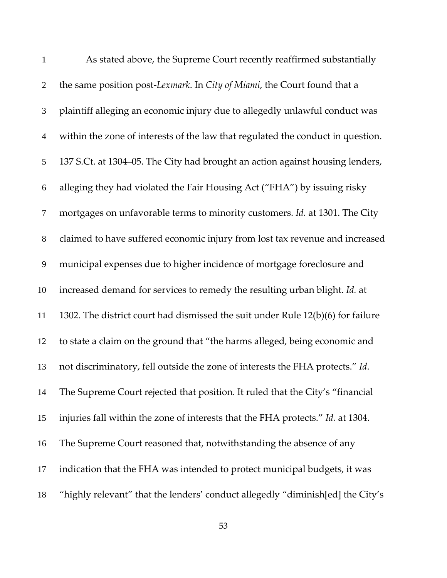| $\mathbf{1}$     | As stated above, the Supreme Court recently reaffirmed substantially            |
|------------------|---------------------------------------------------------------------------------|
| $\overline{2}$   | the same position post-Lexmark. In City of Miami, the Court found that a        |
| 3                | plaintiff alleging an economic injury due to allegedly unlawful conduct was     |
| $\overline{4}$   | within the zone of interests of the law that regulated the conduct in question. |
| 5                | 137 S.Ct. at 1304–05. The City had brought an action against housing lenders,   |
| 6                | alleging they had violated the Fair Housing Act ("FHA") by issuing risky        |
| $\tau$           | mortgages on unfavorable terms to minority customers. Id. at 1301. The City     |
| $8\,$            | claimed to have suffered economic injury from lost tax revenue and increased    |
| $\boldsymbol{9}$ | municipal expenses due to higher incidence of mortgage foreclosure and          |
| 10               | increased demand for services to remedy the resulting urban blight. Id. at      |
| 11               | 1302. The district court had dismissed the suit under Rule 12(b)(6) for failure |
| 12               | to state a claim on the ground that "the harms alleged, being economic and      |
| 13               | not discriminatory, fell outside the zone of interests the FHA protects." Id.   |
| 14               | The Supreme Court rejected that position. It ruled that the City's "financial   |
| 15               | injuries fall within the zone of interests that the FHA protects." Id. at 1304. |
| 16               | The Supreme Court reasoned that, notwithstanding the absence of any             |
| 17               | indication that the FHA was intended to protect municipal budgets, it was       |
| 18               | "highly relevant" that the lenders' conduct allegedly "diminish[ed] the City's  |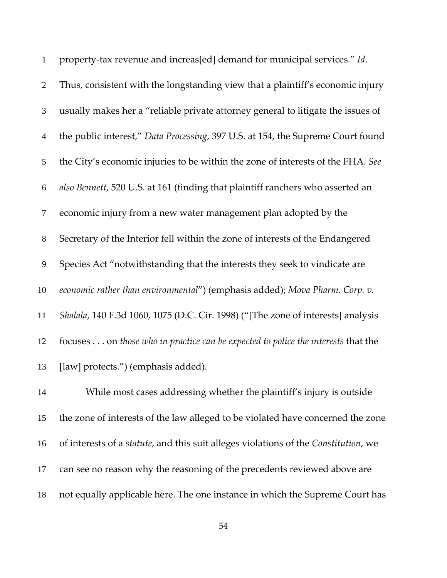| $\mathbf{1}$     | property-tax revenue and increas[ed] demand for municipal services." Id.          |
|------------------|-----------------------------------------------------------------------------------|
| $\overline{2}$   | Thus, consistent with the longstanding view that a plaintiff's economic injury    |
| $\mathfrak{Z}$   | usually makes her a "reliable private attorney general to litigate the issues of  |
| $\overline{4}$   | the public interest," Data Processing, 397 U.S. at 154, the Supreme Court found   |
| $\mathfrak{S}$   | the City's economic injuries to be within the zone of interests of the FHA. See   |
| $\boldsymbol{6}$ | also Bennett, 520 U.S. at 161 (finding that plaintiff ranchers who asserted an    |
| $\tau$           | economic injury from a new water management plan adopted by the                   |
| $8\,$            | Secretary of the Interior fell within the zone of interests of the Endangered     |
| $\overline{9}$   | Species Act "notwithstanding that the interests they seek to vindicate are        |
| 10               | economic rather than environmental") (emphasis added); Mova Pharm. Corp. v.       |
| 11               | Shalala, 140 F.3d 1060, 1075 (D.C. Cir. 1998) ("[The zone of interests] analysis  |
| 12               | focuses on those who in practice can be expected to police the interests that the |
| 13               | [law] protects.") (emphasis added).                                               |
| 14               | While most cases addressing whether the plaintiff's injury is outside             |
| 15               | the zone of interests of the law alleged to be violated have concerned the zone   |

of interests of a *statute*, and this suit alleges violations of the *Constitution*, we

- can see no reason why the reasoning of the precedents reviewed above are
- not equally applicable here. The one instance in which the Supreme Court has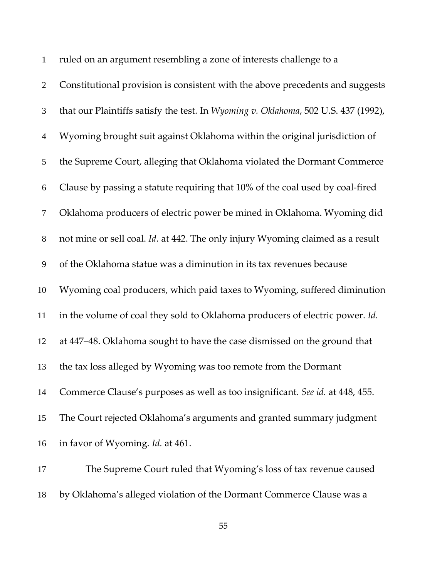| $\mathbf{1}$     | ruled on an argument resembling a zone of interests challenge to a                 |
|------------------|------------------------------------------------------------------------------------|
| $\overline{2}$   | Constitutional provision is consistent with the above precedents and suggests      |
| 3                | that our Plaintiffs satisfy the test. In Wyoming v. Oklahoma, 502 U.S. 437 (1992), |
| $\overline{4}$   | Wyoming brought suit against Oklahoma within the original jurisdiction of          |
| 5                | the Supreme Court, alleging that Oklahoma violated the Dormant Commerce            |
| 6                | Clause by passing a statute requiring that 10% of the coal used by coal-fired      |
| $\tau$           | Oklahoma producers of electric power be mined in Oklahoma. Wyoming did             |
| $\,8\,$          | not mine or sell coal. Id. at 442. The only injury Wyoming claimed as a result     |
| $\boldsymbol{9}$ | of the Oklahoma statue was a diminution in its tax revenues because                |
| 10               | Wyoming coal producers, which paid taxes to Wyoming, suffered diminution           |
| 11               | in the volume of coal they sold to Oklahoma producers of electric power. Id.       |
| 12               | at 447-48. Oklahoma sought to have the case dismissed on the ground that           |
| 13               | the tax loss alleged by Wyoming was too remote from the Dormant                    |
| 14               | Commerce Clause's purposes as well as too insignificant. See id. at 448, 455.      |
| 15               | The Court rejected Oklahoma's arguments and granted summary judgment               |
| 16               | in favor of Wyoming. <i>Id.</i> at 461.                                            |
| 17               | The Supreme Court ruled that Wyoming's loss of tax revenue caused                  |

by Oklahoma's alleged violation of the Dormant Commerce Clause was a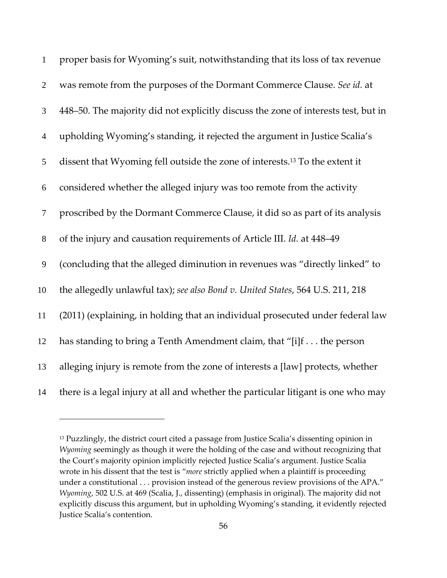| $\mathbf{1}$   | proper basis for Wyoming's suit, notwithstanding that its loss of tax revenue           |
|----------------|-----------------------------------------------------------------------------------------|
| $\overline{2}$ | was remote from the purposes of the Dormant Commerce Clause. See id. at                 |
| 3              | 448-50. The majority did not explicitly discuss the zone of interests test, but in      |
| $\overline{4}$ | upholding Wyoming's standing, it rejected the argument in Justice Scalia's              |
| 5              | dissent that Wyoming fell outside the zone of interests. <sup>13</sup> To the extent it |
| 6              | considered whether the alleged injury was too remote from the activity                  |
| $\tau$         | proscribed by the Dormant Commerce Clause, it did so as part of its analysis            |
| $8\,$          | of the injury and causation requirements of Article III. Id. at 448-49                  |
| 9              | (concluding that the alleged diminution in revenues was "directly linked" to            |
| 10             | the allegedly unlawful tax); see also Bond v. United States, 564 U.S. 211, 218          |
| 11             | (2011) (explaining, in holding that an individual prosecuted under federal law          |
| 12             | has standing to bring a Tenth Amendment claim, that "[i]f the person                    |
| 13             | alleging injury is remote from the zone of interests a [law] protects, whether          |
| 14             | there is a legal injury at all and whether the particular litigant is one who may       |

<sup>&</sup>lt;sup>13</sup> Puzzlingly, the district court cited a passage from Justice Scalia's dissenting opinion in *Wyoming* seemingly as though it were the holding of the case and without recognizing that the Court's majority opinion implicitly rejected Justice Scalia's argument. Justice Scalia wrote in his dissent that the test is "*more* strictly applied when a plaintiff is proceeding under a constitutional . . . provision instead of the generous review provisions of the APA." *Wyoming*, 502 U.S. at 469 (Scalia, J., dissenting) (emphasis in original). The majority did not explicitly discuss this argument, but in upholding Wyoming's standing, it evidently rejected Justice Scalia's contention.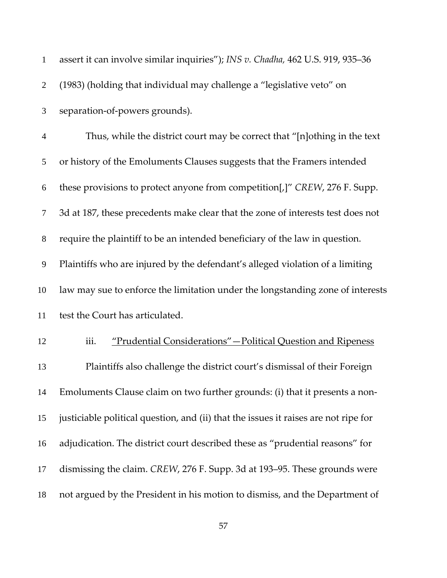| $\mathbf{1}$   | assert it can involve similar inquiries"); INS v. Chadha, 462 U.S. 919, 935-36      |
|----------------|-------------------------------------------------------------------------------------|
| $\overline{2}$ | (1983) (holding that individual may challenge a "legislative veto" on               |
| 3              | separation-of-powers grounds).                                                      |
| $\overline{4}$ | Thus, while the district court may be correct that "[n]othing in the text"          |
| 5              | or history of the Emoluments Clauses suggests that the Framers intended             |
| 6              | these provisions to protect anyone from competition[,]" CREW, 276 F. Supp.          |
| $\tau$         | 3d at 187, these precedents make clear that the zone of interests test does not     |
| $8\,$          | require the plaintiff to be an intended beneficiary of the law in question.         |
| $\overline{9}$ | Plaintiffs who are injured by the defendant's alleged violation of a limiting       |
| 10             | law may sue to enforce the limitation under the longstanding zone of interests      |
| 11             | test the Court has articulated.                                                     |
| 12             | iii.<br>"Prudential Considerations" - Political Question and Ripeness               |
| 13             | Plaintiffs also challenge the district court's dismissal of their Foreign           |
| 14             | Emoluments Clause claim on two further grounds: (i) that it presents a non-         |
| 15             | justiciable political question, and (ii) that the issues it raises are not ripe for |
| 16             | adjudication. The district court described these as "prudential reasons" for        |
| 17             | dismissing the claim. CREW, 276 F. Supp. 3d at 193–95. These grounds were           |
| 18             | not argued by the President in his motion to dismiss, and the Department of         |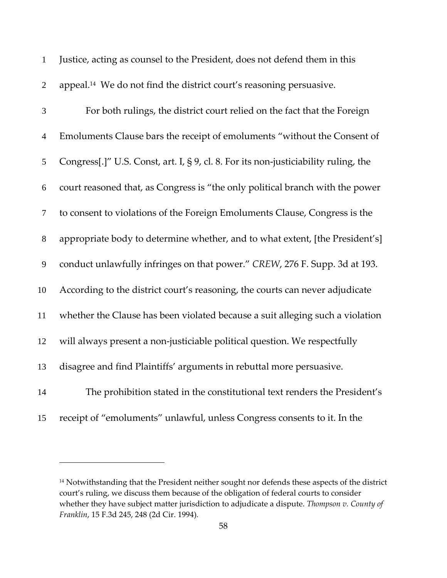| $\mathbf{1}$   | Justice, acting as counsel to the President, does not defend them in this           |
|----------------|-------------------------------------------------------------------------------------|
| $\mathbf{2}$   | appeal. <sup>14</sup> We do not find the district court's reasoning persuasive.     |
| 3              | For both rulings, the district court relied on the fact that the Foreign            |
| $\overline{4}$ | Emoluments Clause bars the receipt of emoluments "without the Consent of            |
| 5              | Congress[.]" U.S. Const, art. I, § 9, cl. 8. For its non-justiciability ruling, the |
| 6              | court reasoned that, as Congress is "the only political branch with the power       |
| $\tau$         | to consent to violations of the Foreign Emoluments Clause, Congress is the          |
| $8\,$          | appropriate body to determine whether, and to what extent, [the President's]        |
| 9              | conduct unlawfully infringes on that power." CREW, 276 F. Supp. 3d at 193.          |
| 10             | According to the district court's reasoning, the courts can never adjudicate        |
| 11             | whether the Clause has been violated because a suit alleging such a violation       |
| 12             | will always present a non-justiciable political question. We respectfully           |
| 13             | disagree and find Plaintiffs' arguments in rebuttal more persuasive.                |
| 14             | The prohibition stated in the constitutional text renders the President's           |
| 15             | receipt of "emoluments" unlawful, unless Congress consents to it. In the            |

<sup>&</sup>lt;sup>14</sup> Notwithstanding that the President neither sought nor defends these aspects of the district court's ruling, we discuss them because of the obligation of federal courts to consider whether they have subject matter jurisdiction to adjudicate a dispute. *Thompson v. County of Franklin*, 15 F.3d 245, 248 (2d Cir. 1994)*.*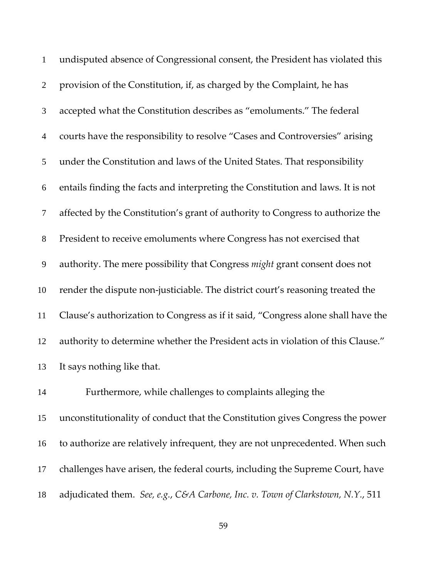| $\mathbf{1}$     | undisputed absence of Congressional consent, the President has violated this     |
|------------------|----------------------------------------------------------------------------------|
| $\overline{2}$   | provision of the Constitution, if, as charged by the Complaint, he has           |
| 3                | accepted what the Constitution describes as "emoluments." The federal            |
| $\overline{4}$   | courts have the responsibility to resolve "Cases and Controversies" arising      |
| 5                | under the Constitution and laws of the United States. That responsibility        |
| 6                | entails finding the facts and interpreting the Constitution and laws. It is not  |
| $\tau$           | affected by the Constitution's grant of authority to Congress to authorize the   |
| $8\,$            | President to receive emoluments where Congress has not exercised that            |
| $\boldsymbol{9}$ | authority. The mere possibility that Congress might grant consent does not       |
| 10               | render the dispute non-justiciable. The district court's reasoning treated the   |
| 11               | Clause's authorization to Congress as if it said, "Congress alone shall have the |
| 12               | authority to determine whether the President acts in violation of this Clause."  |
| 13               | It says nothing like that.                                                       |
| 14               | Furthermore, while challenges to complaints alleging the                         |
| 15               | unconstitutionality of conduct that the Constitution gives Congress the power    |
| 16               | to authorize are relatively infrequent, they are not unprecedented. When such    |
| 17               | challenges have arisen, the federal courts, including the Supreme Court, have    |

adjudicated them. *See, e.g.*, *C&A Carbone, Inc. v. Town of Clarkstown, N.Y.*, 511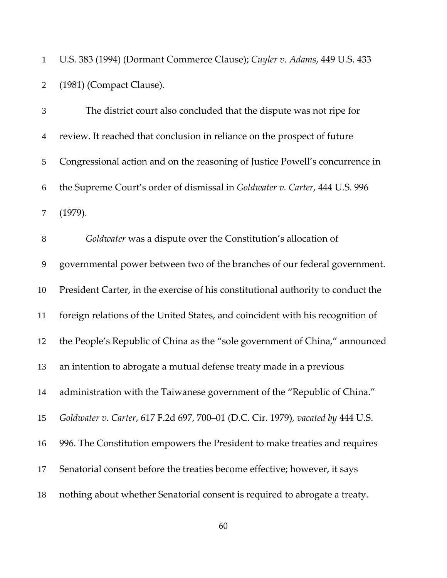U.S. 383 (1994) (Dormant Commerce Clause); *Cuyler v. Adams*, 449 U.S. 433 (1981) (Compact Clause).

| 3              | The district court also concluded that the dispute was not ripe for              |
|----------------|----------------------------------------------------------------------------------|
| $\overline{4}$ | review. It reached that conclusion in reliance on the prospect of future         |
| 5              | Congressional action and on the reasoning of Justice Powell's concurrence in     |
| 6              | the Supreme Court's order of dismissal in Goldwater v. Carter, 444 U.S. 996      |
| $\tau$         | (1979).                                                                          |
| $8\,$          | Goldwater was a dispute over the Constitution's allocation of                    |
| $\mathbf{9}$   | governmental power between two of the branches of our federal government.        |
| 10             | President Carter, in the exercise of his constitutional authority to conduct the |
| 11             | foreign relations of the United States, and coincident with his recognition of   |
| 12             | the People's Republic of China as the "sole government of China," announced      |
| 13             | an intention to abrogate a mutual defense treaty made in a previous              |
| 14             | administration with the Taiwanese government of the "Republic of China."         |
| 15             | Goldwater v. Carter, 617 F.2d 697, 700-01 (D.C. Cir. 1979), vacated by 444 U.S.  |
| 16             | 996. The Constitution empowers the President to make treaties and requires       |
| 17             | Senatorial consent before the treaties become effective; however, it says        |
| 18             | nothing about whether Senatorial consent is required to abrogate a treaty.       |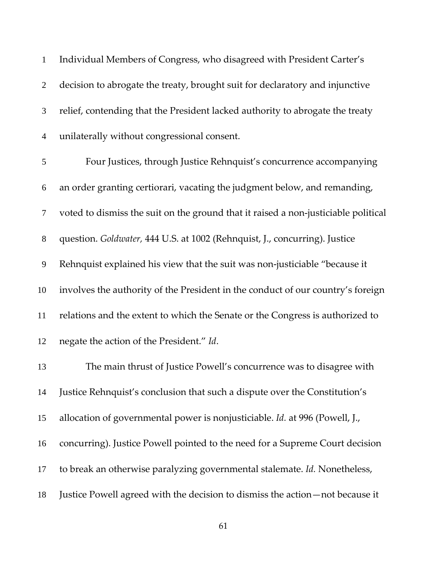| $\mathbf{1}$   | Individual Members of Congress, who disagreed with President Carter's              |
|----------------|------------------------------------------------------------------------------------|
| $\overline{2}$ | decision to abrogate the treaty, brought suit for declaratory and injunctive       |
| 3              | relief, contending that the President lacked authority to abrogate the treaty      |
| $\overline{4}$ | unilaterally without congressional consent.                                        |
| 5              | Four Justices, through Justice Rehnquist's concurrence accompanying                |
| 6              | an order granting certiorari, vacating the judgment below, and remanding,          |
| $\tau$         | voted to dismiss the suit on the ground that it raised a non-justiciable political |
| $8\,$          | question. Goldwater, 444 U.S. at 1002 (Rehnquist, J., concurring). Justice         |
| 9              | Rehnquist explained his view that the suit was non-justiciable "because it         |
| 10             | involves the authority of the President in the conduct of our country's foreign    |
| 11             | relations and the extent to which the Senate or the Congress is authorized to      |
| 12             | negate the action of the President." Id.                                           |
| 13             | The main thrust of Justice Powell's concurrence was to disagree with               |
| 14             | Justice Rehnquist's conclusion that such a dispute over the Constitution's         |
| 15             | allocation of governmental power is nonjusticiable. Id. at 996 (Powell, J.,        |
| 16             | concurring). Justice Powell pointed to the need for a Supreme Court decision       |
| 17             | to break an otherwise paralyzing governmental stalemate. Id. Nonetheless,          |
| 18             | Justice Powell agreed with the decision to dismiss the action-not because it       |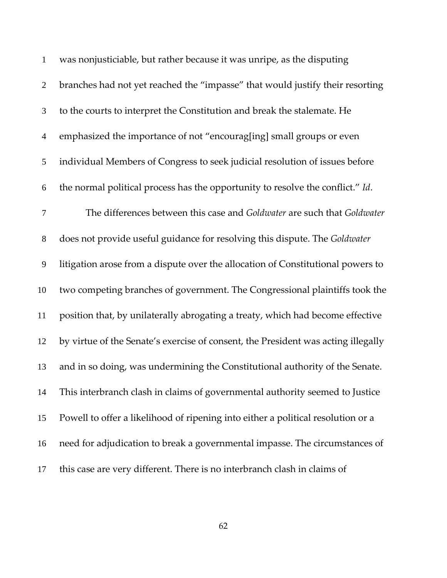| $\mathbf{1}$   | was nonjusticiable, but rather because it was unripe, as the disputing            |
|----------------|-----------------------------------------------------------------------------------|
| $\overline{2}$ | branches had not yet reached the "impasse" that would justify their resorting     |
| 3              | to the courts to interpret the Constitution and break the stalemate. He           |
| $\overline{4}$ | emphasized the importance of not "encourag[ing] small groups or even              |
| 5              | individual Members of Congress to seek judicial resolution of issues before       |
| 6              | the normal political process has the opportunity to resolve the conflict." Id.    |
| $\tau$         | The differences between this case and Goldwater are such that Goldwater           |
| $8\phantom{.}$ | does not provide useful guidance for resolving this dispute. The Goldwater        |
| 9              | litigation arose from a dispute over the allocation of Constitutional powers to   |
| 10             | two competing branches of government. The Congressional plaintiffs took the       |
| 11             | position that, by unilaterally abrogating a treaty, which had become effective    |
| 12             | by virtue of the Senate's exercise of consent, the President was acting illegally |
| 13             | and in so doing, was undermining the Constitutional authority of the Senate.      |
| 14             | This interbranch clash in claims of governmental authority seemed to Justice      |
| 15             | Powell to offer a likelihood of ripening into either a political resolution or a  |
| 16             | need for adjudication to break a governmental impasse. The circumstances of       |
| 17             | this case are very different. There is no interbranch clash in claims of          |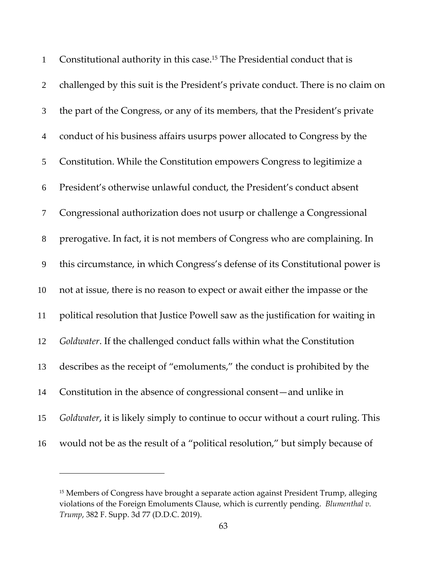| $\mathbf{1}$   | Constitutional authority in this case. <sup>15</sup> The Presidential conduct that is    |
|----------------|------------------------------------------------------------------------------------------|
| $\overline{2}$ | challenged by this suit is the President's private conduct. There is no claim on         |
| 3              | the part of the Congress, or any of its members, that the President's private            |
| $\overline{4}$ | conduct of his business affairs usurps power allocated to Congress by the                |
| 5              | Constitution. While the Constitution empowers Congress to legitimize a                   |
| 6              | President's otherwise unlawful conduct, the President's conduct absent                   |
| $\tau$         | Congressional authorization does not usurp or challenge a Congressional                  |
| 8              | prerogative. In fact, it is not members of Congress who are complaining. In              |
| 9              | this circumstance, in which Congress's defense of its Constitutional power is            |
| 10             | not at issue, there is no reason to expect or await either the impasse or the            |
| 11             | political resolution that Justice Powell saw as the justification for waiting in         |
| 12             | Goldwater. If the challenged conduct falls within what the Constitution                  |
| 13             | describes as the receipt of "emoluments," the conduct is prohibited by the               |
| 14             | Constitution in the absence of congressional consent—and unlike in                       |
| 15             | <i>Goldwater</i> , it is likely simply to continue to occur without a court ruling. This |
| 16             | would not be as the result of a "political resolution," but simply because of            |

<u>.</u>

<sup>&</sup>lt;sup>15</sup> Members of Congress have brought a separate action against President Trump, alleging violations of the Foreign Emoluments Clause, which is currently pending. *Blumenthal v. Trump*, 382 F. Supp. 3d 77 (D.D.C. 2019).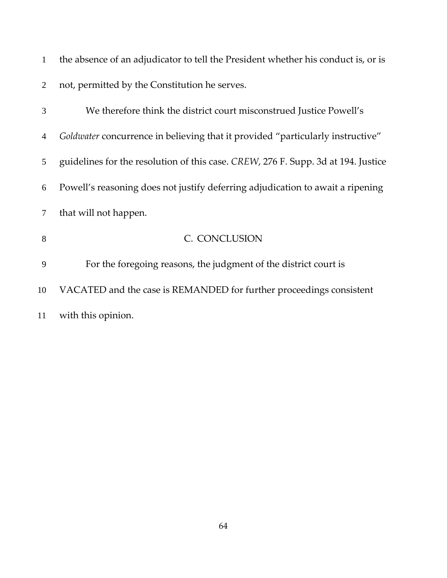| $\mathbf{1}$   | the absence of an adjudicator to tell the President whether his conduct is, or is |
|----------------|-----------------------------------------------------------------------------------|
| 2              | not, permitted by the Constitution he serves.                                     |
| 3              | We therefore think the district court misconstrued Justice Powell's               |
| $\overline{4}$ | Goldwater concurrence in believing that it provided "particularly instructive"    |
| 5              | guidelines for the resolution of this case. CREW, 276 F. Supp. 3d at 194. Justice |
| 6              | Powell's reasoning does not justify deferring adjudication to await a ripening    |
| $\tau$         | that will not happen.                                                             |
| 8              | C. CONCLUSION                                                                     |
| 9              | For the foregoing reasons, the judgment of the district court is                  |
| 10             | VACATED and the case is REMANDED for further proceedings consistent               |
| 11             | with this opinion.                                                                |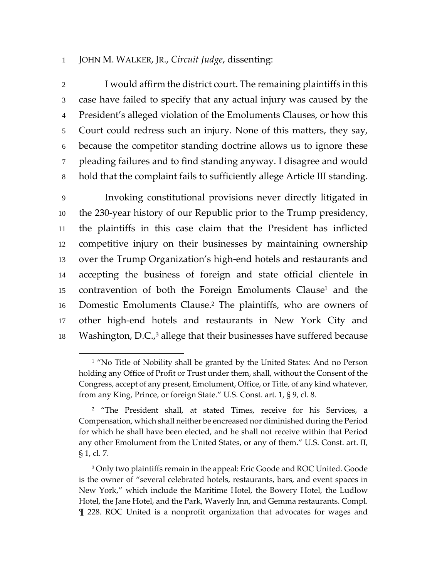## 1 JOHN M. WALKER, JR., *Circuit Judge*, dissenting:

 $\overline{a}$ 

I would affirm the district court. The remaining plaintiffs in this case have failed to specify that any actual injury was caused by the President's alleged violation of the Emoluments Clauses, or how this Court could redress such an injury. None of this matters, they say, because the competitor standing doctrine allows us to ignore these pleading failures and to find standing anyway. I disagree and would hold that the complaint fails to sufficiently allege Article III standing.

9 Invoking constitutional provisions never directly litigated in 10 the 230‐year history of our Republic prior to the Trump presidency, 11 the plaintiffs in this case claim that the President has inflicted 12 competitive injury on their businesses by maintaining ownership 13 over the Trump Organization's high‐end hotels and restaurants and 14 accepting the business of foreign and state official clientele in 15 contravention of both the Foreign Emoluments Clause<sup>1</sup> and the 16 Domestic Emoluments Clause.<sup>2</sup> The plaintiffs, who are owners of 17 other high-end hotels and restaurants in New York City and 18 Washington, D.C., $3$  allege that their businesses have suffered because

<sup>&</sup>lt;sup>1</sup> "No Title of Nobility shall be granted by the United States: And no Person holding any Office of Profit or Trust under them, shall, without the Consent of the Congress, accept of any present, Emolument, Office, or Title, of any kind whatever, from any King, Prince, or foreign State." U.S. Const. art. 1, § 9, cl. 8.

<sup>&</sup>lt;sup>2</sup> "The President shall, at stated Times, receive for his Services, a Compensation, which shall neither be encreased nor diminished during the Period for which he shall have been elected, and he shall not receive within that Period any other Emolument from the United States, or any of them." U.S. Const. art. II, § 1, cl. 7.

<sup>&</sup>lt;sup>3</sup> Only two plaintiffs remain in the appeal: Eric Goode and ROC United. Goode is the owner of "several celebrated hotels, restaurants, bars, and event spaces in New York," which include the Maritime Hotel, the Bowery Hotel, the Ludlow Hotel, the Jane Hotel, and the Park, Waverly Inn, and Gemma restaurants. Compl. ¶ 228. ROC United is a nonprofit organization that advocates for wages and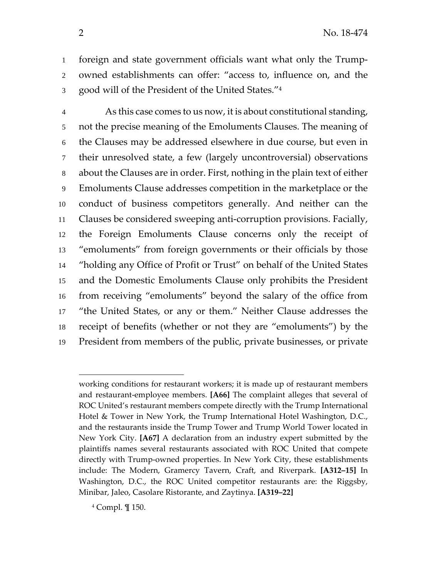foreign and state government officials want what only the Trump‐ owned establishments can offer: "access to, influence on, and the 3 good will of the President of the United States."4

As this case comes to us now, it is about constitutional standing, not the precise meaning of the Emoluments Clauses. The meaning of the Clauses may be addressed elsewhere in due course, but even in their unresolved state, a few (largely uncontroversial) observations about the Clauses are in order. First, nothing in the plain text of either Emoluments Clause addresses competition in the marketplace or the conduct of business competitors generally. And neither can the Clauses be considered sweeping anti‐corruption provisions. Facially, the Foreign Emoluments Clause concerns only the receipt of "emoluments" from foreign governments or their officials by those "holding any Office of Profit or Trust" on behalf of the United States and the Domestic Emoluments Clause only prohibits the President from receiving "emoluments" beyond the salary of the office from "the United States, or any or them." Neither Clause addresses the receipt of benefits (whether or not they are "emoluments") by the President from members of the public, private businesses, or private

Compl. ¶ 150.

 $\overline{\phantom{a}}$ 

working conditions for restaurant workers; it is made up of restaurant members and restaurant‐employee members. **[A66]** The complaint alleges that several of ROC United's restaurant members compete directly with the Trump International Hotel & Tower in New York, the Trump International Hotel Washington, D.C., and the restaurants inside the Trump Tower and Trump World Tower located in New York City. **[A67]** A declaration from an industry expert submitted by the plaintiffs names several restaurants associated with ROC United that compete directly with Trump‐owned properties. In New York City, these establishments include: The Modern, Gramercy Tavern, Craft, and Riverpark. **[A312–15]** In Washington, D.C., the ROC United competitor restaurants are: the Riggsby, Minibar, Jaleo, Casolare Ristorante, and Zaytinya. **[A319–22]**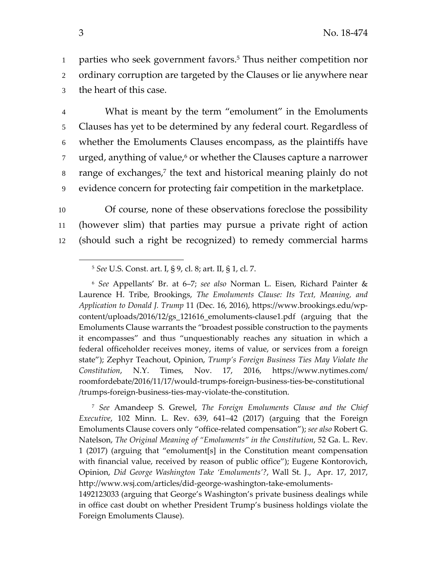1 parties who seek government favors.<sup>5</sup> Thus neither competition nor 2 ordinary corruption are targeted by the Clauses or lie anywhere near 3 the heart of this case.

What is meant by the term "emolument" in the Emoluments Clauses has yet to be determined by any federal court. Regardless of whether the Emoluments Clauses encompass, as the plaintiffs have  $\mu$  urged, anything of value, $\epsilon$  or whether the Clauses capture a narrower  $\alpha$  range of exchanges,<sup>7</sup> the text and historical meaning plainly do not evidence concern for protecting fair competition in the marketplace.

10 Of course, none of these observations foreclose the possibility 11 (however slim) that parties may pursue a private right of action 12 (should such a right be recognized) to remedy commercial harms

<sup>6</sup> *See* Appellants' Br. at 6–7; *see also* Norman L. Eisen, Richard Painter & Laurence H. Tribe, Brookings, *The Emoluments Clause: Its Text, Meaning, and Application to Donald J. Trump* 11 (Dec. 16, 2016), https://www.brookings.edu/wp‐ content/uploads/2016/12/gs\_121616\_emoluments‐clause1.pdf (arguing that the Emoluments Clause warrants the "broadest possible construction to the payments it encompasses" and thus "unquestionably reaches any situation in which a federal officeholder receives money, items of value, or services from a foreign state"); Zephyr Teachout, Opinion, *Trump's Foreign Business Ties May Violate the Constitution*, N.Y. Times, Nov. 17, 2016, https://www.nytimes.com/ roomfordebate/2016/11/17/would‐trumps‐foreign‐business‐ties‐be‐constitutional /trumps‐foreign‐business‐ties‐may‐violate‐the‐constitution.

<sup>7</sup> *See* Amandeep S. Grewel, *The Foreign Emoluments Clause and the Chief Executive*, 102 Minn. L. Rev. 639, 641–42 (2017) (arguing that the Foreign Emoluments Clause covers only "office‐related compensation"); *see also* Robert G. Natelson, *The Original Meaning of "Emoluments" in the Constitution*, 52 Ga. L. Rev. 1 (2017) (arguing that "emolument[s] in the Constitution meant compensation with financial value, received by reason of public office"); Eugene Kontorovich, Opinion, *Did George Washington Take 'Emoluments'?*, Wall St. J., Apr. 17, 2017, http://www.wsj.com/articles/did-george-washington-take-emoluments-

1492123033 (arguing that George's Washington's private business dealings while in office cast doubt on whether President Trump's business holdings violate the Foreign Emoluments Clause).

 $\overline{\phantom{a}}$ 

<sup>5</sup> *See* U.S. Const. art. I, § 9, cl. 8; art. II, § 1, cl. 7.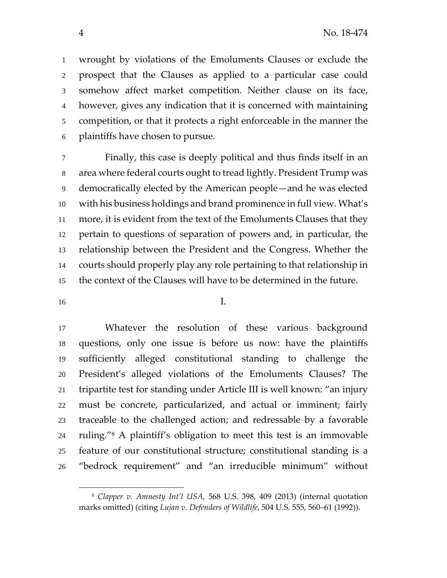wrought by violations of the Emoluments Clauses or exclude the prospect that the Clauses as applied to a particular case could somehow affect market competition. Neither clause on its face, however, gives any indication that it is concerned with maintaining competition, or that it protects a right enforceable in the manner the plaintiffs have chosen to pursue.

Finally, this case is deeply political and thus finds itself in an area where federal courts ought to tread lightly. President Trump was democratically elected by the American people—and he was elected with his business holdings and brand prominence in full view. What's more, it is evident from the text of the Emoluments Clauses that they pertain to questions of separation of powers and, in particular, the relationship between the President and the Congress. Whether the courts should properly play any role pertaining to that relationship in the context of the Clauses will have to be determined in the future.

I.

 $\overline{a}$ 

Whatever the resolution of these various background questions, only one issue is before us now: have the plaintiffs sufficiently alleged constitutional standing to challenge the President's alleged violations of the Emoluments Clauses? The tripartite test for standing under Article III is well known: "an injury must be concrete, particularized, and actual or imminent; fairly traceable to the challenged action; and redressable by a favorable 24 ruling." $\alpha$  A plaintiff's obligation to meet this test is an immovable feature of our constitutional structure; constitutional standing is a "bedrock requirement" and "an irreducible minimum" without

 *Clapper v. Amnesty Int'l USA*, 568 U.S. 398, 409 (2013) (internal quotation marks omitted) (citing *Lujan v. Defenders of Wildlife*, 504 U.S. 555, 560–61 (1992)).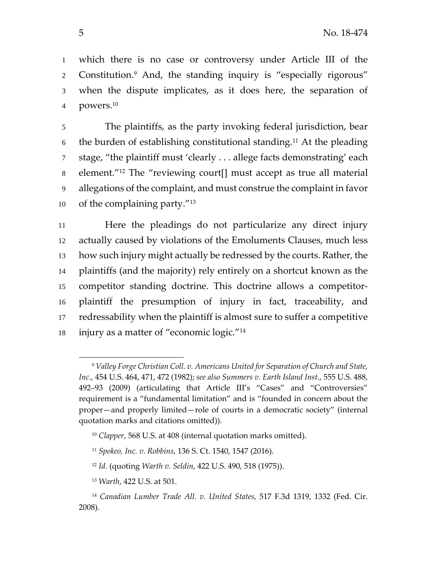which there is no case or controversy under Article III of the 2 Constitution.<sup>9</sup> And, the standing inquiry is "especially rigorous" when the dispute implicates, as it does here, the separation of 4 powers.<sup>10</sup>

The plaintiffs, as the party invoking federal jurisdiction, bear 6 the burden of establishing constitutional standing.<sup>11</sup> At the pleading stage, "the plaintiff must 'clearly . . . allege facts demonstrating' each 8 element.<sup>"12</sup> The "reviewing court[] must accept as true all material allegations of the complaint, and must construe the complaint in favor 10 of the complaining party.

Here the pleadings do not particularize any direct injury actually caused by violations of the Emoluments Clauses, much less how such injury might actually be redressed by the courts. Rather, the plaintiffs (and the majority) rely entirely on a shortcut known as the competitor standing doctrine. This doctrine allows a competitor‐ plaintiff the presumption of injury in fact, traceability, and redressability when the plaintiff is almost sure to suffer a competitive 18 injury as a matter of "economic logic."<sup>14</sup>

 $\overline{\phantom{a}}$ 

 *Valley Forge Christian Coll. v. Americans United for Separation of Church and State, Inc.*, 454 U.S. 464, 471, 472 (1982); *see also Summers v. Earth Island Inst.*, 555 U.S. 488, 492–93 (2009) (articulating that Article III's "Cases" and "Controversies" requirement is a "fundamental limitation" and is "founded in concern about the proper—and properly limited—role of courts in a democratic society" (internal quotation marks and citations omitted)).

*Clapper*, 568 U.S. at 408 (internal quotation marks omitted).

*Spokeo, Inc. v. Robbins*, 136 S. Ct. 1540, 1547 (2016).

*Id*. (quoting *Warth v. Seldin*, 422 U.S. 490, 518 (1975)).

*Warth*, 422 U.S. at 501.

 *Canadian Lumber Trade All. v. United States*, 517 F.3d 1319, 1332 (Fed. Cir. 2008).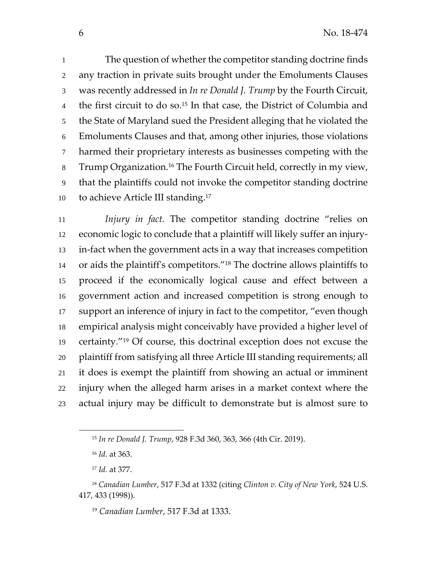The question of whether the competitor standing doctrine finds any traction in private suits brought under the Emoluments Clauses was recently addressed in *In re Donald J. Trump* by the Fourth Circuit, 4 the first circuit to do so.<sup>15</sup> In that case, the District of Columbia and the State of Maryland sued the President alleging that he violated the Emoluments Clauses and that, among other injuries, those violations harmed their proprietary interests as businesses competing with the 8 Trump Organization.<sup>16</sup> The Fourth Circuit held, correctly in my view, that the plaintiffs could not invoke the competitor standing doctrine 10 to achieve Article III standing.<sup>17</sup>

*Injury in fact.* The competitor standing doctrine "relies on economic logic to conclude that a plaintiff will likely suffer an injury‐ in‐fact when the government acts in a way that increases competition 14 or aids the plaintiff's competitors."<sup>18</sup> The doctrine allows plaintiffs to proceed if the economically logical cause and effect between a government action and increased competition is strong enough to support an inference of injury in fact to the competitor, "even though empirical analysis might conceivably have provided a higher level of 19 certainty."<sup>19</sup> Of course, this doctrinal exception does not excuse the plaintiff from satisfying all three Article III standing requirements; all it does is exempt the plaintiff from showing an actual or imminent injury when the alleged harm arises in a market context where the actual injury may be difficult to demonstrate but is almost sure to

l

*Canadian Lumber*, 517 F.3d at 1333.

*In re Donald J. Trump*, 928 F.3d 360, 363, 366 (4th Cir. 2019).

*Id.* at 363.

*Id.* at 377.

 *Canadian Lumber*, 517 F.3d at 1332 (citing *Clinton v. City of New York*, 524 U.S. 417, 433 (1998)).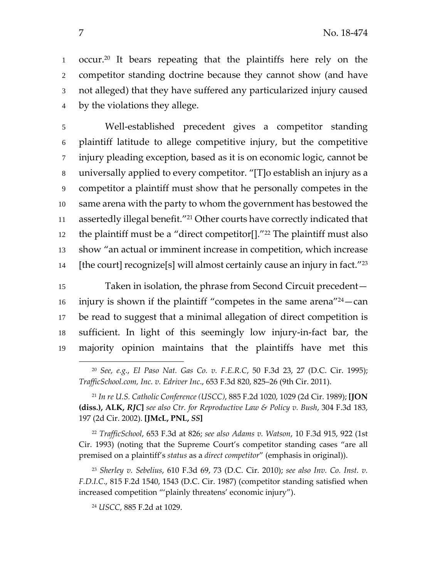1 occur.<sup>20</sup> It bears repeating that the plaintiffs here rely on the competitor standing doctrine because they cannot show (and have not alleged) that they have suffered any particularized injury caused by the violations they allege.

Well‐established precedent gives a competitor standing plaintiff latitude to allege competitive injury, but the competitive injury pleading exception, based as it is on economic logic, cannot be universally applied to every competitor. "[T]o establish an injury as a competitor a plaintiff must show that he personally competes in the same arena with the party to whom the government has bestowed the 11 assertedly illegal benefit."<sup>21</sup> Other courts have correctly indicated that 12 the plaintiff must be a "direct competitor[]." $^{22}$  The plaintiff must also show "an actual or imminent increase in competition, which increase 14 [the court] recognize[s] will almost certainly cause an injury in fact. $"^{23}$ 

Taken in isolation, the phrase from Second Circuit precedent is injury is shown if the plaintiff "competes in the same arena" $^{24}$  - can be read to suggest that a minimal allegation of direct competition is sufficient. In light of this seemingly low injury‐in‐fact bar, the majority opinion maintains that the plaintiffs have met this

 *TrafficSchool*, 653 F.3d at 826; *see also Adams v. Watson*, 10 F.3d 915, 922 (1st Cir. 1993) (noting that the Supreme Court's competitor standing cases "are all premised on a plaintiff's *status* as a *direct competitor*" (emphasis in original)).

 *Sherley v. Sebelius*, 610 F.3d 69, 73 (D.C. Cir. 2010); *see also Inv. Co. Inst. v. F.D.I.C*., 815 F.2d 1540, 1543 (D.C. Cir. 1987) (competitor standing satisfied when increased competition "'plainly threatens' economic injury").

*USCC*, 885 F.2d at 1029.

 $\overline{\phantom{a}}$ 

 *See, e.g.*, *El Paso Nat. Gas Co. v. F.E.R.C*, 50 F.3d 23, 27 (D.C. Cir. 1995); *TrafficSchool.com, Inc. v. Edriver Inc*., 653 F.3d 820, 825–26 (9th Cir. 2011).

 *In re U.S. Catholic Conference (USCC)*, 885 F.2d 1020, 1029 (2d Cir. 1989); **[JON (diss.), ALK,** *RJC***]** *see also Ctr. for Reproductive Law & Policy v. Bush*, 304 F.3d 183, (2d Cir. 2002). **[JMcL, PNL,** *SS***]**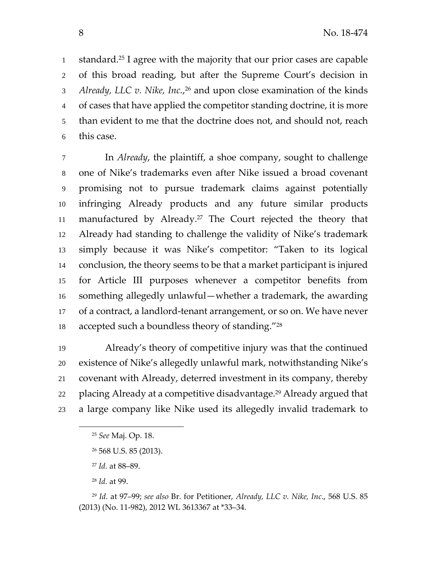1 standard.<sup>25</sup> I agree with the majority that our prior cases are capable of this broad reading, but after the Supreme Court's decision in *Already, LLC v. Nike, Inc.*, <sup>26</sup> and upon close examination of the kinds of cases that have applied the competitor standing doctrine, it is more than evident to me that the doctrine does not, and should not, reach this case.

In *Already*, the plaintiff, a shoe company, sought to challenge one of Nike's trademarks even after Nike issued a broad covenant promising not to pursue trademark claims against potentially infringing Already products and any future similar products 11 manufactured by Already.<sup>27</sup> The Court rejected the theory that Already had standing to challenge the validity of Nike's trademark simply because it was Nike's competitor: "Taken to its logical conclusion, the theory seems to be that a market participant is injured for Article III purposes whenever a competitor benefits from something allegedly unlawful—whether a trademark, the awarding of a contract, a landlord‐tenant arrangement, or so on. We have never 18 accepted such a boundless theory of standing.

Already's theory of competitive injury was that the continued existence of Nike's allegedly unlawful mark, notwithstanding Nike's covenant with Already, deterred investment in its company, thereby 22 placing Already at a competitive disadvantage.<sup>29</sup> Already argued that a large company like Nike used its allegedly invalid trademark to

 $\overline{\phantom{a}}$ 

*See* Maj. Op. 18.

568 U.S. 85 (2013).

*Id.* at 88–89.

*Id.* at 99.

 *Id.* at 97–99; *see also* Br. for Petitioner, *Already, LLC v. Nike, Inc*., 568 U.S. 85 (2013) (No. 11‐982), 2012 WL 3613367 at \*33–34.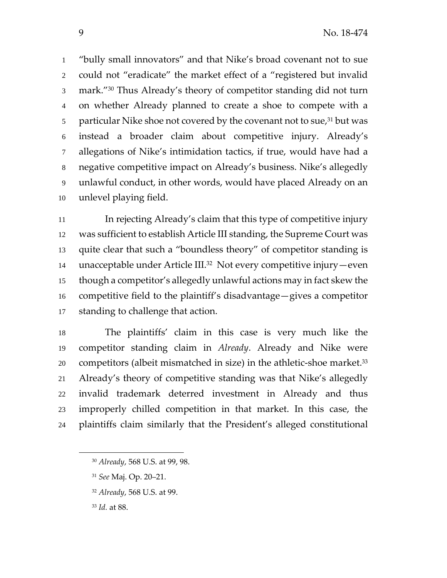"bully small innovators" and that Nike's broad covenant not to sue could not "eradicate" the market effect of a "registered but invalid 3 mark." 30 Thus Already's theory of competitor standing did not turn on whether Already planned to create a shoe to compete with a 5 particular Nike shoe not covered by the covenant not to sue, but was instead a broader claim about competitive injury. Already's allegations of Nike's intimidation tactics, if true, would have had a negative competitive impact on Already's business. Nike's allegedly unlawful conduct, in other words, would have placed Already on an unlevel playing field.

In rejecting Already's claim that this type of competitive injury was sufficient to establish Article III standing, the Supreme Court was quite clear that such a "boundless theory" of competitor standing is 14 unacceptable under Article III.<sup>32</sup> Not every competitive injury—even though a competitor's allegedly unlawful actions may in fact skew the competitive field to the plaintiff's disadvantage—gives a competitor standing to challenge that action.

The plaintiffs' claim in this case is very much like the competitor standing claim in *Already*. Already and Nike were 20 competitors (albeit mismatched in size) in the athletic-shoe market.<sup>33</sup> Already's theory of competitive standing was that Nike's allegedly invalid trademark deterred investment in Already and thus improperly chilled competition in that market. In this case, the plaintiffs claim similarly that the President's alleged constitutional

- *See* Maj. Op. 20–21.
- *Already*, 568 U.S. at 99.

*Already*, 568 U.S. at 99, 98.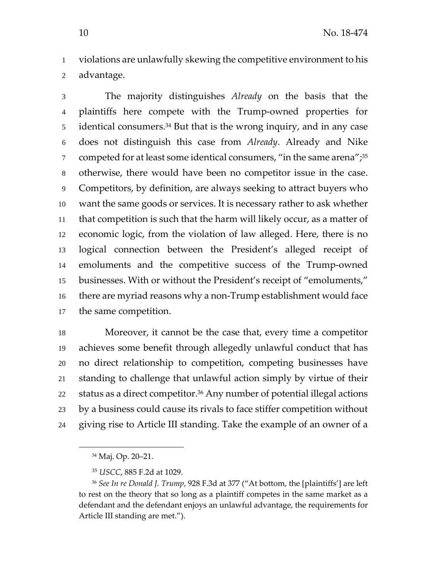violations are unlawfully skewing the competitive environment to his advantage.

The majority distinguishes *Already* on the basis that the plaintiffs here compete with the Trump‐owned properties for 5 identical consumers.<sup>34</sup> But that is the wrong inquiry, and in any case does not distinguish this case from *Already*. Already and Nike competed for at least some identical consumers, "in the same arena"; $^{35}$ otherwise, there would have been no competitor issue in the case. Competitors, by definition, are always seeking to attract buyers who want the same goods or services. It is necessary rather to ask whether that competition is such that the harm will likely occur, as a matter of economic logic, from the violation of law alleged. Here, there is no logical connection between the President's alleged receipt of emoluments and the competitive success of the Trump‐owned businesses. With or without the President's receipt of "emoluments," there are myriad reasons why a non‐Trump establishment would face the same competition.

Moreover, it cannot be the case that, every time a competitor achieves some benefit through allegedly unlawful conduct that has no direct relationship to competition, competing businesses have standing to challenge that unlawful action simply by virtue of their status as a direct competitor.<sup>36</sup> Any number of potential illegal actions by a business could cause its rivals to face stiffer competition without giving rise to Article III standing. Take the example of an owner of a

Maj. Op. 20–21.

*USCC*, 885 F.2d at 1029.

 *See In re Donald J. Trump*, 928 F.3d at 377 ("At bottom, the [plaintiffs'] are left to rest on the theory that so long as a plaintiff competes in the same market as a defendant and the defendant enjoys an unlawful advantage, the requirements for Article III standing are met.").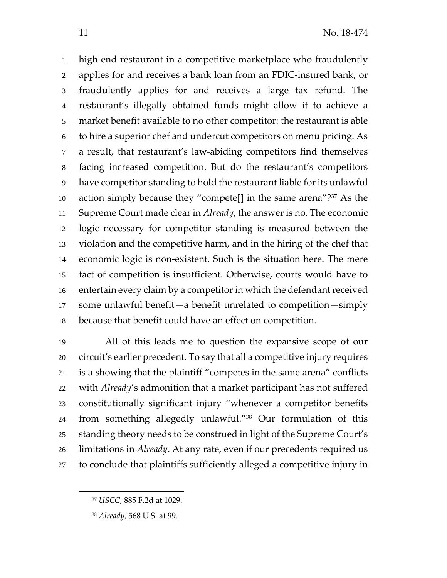high‐end restaurant in a competitive marketplace who fraudulently applies for and receives a bank loan from an FDIC‐insured bank, or fraudulently applies for and receives a large tax refund. The restaurant's illegally obtained funds might allow it to achieve a market benefit available to no other competitor: the restaurant is able to hire a superior chef and undercut competitors on menu pricing. As a result, that restaurant's law‐abiding competitors find themselves facing increased competition. But do the restaurant's competitors have competitor standing to hold the restaurant liable for its unlawful 10 action simply because they "compete[] in the same arena"? As the Supreme Court made clear in *Already*, the answer is no. The economic logic necessary for competitor standing is measured between the violation and the competitive harm, and in the hiring of the chef that economic logic is non‐existent. Such is the situation here. The mere fact of competition is insufficient. Otherwise, courts would have to 16 entertain every claim by a competitor in which the defendant received some unlawful benefit—a benefit unrelated to competition—simply because that benefit could have an effect on competition.

All of this leads me to question the expansive scope of our circuit's earlier precedent. To say that all a competitive injury requires is a showing that the plaintiff "competes in the same arena" conflicts with *Already*'s admonition that a market participant has not suffered constitutionally significant injury "whenever a competitor benefits 24 from something allegedly unlawful."<sup>38</sup> Our formulation of this standing theory needs to be construed in light of the Supreme Court's limitations in *Already*. At any rate, even if our precedents required us to conclude that plaintiffs sufficiently alleged a competitive injury in

*USCC*, 885 F.2d at 1029.

*Already*, 568 U.S. at 99.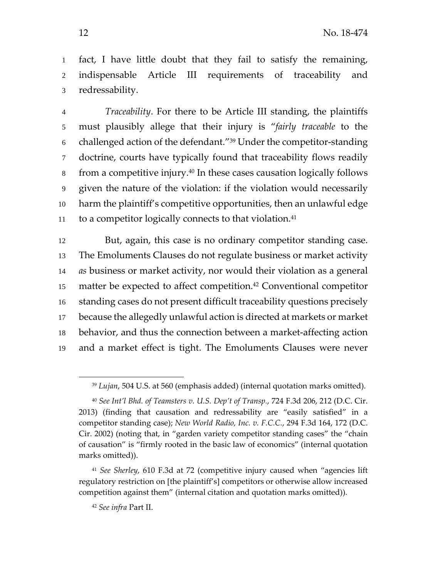fact, I have little doubt that they fail to satisfy the remaining, indispensable Article III requirements of traceability and redressability.

*Traceability*. For there to be Article III standing, the plaintiffs must plausibly allege that their injury is "*fairly traceable* to the 6 challenged action of the defendant."<sup>39</sup> Under the competitor-standing doctrine, courts have typically found that traceability flows readily  $\delta$  from a competitive injury.<sup>40</sup> In these cases causation logically follows given the nature of the violation: if the violation would necessarily harm the plaintiff's competitive opportunities, then an unlawful edge to a competitor logically connects to that violation.

But, again, this case is no ordinary competitor standing case. The Emoluments Clauses do not regulate business or market activity *as* business or market activity, nor would their violation as a general 15 matter be expected to affect competition.<sup>42</sup> Conventional competitor standing cases do not present difficult traceability questions precisely because the allegedly unlawful action is directed at markets or market behavior, and thus the connection between a market‐affecting action and a market effect is tight. The Emoluments Clauses were never

*Lujan*, 504 U.S. at 560 (emphasis added) (internal quotation marks omitted).

 *See Int'l Bhd. of Teamsters v. U.S. Dep't of Transp.*, 724 F.3d 206, 212 (D.C. Cir. 2013) (finding that causation and redressability are "easily satisfied" in a competitor standing case); *New World Radio, Inc. v. F.C.C.*, 294 F.3d 164, 172 (D.C. Cir. 2002) (noting that, in "garden variety competitor standing cases" the "chain of causation" is "firmly rooted in the basic law of economics" (internal quotation marks omitted)).

 *See Sherley*, 610 F.3d at 72 (competitive injury caused when "agencies lift regulatory restriction on [the plaintiff's] competitors or otherwise allow increased competition against them" (internal citation and quotation marks omitted)).

*See infra* Part II.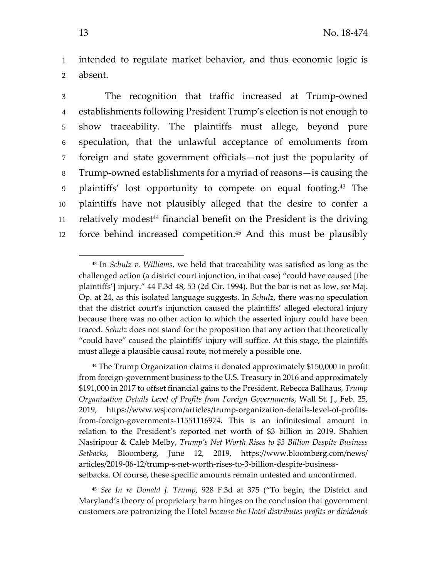1 intended to regulate market behavior, and thus economic logic is 2 absent.

The recognition that traffic increased at Trump‐owned establishments following President Trump's election is not enough to show traceability. The plaintiffs must allege, beyond pure speculation, that the unlawful acceptance of emoluments from foreign and state government officials—not just the popularity of Trump‐owned establishments for a myriad of reasons—is causing the 9 plaintiffs' lost opportunity to compete on equal footing.<sup>43</sup> The plaintiffs have not plausibly alleged that the desire to confer a 11 relatively modest<sup>44</sup> financial benefit on the President is the driving 12 force behind increased competition.<sup>45</sup> And this must be plausibly

<sup>45</sup> *See In re Donald J. Trump*, 928 F.3d at 375 ("To begin, the District and Maryland's theory of proprietary harm hinges on the conclusion that government customers are patronizing the Hotel *because the Hotel distributes profits or dividends*

<sup>43</sup> In *Schulz v. Williams*, we held that traceability was satisfied as long as the challenged action (a district court injunction, in that case) "could have caused [the plaintiffs'] injury." 44 F.3d 48, 53 (2d Cir. 1994). But the bar is not as low, *see* Maj. Op. at 24, as this isolated language suggests. In *Schulz*, there was no speculation that the district court's injunction caused the plaintiffs' alleged electoral injury because there was no other action to which the asserted injury could have been traced. *Schulz* does not stand for the proposition that any action that theoretically "could have" caused the plaintiffs' injury will suffice. At this stage, the plaintiffs must allege a plausible causal route, not merely a possible one.

<sup>44</sup> The Trump Organization claims it donated approximately \$150,000 in profit from foreign‐government business to the U.S. Treasury in 2016 and approximately \$191,000 in 2017 to offset financial gains to the President. Rebecca Ballhaus, *Trump Organization Details Level of Profits from Foreign Governments*, Wall St. J., Feb. 25, 2019, https://www.wsj.com/articles/trump‐organization‐details‐level‐of‐profits‐ from‐foreign‐governments‐11551116974. This is an infinitesimal amount in relation to the President's reported net worth of \$3 billion in 2019. Shahien Nasiripour & Caleb Melby, *Trump's Net Worth Rises to \$3 Billion Despite Business Setbacks*, Bloomberg, June 12, 2019, https://www.bloomberg.com/news/ articles/2019‐06‐12/trump‐s‐net‐worth‐rises‐to‐3‐billion‐despite‐business‐ setbacks. Of course, these specific amounts remain untested and unconfirmed.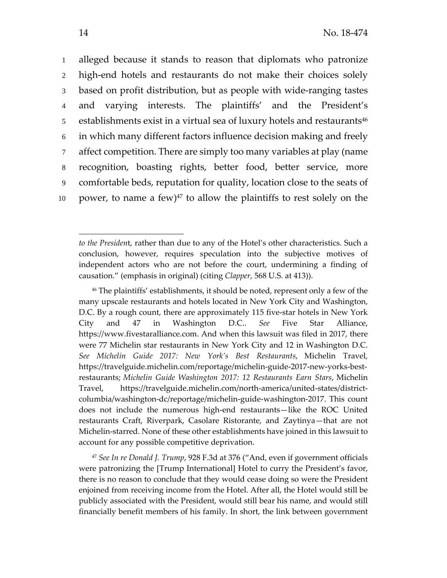alleged because it stands to reason that diplomats who patronize 2 high-end hotels and restaurants do not make their choices solely based on profit distribution, but as people with wide‐ranging tastes and varying interests. The plaintiffs' and the President's 5 establishments exist in a virtual sea of luxury hotels and restaurants<sup>46</sup> in which many different factors influence decision making and freely affect competition. There are simply too many variables at play (name recognition, boasting rights, better food, better service, more comfortable beds, reputation for quality, location close to the seats of 10 power, to name a few) $47$  to allow the plaintiffs to rest solely on the

*to the Presiden*t, rather than due to any of the Hotel's other characteristics. Such a conclusion, however, requires speculation into the subjective motives of independent actors who are not before the court, undermining a finding of causation." (emphasis in original) (citing *Clapper*, 568 U.S. at 413)).

<sup>46</sup> The plaintiffs' establishments, it should be noted, represent only a few of the many upscale restaurants and hotels located in New York City and Washington, D.C. By a rough count, there are approximately 115 five-star hotels in New York City and 47 in Washington D.C.. *See* Five Star Alliance, https://www.fivestaralliance.com. And when this lawsuit was filed in 2017, there were 77 Michelin star restaurants in New York City and 12 in Washington D.C. *See Michelin Guide 2017: New York's Best Restaurants*, Michelin Travel, https://travelguide.michelin.com/reportage/michelin‐guide‐2017‐new‐yorks‐best‐ restaurants; *Michelin Guide Washington 2017: 12 Restaurants Earn Stars*, Michelin Travel, https://travelguide.michelin.com/north-america/united-states/districtcolumbia/washington‐dc/reportage/michelin‐guide‐washington‐2017. This count does not include the numerous high‐end restaurants—like the ROC United restaurants Craft, Riverpark, Casolare Ristorante, and Zaytinya—that are not Michelin‐starred. None of these other establishments have joined in this lawsuit to account for any possible competitive deprivation.

<sup>47</sup> *See In re Donald J. Trump*, 928 F.3d at 376 ("And, even if government officials were patronizing the [Trump International] Hotel to curry the President's favor, there is no reason to conclude that they would cease doing so were the President enjoined from receiving income from the Hotel. After all, the Hotel would still be publicly associated with the President, would still bear his name, and would still financially benefit members of his family. In short, the link between government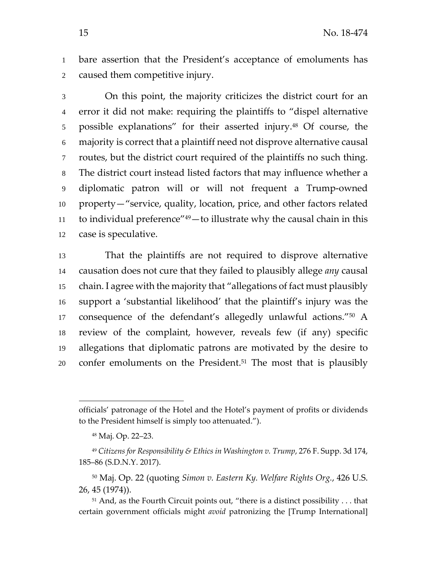bare assertion that the President's acceptance of emoluments has caused them competitive injury.

On this point, the majority criticizes the district court for an error it did not make: requiring the plaintiffs to "dispel alternative 5 possible explanations" for their asserted injury.<sup>48</sup> Of course, the majority is correct that a plaintiff need not disprove alternative causal routes, but the district court required of the plaintiffs no such thing. The district court instead listed factors that may influence whether a diplomatic patron will or will not frequent a Trump‐owned property—"service, quality, location, price, and other factors related 11 to individual preference" — to illustrate why the causal chain in this case is speculative.

That the plaintiffs are not required to disprove alternative causation does not cure that they failed to plausibly allege *any* causal chain. I agree with the majority that "allegations of fact must plausibly support a 'substantial likelihood' that the plaintiff's injury was the 17 consequence of the defendant's allegedly unlawful actions."<sup>50</sup> A review of the complaint, however, reveals few (if any) specific allegations that diplomatic patrons are motivated by the desire to confer emoluments on the President.<sup>51</sup> The most that is plausibly

officials' patronage of the Hotel and the Hotel's payment of profits or dividends to the President himself is simply too attenuated.").

Maj. Op. 22–23.

 *Citizens for Responsibility & Ethics in Washington v. Trump*, 276 F. Supp. 3d 174, 185–86 (S.D.N.Y. 2017).

 Maj. Op. 22 (quoting *Simon v. Eastern Ky. Welfare Rights Org.*, 426 U.S. 26, 45 (1974)).

<sup>&</sup>lt;sup>51</sup> And, as the Fourth Circuit points out, "there is a distinct possibility . . . that certain government officials might *avoid* patronizing the [Trump International]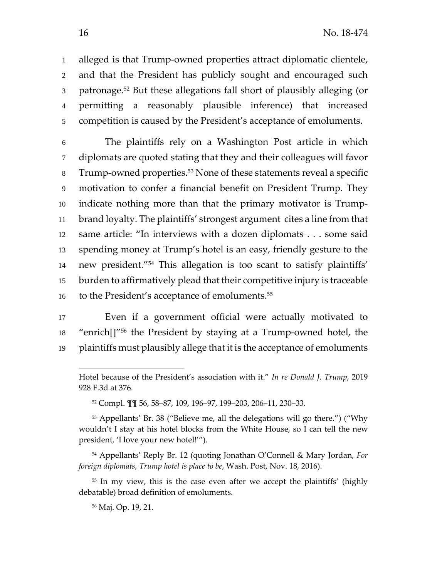alleged is that Trump‐owned properties attract diplomatic clientele, and that the President has publicly sought and encouraged such 3 patronage.<sup>52</sup> But these allegations fall short of plausibly alleging (or permitting a reasonably plausible inference) that increased competition is caused by the President's acceptance of emoluments.

The plaintiffs rely on a Washington Post article in which diplomats are quoted stating that they and their colleagues will favor 8 Trump-owned properties.<sup>53</sup> None of these statements reveal a specific motivation to confer a financial benefit on President Trump. They indicate nothing more than that the primary motivator is Trump‐ brand loyalty. The plaintiffs' strongest argument cites a line from that same article: "In interviews with a dozen diplomats . . . some said spending money at Trump's hotel is an easy, friendly gesture to the 14 new president."<sup>54</sup> This allegation is too scant to satisfy plaintiffs' burden to affirmatively plead that their competitive injury is traceable 16 to the President's acceptance of emoluments.<sup>55</sup>

Even if a government official were actually motivated to "enrich[]"56 the President by staying at a Trump‐owned hotel, the plaintiffs must plausibly allege that it is the acceptance of emoluments

Hotel because of the President's association with it." *In re Donald J. Trump*, 2019 F.3d at 376.

Compl. ¶¶ 56, 58–87, 109, 196–97, 199–203, 206–11, 230–33.

 Appellants' Br. 38 ("Believe me, all the delegations will go there.") ("Why wouldn't I stay at his hotel blocks from the White House, so I can tell the new president, 'I love your new hotel!'").

 Appellants' Reply Br. 12 (quoting Jonathan O'Connell & Mary Jordan, *For foreign diplomats, Trump hotel is place to be*, Wash. Post, Nov. 18, 2016).

<sup>&</sup>lt;sup>55</sup> In my view, this is the case even after we accept the plaintiffs' (highly debatable) broad definition of emoluments.

Maj. Op. 19, 21.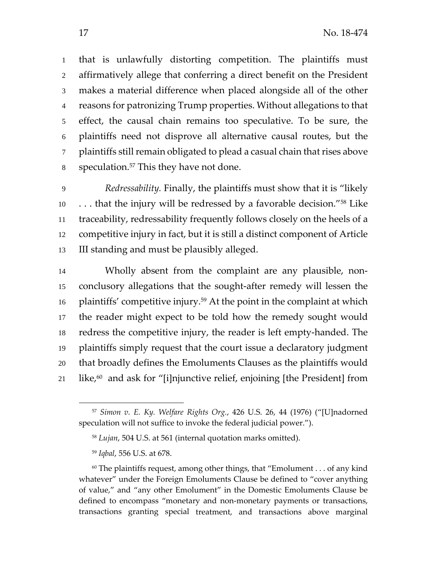that is unlawfully distorting competition. The plaintiffs must affirmatively allege that conferring a direct benefit on the President makes a material difference when placed alongside all of the other reasons for patronizing Trump properties. Without allegations to that effect, the causal chain remains too speculative. To be sure, the plaintiffs need not disprove all alternative causal routes, but the 7 plaintiffs still remain obligated to plead a casual chain that rises above s speculation.<sup>57</sup> This they have not done.

*Redressability.* Finally, the plaintiffs must show that it is "likely  $\ldots$  that the injury will be redressed by a favorable decision."<sup>58</sup> Like traceability, redressability frequently follows closely on the heels of a competitive injury in fact, but it is still a distinct component of Article III standing and must be plausibly alleged.

Wholly absent from the complaint are any plausible, non‐ conclusory allegations that the sought‐after remedy will lessen the 16 plaintiffs' competitive injury.<sup>59</sup> At the point in the complaint at which the reader might expect to be told how the remedy sought would redress the competitive injury, the reader is left empty‐handed. The plaintiffs simply request that the court issue a declaratory judgment that broadly defines the Emoluments Clauses as the plaintiffs would  $\;$  like,<sup>60</sup> and ask for "[i]njunctive relief, enjoining [the President] from

 *Simon v. E. Ky. Welfare Rights Org.*, 426 U.S. 26, 44 (1976) ("[U]nadorned speculation will not suffice to invoke the federal judicial power.").

*Lujan*, 504 U.S. at 561 (internal quotation marks omitted).

*Iqbal*, 556 U.S. at 678.

 The plaintiffs request, among other things, that "Emolument . . . of any kind whatever" under the Foreign Emoluments Clause be defined to "cover anything of value," and "any other Emolument" in the Domestic Emoluments Clause be defined to encompass "monetary and non‐monetary payments or transactions, transactions granting special treatment, and transactions above marginal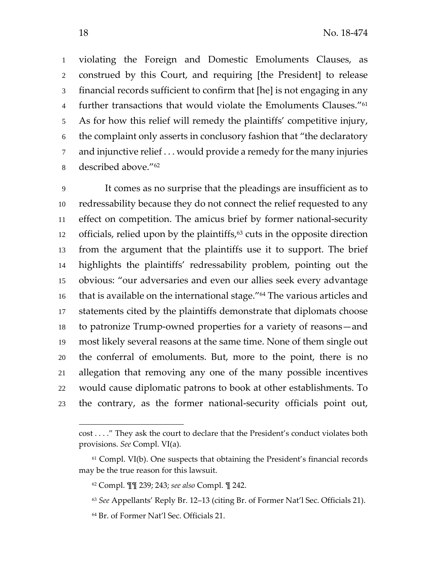violating the Foreign and Domestic Emoluments Clauses, as construed by this Court, and requiring [the President] to release financial records sufficient to confirm that [he] is not engaging in any 4 further transactions that would violate the Emoluments Clauses."<sup>61</sup> As for how this relief will remedy the plaintiffs' competitive injury, the complaint only asserts in conclusory fashion that "the declaratory and injunctive relief . . . would provide a remedy for the many injuries 8 described above."<sup>62</sup>

It comes as no surprise that the pleadings are insufficient as to redressability because they do not connect the relief requested to any effect on competition. The amicus brief by former national‐security 12 officials, relied upon by the plaintiffs, cuts in the opposite direction from the argument that the plaintiffs use it to support. The brief highlights the plaintiffs' redressability problem, pointing out the obvious: "our adversaries and even our allies seek every advantage 16 that is available on the international stage." The various articles and statements cited by the plaintiffs demonstrate that diplomats choose to patronize Trump‐owned properties for a variety of reasons—and most likely several reasons at the same time. None of them single out the conferral of emoluments. But, more to the point, there is no allegation that removing any one of the many possible incentives would cause diplomatic patrons to book at other establishments. To the contrary, as the former national‐security officials point out,

- *See* Appellants' Reply Br. 12–13 (citing Br. of Former Nat'l Sec. Officials 21).
- Br. of Former Nat'l Sec. Officials 21.

 $\overline{\phantom{a}}$ 

cost . . . ." They ask the court to declare that the President's conduct violates both provisions. *See* Compl. VI(a).

 Compl. VI(b). One suspects that obtaining the President's financial records may be the true reason for this lawsuit.

Compl. ¶¶ 239; 243; *see also* Compl. ¶ 242.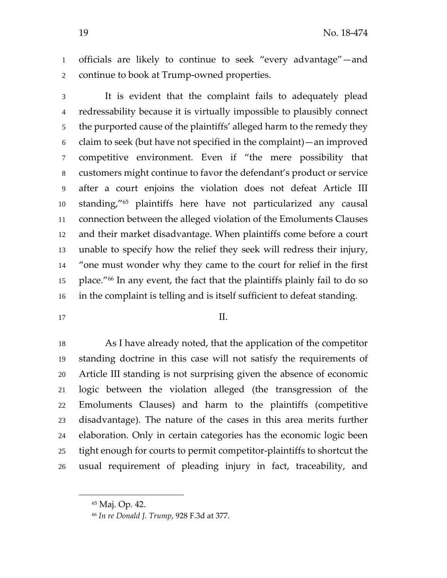officials are likely to continue to seek "every advantage"—and continue to book at Trump‐owned properties.

It is evident that the complaint fails to adequately plead redressability because it is virtually impossible to plausibly connect the purported cause of the plaintiffs' alleged harm to the remedy they claim to seek (but have not specified in the complaint)—an improved competitive environment. Even if "the mere possibility that customers might continue to favor the defendant's product or service after a court enjoins the violation does not defeat Article III 10 standing,"<sup>65</sup> plaintiffs here have not particularized any causal connection between the alleged violation of the Emoluments Clauses and their market disadvantage. When plaintiffs come before a court unable to specify how the relief they seek will redress their injury, "one must wonder why they came to the court for relief in the first place."66 In any event, the fact that the plaintiffs plainly fail to do so in the complaint is telling and is itself sufficient to defeat standing.

## $17 \qquad \qquad \text{II}.$

As I have already noted, that the application of the competitor standing doctrine in this case will not satisfy the requirements of Article III standing is not surprising given the absence of economic logic between the violation alleged (the transgression of the Emoluments Clauses) and harm to the plaintiffs (competitive disadvantage). The nature of the cases in this area merits further elaboration. Only in certain categories has the economic logic been tight enough for courts to permit competitor‐plaintiffs to shortcut the usual requirement of pleading injury in fact, traceability, and

Maj. Op. 42.

*In re Donald J. Trump*, 928 F.3d at 377.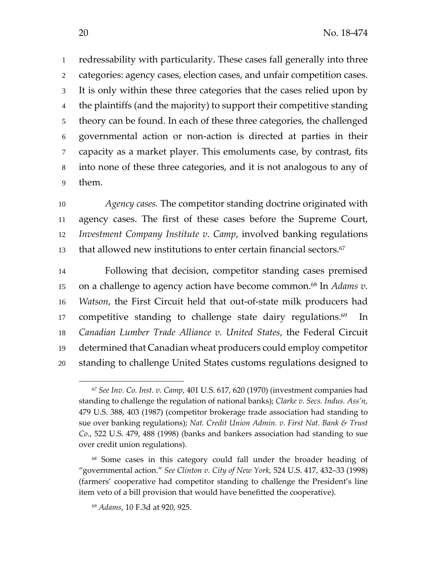redressability with particularity. These cases fall generally into three categories: agency cases, election cases, and unfair competition cases. It is only within these three categories that the cases relied upon by the plaintiffs (and the majority) to support their competitive standing theory can be found. In each of these three categories, the challenged governmental action or non‐action is directed at parties in their capacity as a market player. This emoluments case, by contrast, fits into none of these three categories, and it is not analogous to any of them.

*Agency cases.* The competitor standing doctrine originated with agency cases. The first of these cases before the Supreme Court, *Investment Company Institute v. Camp*, involved banking regulations that allowed new institutions to enter certain financial sectors.<sup>67</sup>

Following that decision, competitor standing cases premised on a challenge to agency action have become common.68 In *Adams v. Watson*, the First Circuit held that out‐of‐state milk producers had 17 competitive standing to challenge state dairy regulations.<sup>69</sup> In *Canadian Lumber Trade Alliance v. United States*, the Federal Circuit determined that Canadian wheat producers could employ competitor standing to challenge United States customs regulations designed to

 *See Inv. Co. Inst. v. Camp*, 401 U.S. 617, 620 (1970) (investment companies had standing to challenge the regulation of national banks); *Clarke v. Secs. Indus. Ass'n*, U.S. 388, 403 (1987) (competitor brokerage trade association had standing to sue over banking regulations); *Nat. Credit Union Admin. v. First Nat. Bank & Trust Co*., 522 U.S. 479, 488 (1998) (banks and bankers association had standing to sue over credit union regulations).

 Some cases in this category could fall under the broader heading of "governmental action." *See Clinton v. City of New York*, 524 U.S. 417, 432–33 (1998) (farmers' cooperative had competitor standing to challenge the President's line item veto of a bill provision that would have benefitted the cooperative).

*Adams*, 10 F.3d at 920, 925.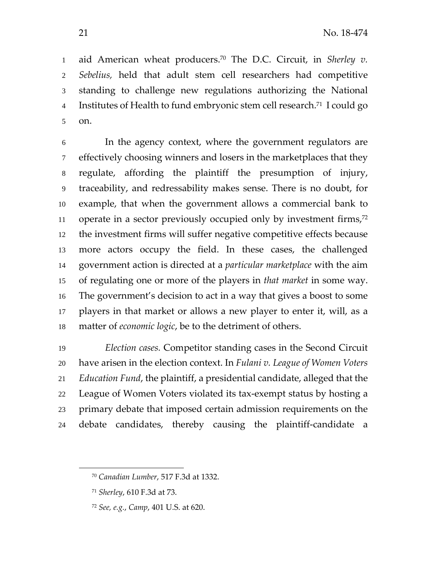1 aid American wheat producers.<sup>70</sup> The D.C. Circuit, in *Sherley v*. *Sebelius,* held that adult stem cell researchers had competitive standing to challenge new regulations authorizing the National 4 Institutes of Health to fund embryonic stem cell research.<sup>71</sup> I could go on. 

In the agency context, where the government regulators are effectively choosing winners and losers in the marketplaces that they regulate, affording the plaintiff the presumption of injury, traceability, and redressability makes sense. There is no doubt, for example, that when the government allows a commercial bank to 11 operate in a sector previously occupied only by investment firms,the investment firms will suffer negative competitive effects because more actors occupy the field. In these cases, the challenged government action is directed at a *particular marketplace* with the aim of regulating one or more of the players in *that market* in some way. The government's decision to act in a way that gives a boost to some players in that market or allows a new player to enter it, will, as a matter of *economic logic*, be to the detriment of others.

*Election cases.* Competitor standing cases in the Second Circuit have arisen in the election context. In *Fulani v. League of Women Voters Education Fund*, the plaintiff, a presidential candidate, alleged that the 22 League of Women Voters violated its tax-exempt status by hosting a primary debate that imposed certain admission requirements on the debate candidates, thereby causing the plaintiff‐candidate a

 $\overline{\phantom{a}}$ 

*Canadian Lumber*, 517 F.3d at 1332.

*Sherley*, 610 F.3d at 73.

*See, e.g.*, *Camp*, 401 U.S. at 620.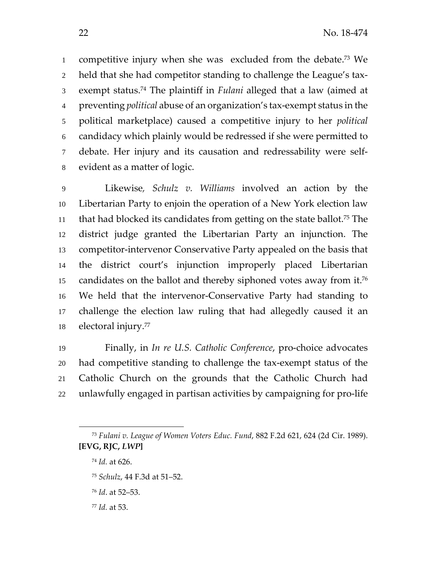1 competitive injury when she was excluded from the debate.<sup>73</sup> We held that she had competitor standing to challenge the League's tax‐ exempt status. <sup>74</sup> The plaintiff in *Fulani* alleged that a law (aimed at preventing *political* abuse of an organization's tax‐exempt status in the political marketplace) caused a competitive injury to her *political* candidacy which plainly would be redressed if she were permitted to debate. Her injury and its causation and redressability were self‐ evident as a matter of logic.

Likewise*, Schulz v. Williams* involved an action by the Libertarian Party to enjoin the operation of a New York election law 11 that had blocked its candidates from getting on the state ballot.<sup>75</sup> The district judge granted the Libertarian Party an injunction. The 13 competitor-intervenor Conservative Party appealed on the basis that the district court's injunction improperly placed Libertarian candidates on the ballot and thereby siphoned votes away from it.<sup>76</sup> We held that the intervenor‐Conservative Party had standing to challenge the election law ruling that had allegedly caused it an 18 electoral injury.<sup>77</sup>

Finally, in *In re U.S. Catholic Conference*, pro‐choice advocates had competitive standing to challenge the tax‐exempt status of the Catholic Church on the grounds that the Catholic Church had unlawfully engaged in partisan activities by campaigning for pro‐life

 $\overline{\phantom{a}}$ 

- *Schulz*, 44 F.3d at 51–52.
- *Id*. at 52–53.
- *Id.* at 53.

 *Fulani v. League of Women Voters Educ. Fund*, 882 F.2d 621, 624 (2d Cir. 1989). **[EVG, RJC,** *LWP***]**

*Id.* at 626.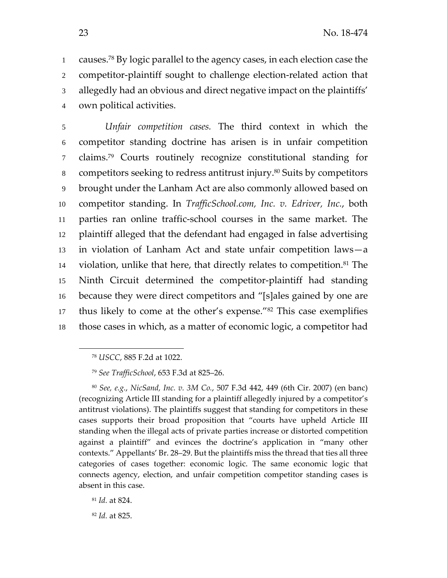1 causes.<sup>78</sup> By logic parallel to the agency cases, in each election case the 2 competitor-plaintiff sought to challenge election-related action that 3 allegedly had an obvious and direct negative impact on the plaintiffs' 4 own political activities.

*Unfair competition cases.* The third context in which the competitor standing doctrine has arisen is in unfair competition claims. 7 <sup>79</sup> Courts routinely recognize constitutional standing for 8 competitors seeking to redress antitrust injury.<sup>80</sup> Suits by competitors brought under the Lanham Act are also commonly allowed based on competitor standing. In *TrafficSchool.com, Inc. v. Edriver, Inc.*, both parties ran online traffic‐school courses in the same market. The plaintiff alleged that the defendant had engaged in false advertising in violation of Lanham Act and state unfair competition laws—a 14 violation, unlike that here, that directly relates to competition.<sup>81</sup> The Ninth Circuit determined the competitor‐plaintiff had standing because they were direct competitors and "[s]ales gained by one are 17 thus likely to come at the other's expense."<sup>82</sup> This case exemplifies those cases in which, as a matter of economic logic, a competitor had

 $\overline{\phantom{a}}$ 

<sup>80</sup> *See, e.g.*, *NicSand, Inc. v. 3M Co.*, 507 F.3d 442, 449 (6th Cir. 2007) (en banc) (recognizing Article III standing for a plaintiff allegedly injured by a competitor's antitrust violations). The plaintiffs suggest that standing for competitors in these cases supports their broad proposition that "courts have upheld Article III standing when the illegal acts of private parties increase or distorted competition against a plaintiff" and evinces the doctrine's application in "many other contexts." Appellants' Br. 28–29. But the plaintiffs miss the thread that ties all three categories of cases together: economic logic. The same economic logic that connects agency, election, and unfair competition competitor standing cases is absent in this case.

<sup>82</sup> *Id.* at 825.

<sup>78</sup> *USCC*, 885 F.2d at 1022.

<sup>79</sup> *See TrafficSchool*, 653 F.3d at 825–26.

<sup>81</sup> *Id.* at 824.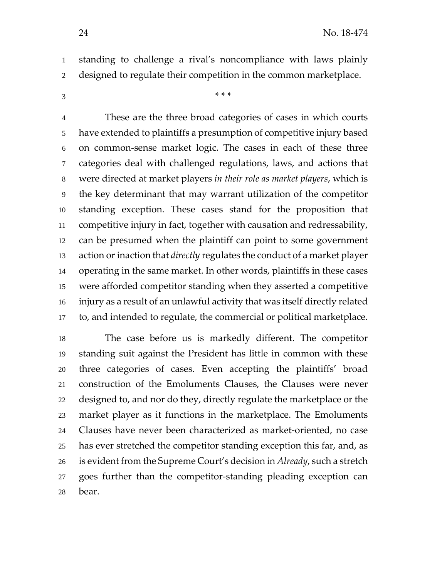standing to challenge a rival's noncompliance with laws plainly designed to regulate their competition in the common marketplace.

\* \* \*

These are the three broad categories of cases in which courts have extended to plaintiffs a presumption of competitive injury based on common‐sense market logic. The cases in each of these three categories deal with challenged regulations, laws, and actions that were directed at market players *in their role as market players*, which is the key determinant that may warrant utilization of the competitor standing exception. These cases stand for the proposition that competitive injury in fact, together with causation and redressability, can be presumed when the plaintiff can point to some government action orinaction that *directly* regulates the conduct of a market player operating in the same market. In other words, plaintiffs in these cases were afforded competitor standing when they asserted a competitive injury as a result of an unlawful activity that was itself directly related to, and intended to regulate, the commercial or political marketplace.

The case before us is markedly different. The competitor standing suit against the President has little in common with these three categories of cases. Even accepting the plaintiffs' broad construction of the Emoluments Clauses, the Clauses were never designed to, and nor do they, directly regulate the marketplace or the market player as it functions in the marketplace. The Emoluments Clauses have never been characterized as market‐oriented, no case has ever stretched the competitor standing exception this far, and, as is evident from the Supreme Court's decision in *Already*, such a stretch goes further than the competitor‐standing pleading exception can bear.